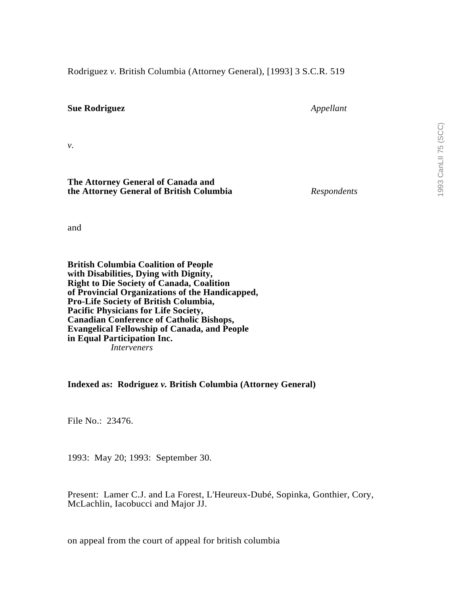Rodriguez *v.* British Columbia (Attorney General), [1993] 3 S.C.R. 519

## **Sue Rodriguez** *Appellant*

*v.*

**The Attorney General of Canada and the Attorney General of British Columbia** *Respondents*

and

**British Columbia Coalition of People with Disabilities, Dying with Dignity, Right to Die Society of Canada, Coalition of Provincial Organizations of the Handicapped, Pro-Life Society of British Columbia, Pacific Physicians for Life Society, Canadian Conference of Catholic Bishops, Evangelical Fellowship of Canada, and People in Equal Participation Inc.** *Interveners*

**Indexed as: Rodriguez** *v.* **British Columbia (Attorney General)**

File No.: 23476.

1993: May 20; 1993: September 30.

Present: Lamer C.J. and La Forest, L'Heureux-Dubé, Sopinka, Gonthier, Cory, McLachlin, Iacobucci and Major JJ.

on appeal from the court of appeal for british columbia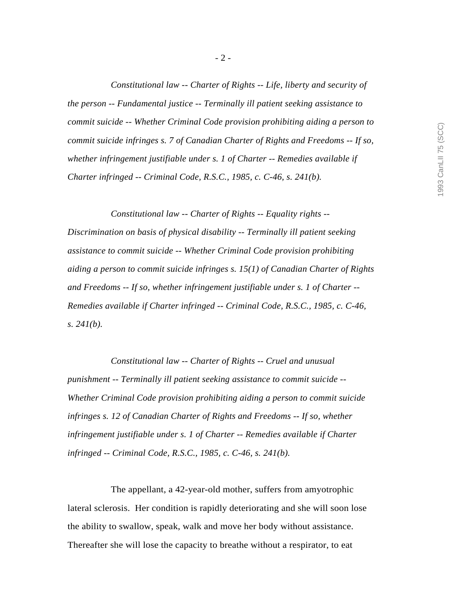*Constitutional law -- Charter of Rights -- Life, liberty and security of the person -- Fundamental justice -- Terminally ill patient seeking assistance to commit suicide -- Whether Criminal Code provision prohibiting aiding a person to commit suicide infringes s. 7 of Canadian Charter of Rights and Freedoms -- If so, whether infringement justifiable under s. 1 of Charter -- Remedies available if Charter infringed -- Criminal Code, R.S.C., 1985, c. C-46, s. 241(b).*

*Constitutional law -- Charter of Rights -- Equality rights -- Discrimination on basis of physical disability -- Terminally ill patient seeking assistance to commit suicide -- Whether Criminal Code provision prohibiting aiding a person to commit suicide infringes s. 15(1) of Canadian Charter of Rights and Freedoms -- If so, whether infringement justifiable under s. 1 of Charter -- Remedies available if Charter infringed -- Criminal Code, R.S.C., 1985, c. C-46, s. 241(b).*

*Constitutional law -- Charter of Rights -- Cruel and unusual punishment -- Terminally ill patient seeking assistance to commit suicide -- Whether Criminal Code provision prohibiting aiding a person to commit suicide infringes s. 12 of Canadian Charter of Rights and Freedoms -- If so, whether infringement justifiable under s. 1 of Charter -- Remedies available if Charter infringed -- Criminal Code, R.S.C., 1985, c. C-46, s. 241(b).*

The appellant, a 42-year-old mother, suffers from amyotrophic lateral sclerosis. Her condition is rapidly deteriorating and she will soon lose the ability to swallow, speak, walk and move her body without assistance. Thereafter she will lose the capacity to breathe without a respirator, to eat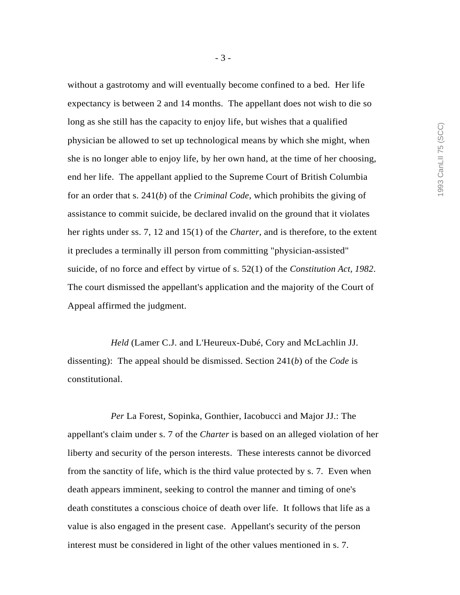without a gastrotomy and will eventually become confined to a bed. Her life expectancy is between 2 and 14 months. The appellant does not wish to die so long as she still has the capacity to enjoy life, but wishes that a qualified physician be allowed to set up technological means by which she might, when she is no longer able to enjoy life, by her own hand, at the time of her choosing, end her life. The appellant applied to the Supreme Court of British Columbia for an order that s. 241(*b*) of the *Criminal Code*, which prohibits the giving of assistance to commit suicide, be declared invalid on the ground that it violates her rights under ss. 7, 12 and 15(1) of the *Charter*, and is therefore, to the extent it precludes a terminally ill person from committing "physician-assisted" suicide, of no force and effect by virtue of s. 52(1) of the *Constitution Act, 1982*. The court dismissed the appellant's application and the majority of the Court of Appeal affirmed the judgment.

*Held* (Lamer C.J. and L'Heureux-Dubé, Cory and McLachlin JJ. dissenting): The appeal should be dismissed. Section 241(*b*) of the *Code* is constitutional.

*Per* La Forest, Sopinka, Gonthier, Iacobucci and Major JJ.: The appellant's claim under s. 7 of the *Charter* is based on an alleged violation of her liberty and security of the person interests. These interests cannot be divorced from the sanctity of life, which is the third value protected by s. 7. Even when death appears imminent, seeking to control the manner and timing of one's death constitutes a conscious choice of death over life. It follows that life as a value is also engaged in the present case. Appellant's security of the person interest must be considered in light of the other values mentioned in s. 7.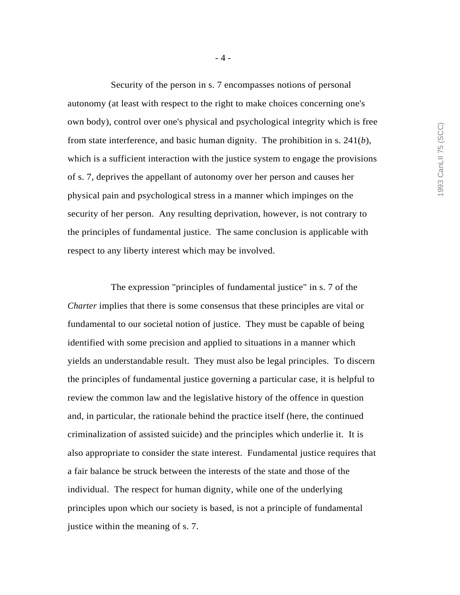Security of the person in s. 7 encompasses notions of personal autonomy (at least with respect to the right to make choices concerning one's own body), control over one's physical and psychological integrity which is free from state interference, and basic human dignity. The prohibition in s. 241(*b*), which is a sufficient interaction with the justice system to engage the provisions of s. 7, deprives the appellant of autonomy over her person and causes her physical pain and psychological stress in a manner which impinges on the security of her person. Any resulting deprivation, however, is not contrary to the principles of fundamental justice. The same conclusion is applicable with respect to any liberty interest which may be involved.

The expression "principles of fundamental justice" in s. 7 of the *Charter* implies that there is some consensus that these principles are vital or fundamental to our societal notion of justice. They must be capable of being identified with some precision and applied to situations in a manner which yields an understandable result. They must also be legal principles. To discern the principles of fundamental justice governing a particular case, it is helpful to review the common law and the legislative history of the offence in question and, in particular, the rationale behind the practice itself (here, the continued criminalization of assisted suicide) and the principles which underlie it. It is also appropriate to consider the state interest. Fundamental justice requires that a fair balance be struck between the interests of the state and those of the individual. The respect for human dignity, while one of the underlying principles upon which our society is based, is not a principle of fundamental justice within the meaning of s. 7.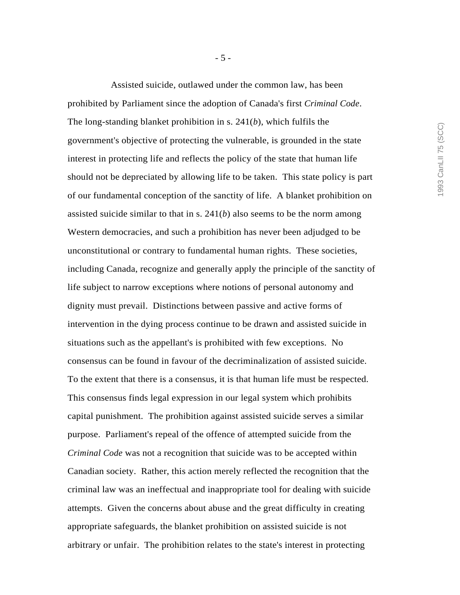Assisted suicide, outlawed under the common law, has been prohibited by Parliament since the adoption of Canada's first *Criminal Code*. The long-standing blanket prohibition in s. 241(*b*), which fulfils the government's objective of protecting the vulnerable, is grounded in the state interest in protecting life and reflects the policy of the state that human life should not be depreciated by allowing life to be taken. This state policy is part of our fundamental conception of the sanctity of life. A blanket prohibition on assisted suicide similar to that in s. 241(*b*) also seems to be the norm among Western democracies, and such a prohibition has never been adjudged to be unconstitutional or contrary to fundamental human rights. These societies, including Canada, recognize and generally apply the principle of the sanctity of life subject to narrow exceptions where notions of personal autonomy and dignity must prevail. Distinctions between passive and active forms of intervention in the dying process continue to be drawn and assisted suicide in situations such as the appellant's is prohibited with few exceptions. No consensus can be found in favour of the decriminalization of assisted suicide. To the extent that there is a consensus, it is that human life must be respected. This consensus finds legal expression in our legal system which prohibits capital punishment. The prohibition against assisted suicide serves a similar purpose. Parliament's repeal of the offence of attempted suicide from the *Criminal Code* was not a recognition that suicide was to be accepted within Canadian society. Rather, this action merely reflected the recognition that the criminal law was an ineffectual and inappropriate tool for dealing with suicide attempts. Given the concerns about abuse and the great difficulty in creating appropriate safeguards, the blanket prohibition on assisted suicide is not arbitrary or unfair. The prohibition relates to the state's interest in protecting

- 5 -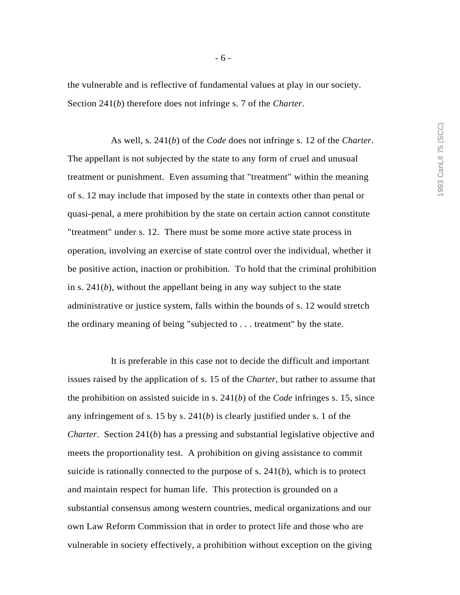the vulnerable and is reflective of fundamental values at play in our society. Section 241(*b*) therefore does not infringe s. 7 of the *Charter*.

As well, s. 241(*b*) of the *Code* does not infringe s. 12 of the *Charter*. The appellant is not subjected by the state to any form of cruel and unusual treatment or punishment. Even assuming that "treatment" within the meaning of s. 12 may include that imposed by the state in contexts other than penal or quasi-penal, a mere prohibition by the state on certain action cannot constitute "treatment" under s. 12. There must be some more active state process in operation, involving an exercise of state control over the individual, whether it be positive action, inaction or prohibition. To hold that the criminal prohibition in s. 241(*b*), without the appellant being in any way subject to the state administrative or justice system, falls within the bounds of s. 12 would stretch the ordinary meaning of being "subjected to . . . treatment" by the state.

It is preferable in this case not to decide the difficult and important issues raised by the application of s. 15 of the *Charter*, but rather to assume that the prohibition on assisted suicide in s. 241(*b*) of the *Code* infringes s. 15, since any infringement of s. 15 by s. 241(*b*) is clearly justified under s. 1 of the *Charter*. Section 241(*b*) has a pressing and substantial legislative objective and meets the proportionality test. A prohibition on giving assistance to commit suicide is rationally connected to the purpose of s. 241(*b*), which is to protect and maintain respect for human life. This protection is grounded on a substantial consensus among western countries, medical organizations and our own Law Reform Commission that in order to protect life and those who are vulnerable in society effectively, a prohibition without exception on the giving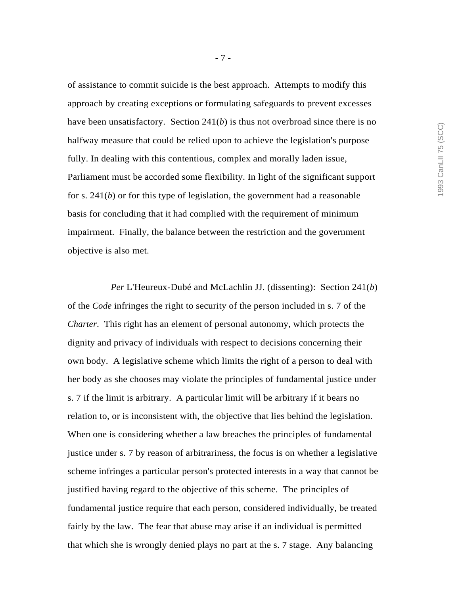of assistance to commit suicide is the best approach. Attempts to modify this approach by creating exceptions or formulating safeguards to prevent excesses have been unsatisfactory. Section 241(*b*) is thus not overbroad since there is no halfway measure that could be relied upon to achieve the legislation's purpose fully. In dealing with this contentious, complex and morally laden issue, Parliament must be accorded some flexibility. In light of the significant support for s. 241(*b*) or for this type of legislation, the government had a reasonable basis for concluding that it had complied with the requirement of minimum impairment. Finally, the balance between the restriction and the government objective is also met.

*Per* L'Heureux-Dubé and McLachlin JJ. (dissenting): Section 241(*b*) of the *Code* infringes the right to security of the person included in s. 7 of the *Charter*. This right has an element of personal autonomy, which protects the dignity and privacy of individuals with respect to decisions concerning their own body. A legislative scheme which limits the right of a person to deal with her body as she chooses may violate the principles of fundamental justice under s. 7 if the limit is arbitrary. A particular limit will be arbitrary if it bears no relation to, or is inconsistent with, the objective that lies behind the legislation. When one is considering whether a law breaches the principles of fundamental justice under s. 7 by reason of arbitrariness, the focus is on whether a legislative scheme infringes a particular person's protected interests in a way that cannot be justified having regard to the objective of this scheme. The principles of fundamental justice require that each person, considered individually, be treated fairly by the law. The fear that abuse may arise if an individual is permitted that which she is wrongly denied plays no part at the s. 7 stage. Any balancing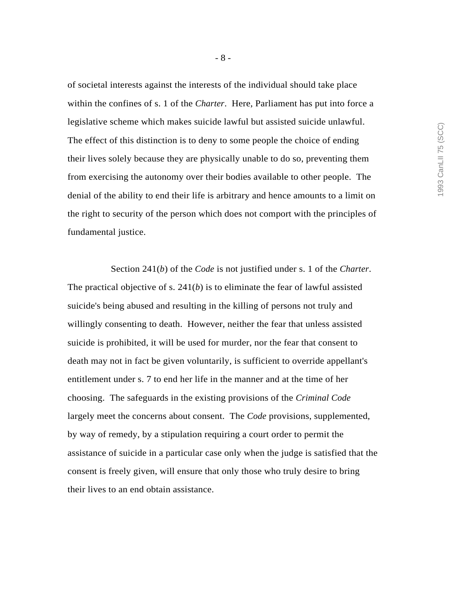of societal interests against the interests of the individual should take place within the confines of s. 1 of the *Charter*. Here, Parliament has put into force a legislative scheme which makes suicide lawful but assisted suicide unlawful. The effect of this distinction is to deny to some people the choice of ending their lives solely because they are physically unable to do so, preventing them from exercising the autonomy over their bodies available to other people. The denial of the ability to end their life is arbitrary and hence amounts to a limit on the right to security of the person which does not comport with the principles of fundamental justice.

Section 241(*b*) of the *Code* is not justified under s. 1 of the *Charter*. The practical objective of s.  $241(b)$  is to eliminate the fear of lawful assisted suicide's being abused and resulting in the killing of persons not truly and willingly consenting to death. However, neither the fear that unless assisted suicide is prohibited, it will be used for murder, nor the fear that consent to death may not in fact be given voluntarily, is sufficient to override appellant's entitlement under s. 7 to end her life in the manner and at the time of her choosing. The safeguards in the existing provisions of the *Criminal Code* largely meet the concerns about consent. The *Code* provisions, supplemented, by way of remedy, by a stipulation requiring a court order to permit the assistance of suicide in a particular case only when the judge is satisfied that the consent is freely given, will ensure that only those who truly desire to bring their lives to an end obtain assistance.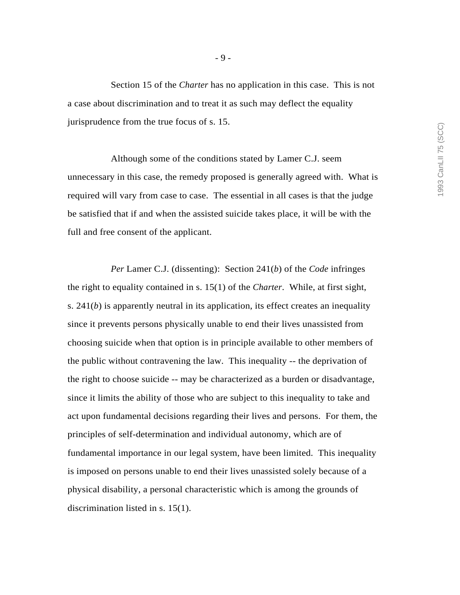Section 15 of the *Charter* has no application in this case. This is not a case about discrimination and to treat it as such may deflect the equality jurisprudence from the true focus of s. 15.

Although some of the conditions stated by Lamer C.J. seem unnecessary in this case, the remedy proposed is generally agreed with. What is required will vary from case to case. The essential in all cases is that the judge be satisfied that if and when the assisted suicide takes place, it will be with the full and free consent of the applicant.

*Per* Lamer C.J. (dissenting): Section 241(*b*) of the *Code* infringes the right to equality contained in s. 15(1) of the *Charter*. While, at first sight, s. 241(*b*) is apparently neutral in its application, its effect creates an inequality since it prevents persons physically unable to end their lives unassisted from choosing suicide when that option is in principle available to other members of the public without contravening the law. This inequality -- the deprivation of the right to choose suicide -- may be characterized as a burden or disadvantage, since it limits the ability of those who are subject to this inequality to take and act upon fundamental decisions regarding their lives and persons. For them, the principles of self-determination and individual autonomy, which are of fundamental importance in our legal system, have been limited. This inequality is imposed on persons unable to end their lives unassisted solely because of a physical disability, a personal characteristic which is among the grounds of discrimination listed in s. 15(1).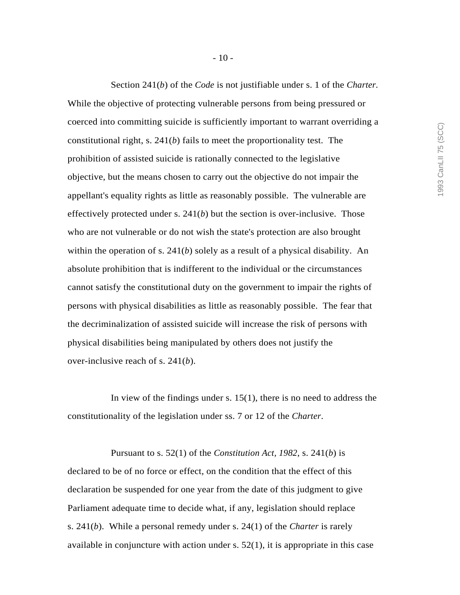Section 241(*b*) of the *Code* is not justifiable under s. 1 of the *Charter.* While the objective of protecting vulnerable persons from being pressured or coerced into committing suicide is sufficiently important to warrant overriding a constitutional right, s. 241(*b*) fails to meet the proportionality test. The prohibition of assisted suicide is rationally connected to the legislative objective, but the means chosen to carry out the objective do not impair the appellant's equality rights as little as reasonably possible. The vulnerable are effectively protected under s.  $241(b)$  but the section is over-inclusive. Those who are not vulnerable or do not wish the state's protection are also brought within the operation of s.  $241(b)$  solely as a result of a physical disability. An absolute prohibition that is indifferent to the individual or the circumstances cannot satisfy the constitutional duty on the government to impair the rights of persons with physical disabilities as little as reasonably possible. The fear that the decriminalization of assisted suicide will increase the risk of persons with physical disabilities being manipulated by others does not justify the over-inclusive reach of s. 241(*b*).

In view of the findings under s.  $15(1)$ , there is no need to address the constitutionality of the legislation under ss. 7 or 12 of the *Charter*.

Pursuant to s. 52(1) of the *Constitution Act, 1982*, s. 241(*b*) is declared to be of no force or effect, on the condition that the effect of this declaration be suspended for one year from the date of this judgment to give Parliament adequate time to decide what, if any, legislation should replace s. 241(*b*). While a personal remedy under s. 24(1) of the *Charter* is rarely available in conjuncture with action under s. 52(1), it is appropriate in this case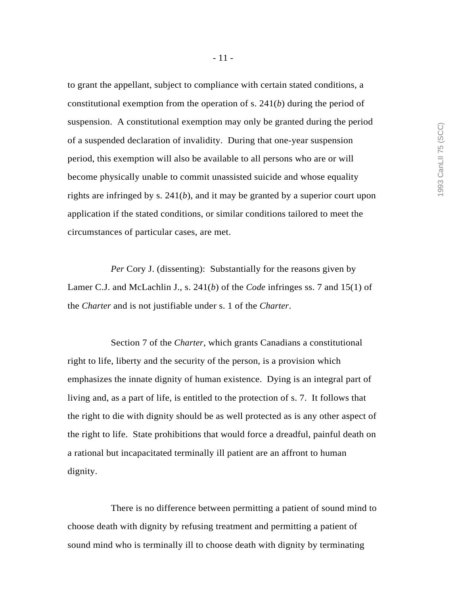to grant the appellant, subject to compliance with certain stated conditions, a constitutional exemption from the operation of s. 241(*b*) during the period of suspension. A constitutional exemption may only be granted during the period of a suspended declaration of invalidity. During that one-year suspension period, this exemption will also be available to all persons who are or will become physically unable to commit unassisted suicide and whose equality rights are infringed by s. 241(*b*), and it may be granted by a superior court upon application if the stated conditions, or similar conditions tailored to meet the circumstances of particular cases, are met.

*Per* Cory J. (dissenting): Substantially for the reasons given by Lamer C.J. and McLachlin J., s. 241(*b*) of the *Code* infringes ss. 7 and 15(1) of the *Charter* and is not justifiable under s. 1 of the *Charter*.

Section 7 of the *Charter*, which grants Canadians a constitutional right to life, liberty and the security of the person, is a provision which emphasizes the innate dignity of human existence. Dying is an integral part of living and, as a part of life, is entitled to the protection of s. 7. It follows that the right to die with dignity should be as well protected as is any other aspect of the right to life. State prohibitions that would force a dreadful, painful death on a rational but incapacitated terminally ill patient are an affront to human dignity.

There is no difference between permitting a patient of sound mind to choose death with dignity by refusing treatment and permitting a patient of sound mind who is terminally ill to choose death with dignity by terminating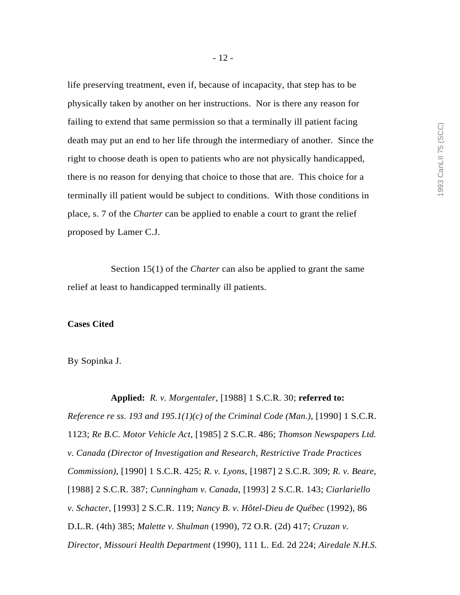life preserving treatment, even if, because of incapacity, that step has to be physically taken by another on her instructions. Nor is there any reason for failing to extend that same permission so that a terminally ill patient facing death may put an end to her life through the intermediary of another. Since the right to choose death is open to patients who are not physically handicapped, there is no reason for denying that choice to those that are. This choice for a terminally ill patient would be subject to conditions. With those conditions in place, s. 7 of the *Charter* can be applied to enable a court to grant the relief proposed by Lamer C.J.

Section 15(1) of the *Charter* can also be applied to grant the same relief at least to handicapped terminally ill patients.

## **Cases Cited**

By Sopinka J.

## **Applied:** *R. v. Morgentaler*, [1988] 1 S.C.R. 30; **referred to:**

*Reference re ss. 193 and 195.1(1)(c) of the Criminal Code (Man.)*, [1990] 1 S.C.R. 1123; *Re B.C. Motor Vehicle Act*, [1985] 2 S.C.R. 486; *Thomson Newspapers Ltd. v. Canada (Director of Investigation and Research, Restrictive Trade Practices Commission)*, [1990] 1 S.C.R. 425; *R. v. Lyons*, [1987] 2 S.C.R. 309; *R. v. Beare*, [1988] 2 S.C.R. 387; *Cunningham v. Canada*, [1993] 2 S.C.R. 143; *Ciarlariello v. Schacter*, [1993] 2 S.C.R. 119; *Nancy B. v. Hôtel-Dieu de Québec* (1992), 86 D.L.R. (4th) 385; *Malette v. Shulman* (1990), 72 O.R. (2d) 417; *Cruzan v. Director, Missouri Health Department* (1990), 111 L. Ed. 2d 224; *Airedale N.H.S.*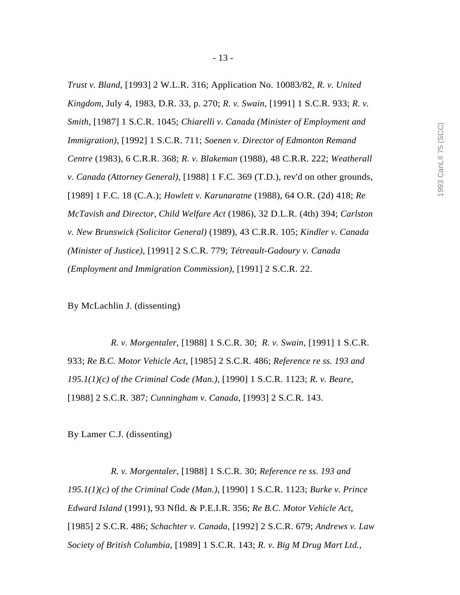*Trust v. Bland*, [1993] 2 W.L.R. 316; Application No. 10083/82, *R. v. United Kingdom*, July 4, 1983, D.R. 33, p. 270; *R. v. Swain*, [1991] 1 S.C.R. 933; *R. v. Smith*, [1987] 1 S.C.R. 1045; *Chiarelli v. Canada (Minister of Employment and Immigration)*, [1992] 1 S.C.R. 711; *Soenen v. Director of Edmonton Remand Centre* (1983), 6 C.R.R. 368; *R. v. Blakeman* (1988), 48 C.R.R. 222; *Weatherall v. Canada (Attorney General)*, [1988] 1 F.C. 369 (T.D.), rev'd on other grounds, [1989] 1 F.C. 18 (C.A.); *Howlett v. Karunaratne* (1988), 64 O.R. (2d) 418; *Re McTavish and Director, Child Welfare Act* (1986), 32 D.L.R. (4th) 394; *Carlston v. New Brunswick (Solicitor General)* (1989), 43 C.R.R. 105; *Kindler v. Canada (Minister of Justice)*, [1991] 2 S.C.R. 779; *Tétreault-Gadoury v. Canada (Employment and Immigration Commission)*, [1991] 2 S.C.R. 22.

By McLachlin J. (dissenting)

*R. v. Morgentaler*, [1988] 1 S.C.R. 30; *R. v. Swain*, [1991] 1 S.C.R. 933; *Re B.C. Motor Vehicle Act*, [1985] 2 S.C.R. 486; *Reference re ss. 193 and 195.1(1)(c) of the Criminal Code (Man.)*, [1990] 1 S.C.R. 1123; *R. v. Beare*, [1988] 2 S.C.R. 387; *Cunningham v. Canada*, [1993] 2 S.C.R. 143.

By Lamer C.J. (dissenting)

*R. v. Morgentaler*, [1988] 1 S.C.R. 30; *Reference re ss. 193 and 195.1(1)(c) of the Criminal Code (Man.)*, [1990] 1 S.C.R. 1123; *Burke v. Prince Edward Island* (1991), 93 Nfld. & P.E.I.R. 356; *Re B.C. Motor Vehicle Act*, [1985] 2 S.C.R. 486; *Schachter v. Canada*, [1992] 2 S.C.R. 679; *Andrews v. Law Society of British Columbia*, [1989] 1 S.C.R. 143; *R. v. Big M Drug Mart Ltd.*,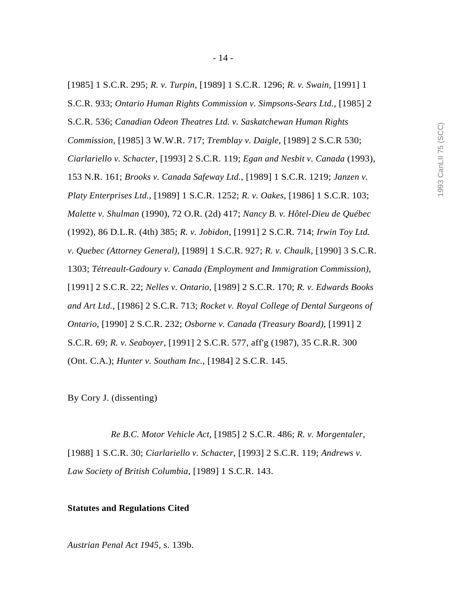[1985] 1 S.C.R. 295; *R. v. Turpin*, [1989] 1 S.C.R. 1296; *R. v. Swain*, [1991] 1

S.C.R. 933; *Ontario Human Rights Commission v. Simpsons-Sears Ltd.*, [1985] 2

S.C.R. 536; *Canadian Odeon Theatres Ltd. v. Saskatchewan Human Rights*

*Commission*, [1985] 3 W.W.R. 717; *Tremblay v. Daigle*, [1989] 2 S.C.R 530;

*Ciarlariello v. Schacter*, [1993] 2 S.C.R. 119; *Egan and Nesbit v. Canada* (1993),

153 N.R. 161; *Brooks v. Canada Safeway Ltd.*, [1989] 1 S.C.R. 1219; *Janzen v.*

*Platy Enterprises Ltd.*, [1989] 1 S.C.R. 1252; *R. v. Oakes*, [1986] 1 S.C.R. 103;

*Malette v. Shulman* (1990), 72 O.R. (2d) 417; *Nancy B. v. Hôtel-Dieu de Québec*

(1992), 86 D.L.R. (4th) 385; *R. v. Jobidon*, [1991] 2 S.C.R. 714; *Irwin Toy Ltd.*

*v. Quebec (Attorney General)*, [1989] 1 S.C.R. 927; *R. v. Chaulk*, [1990] 3 S.C.R. 1303; *Tétreault-Gadoury v. Canada (Employment and Immigration Commission)*,

[1991] 2 S.C.R. 22; *Nelles v. Ontario*, [1989] 2 S.C.R. 170; *R. v. Edwards Books*

*and Art Ltd.*, [1986] 2 S.C.R. 713; *Rocket v. Royal College of Dental Surgeons of*

*Ontario*, [1990] 2 S.C.R. 232; *Osborne v. Canada (Treasury Board)*, [1991] 2

S.C.R. 69; *R. v. Seaboyer*, [1991] 2 S.C.R. 577, aff'g (1987), 35 C.R.R. 300

(Ont. C.A.); *Hunter v. Southam Inc.*, [1984] 2 S.C.R. 145.

By Cory J. (dissenting)

*Re B.C. Motor Vehicle Act*, [1985] 2 S.C.R. 486; *R. v. Morgentaler*, [1988] 1 S.C.R. 30; *Ciarlariello v. Schacter*, [1993] 2 S.C.R. 119; *Andrews v. Law Society of British Columbia*, [1989] 1 S.C.R. 143.

# **Statutes and Regulations Cited**

*Austrian Penal Act 1945*, s. 139b.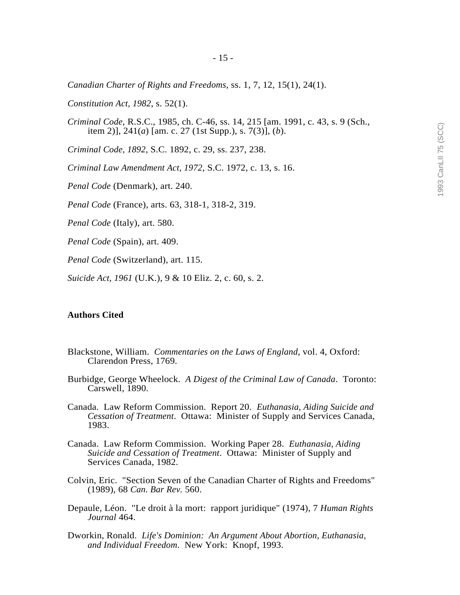*Canadian Charter of Rights and Freedoms*, ss. 1, 7, 12, 15(1), 24(1).

*Constitution Act, 1982*, s. 52(1).

*Criminal Code*, R.S.C., 1985, ch. C-46, ss. 14, 215 [am. 1991, c. 43, s. 9 (Sch., item 2)], 241(*a*) [am. c. 27 (1st Supp.), s. 7(3)], (*b*).

*Criminal Code, 1892*, S.C. 1892, c. 29, ss. 237, 238.

*Criminal Law Amendment Act, 1972*, S.C. 1972, c. 13, s. 16.

*Penal Code* (Denmark), art. 240.

*Penal Code* (France), arts. 63, 318-1, 318-2, 319.

*Penal Code* (Italy), art. 580.

*Penal Code* (Spain), art. 409.

*Penal Code* (Switzerland), art. 115.

*Suicide Act, 1961* (U.K.), 9 & 10 Eliz. 2, c. 60, s. 2.

#### **Authors Cited**

- Blackstone, William. *Commentaries on the Laws of England*, vol. 4, Oxford: Clarendon Press, 1769.
- Burbidge, George Wheelock. *A Digest of the Criminal Law of Canada*. Toronto: Carswell, 1890.
- Canada. Law Reform Commission. Report 20. *Euthanasia, Aiding Suicide and Cessation of Treatment*. Ottawa: Minister of Supply and Services Canada, 1983.
- Canada. Law Reform Commission. Working Paper 28. *Euthanasia, Aiding Suicide and Cessation of Treatment*. Ottawa: Minister of Supply and Services Canada, 1982.
- Colvin, Eric. "Section Seven of the Canadian Charter of Rights and Freedoms" (1989), 68 *Can. Bar Rev.* 560.
- Depaule, Léon. "Le droit à la mort: rapport juridique" (1974), 7 *Human Rights Journal* 464.
- Dworkin, Ronald. *Life's Dominion: An Argument About Abortion, Euthanasia, and Individual Freedom*. New York: Knopf, 1993.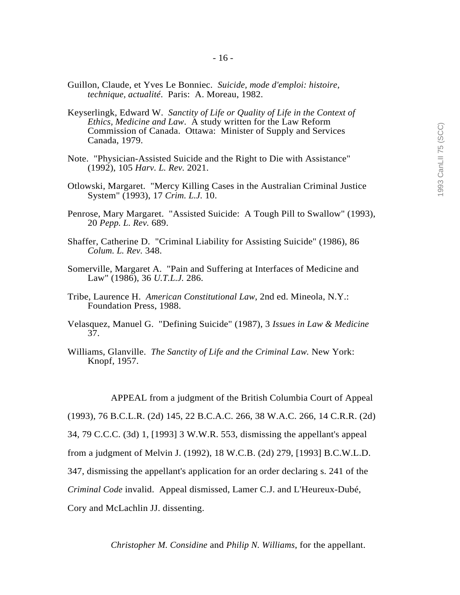- Guillon, Claude, et Yves Le Bonniec. *Suicide, mode d'emploi: histoire, technique, actualité*. Paris: A. Moreau, 1982.
- Keyserlingk, Edward W. *Sanctity of Life or Quality of Life in the Context of Ethics, Medicine and Law*. A study written for the Law Reform Commission of Canada. Ottawa: Minister of Supply and Services Canada, 1979.
- Note. "Physician-Assisted Suicide and the Right to Die with Assistance" (1992), 105 *Harv. L. Rev.* 2021.
- Otlowski, Margaret. "Mercy Killing Cases in the Australian Criminal Justice System" (1993), 17 *Crim. L.J.* 10.
- Penrose, Mary Margaret. "Assisted Suicide: A Tough Pill to Swallow" (1993), 20 *Pepp. L. Rev.* 689.
- Shaffer, Catherine D. "Criminal Liability for Assisting Suicide" (1986), 86 *Colum. L. Rev.* 348.
- Somerville, Margaret A. "Pain and Suffering at Interfaces of Medicine and Law" (1986), 36 *U.T.L.J.* 286.
- Tribe, Laurence H. *American Constitutional Law*, 2nd ed. Mineola, N.Y.: Foundation Press, 1988.
- Velasquez, Manuel G. "Defining Suicide" (1987), 3 *Issues in Law & Medicine* 37.
- Williams, Glanville. *The Sanctity of Life and the Criminal Law.* New York: Knopf, 1957.

APPEAL from a judgment of the British Columbia Court of Appeal

(1993), 76 B.C.L.R. (2d) 145, 22 B.C.A.C. 266, 38 W.A.C. 266, 14 C.R.R. (2d)

34, 79 C.C.C. (3d) 1, [1993] 3 W.W.R. 553, dismissing the appellant's appeal

from a judgment of Melvin J. (1992), 18 W.C.B. (2d) 279, [1993] B.C.W.L.D.

347, dismissing the appellant's application for an order declaring s. 241 of the

*Criminal Code* invalid. Appeal dismissed, Lamer C.J. and L'Heureux-Dubé,

Cory and McLachlin JJ. dissenting.

*Christopher M. Considine* and *Philip N. Williams*, for the appellant.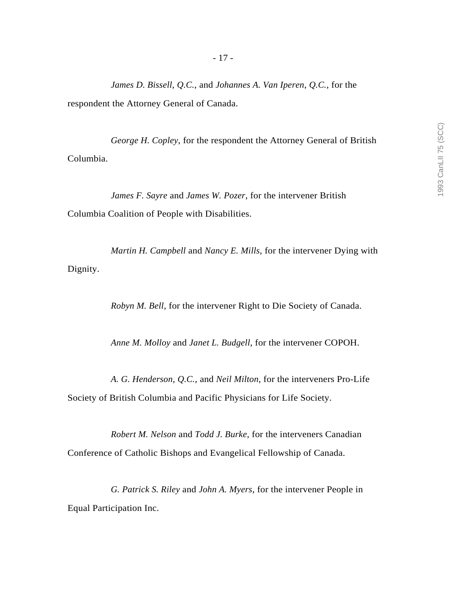*James D. Bissell*, *Q.C.*, and *Johannes A. Van Iperen*, *Q.C.*, for the respondent the Attorney General of Canada.

*George H. Copley*, for the respondent the Attorney General of British Columbia.

*James F. Sayre* and *James W. Pozer*, for the intervener British Columbia Coalition of People with Disabilities.

*Martin H. Campbell* and *Nancy E. Mills*, for the intervener Dying with Dignity.

*Robyn M. Bell*, for the intervener Right to Die Society of Canada.

*Anne M. Molloy* and *Janet L. Budgell*, for the intervener COPOH.

*A. G. Henderson*, *Q.C.*, and *Neil Milton*, for the interveners Pro-Life Society of British Columbia and Pacific Physicians for Life Society.

*Robert M. Nelson* and *Todd J. Burke*, for the interveners Canadian Conference of Catholic Bishops and Evangelical Fellowship of Canada.

*G. Patrick S. Riley* and *John A. Myers*, for the intervener People in Equal Participation Inc.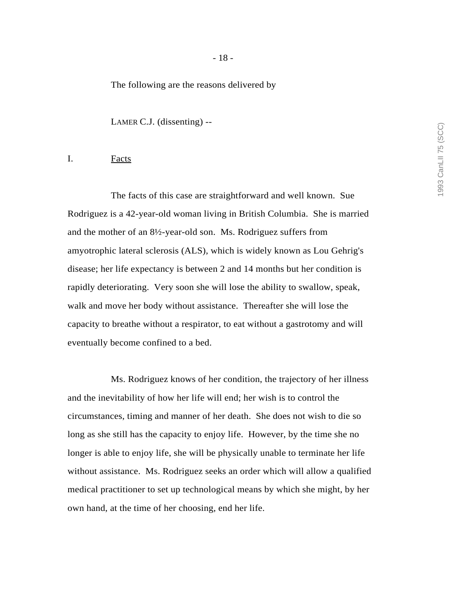The following are the reasons delivered by

LAMER C.J. (dissenting) --

I. Facts

The facts of this case are straightforward and well known. Sue Rodriguez is a 42-year-old woman living in British Columbia. She is married and the mother of an 8½-year-old son. Ms. Rodriguez suffers from amyotrophic lateral sclerosis (ALS), which is widely known as Lou Gehrig's disease; her life expectancy is between 2 and 14 months but her condition is rapidly deteriorating. Very soon she will lose the ability to swallow, speak, walk and move her body without assistance. Thereafter she will lose the capacity to breathe without a respirator, to eat without a gastrotomy and will eventually become confined to a bed.

Ms. Rodriguez knows of her condition, the trajectory of her illness and the inevitability of how her life will end; her wish is to control the circumstances, timing and manner of her death. She does not wish to die so long as she still has the capacity to enjoy life. However, by the time she no longer is able to enjoy life, she will be physically unable to terminate her life without assistance. Ms. Rodriguez seeks an order which will allow a qualified medical practitioner to set up technological means by which she might, by her own hand, at the time of her choosing, end her life.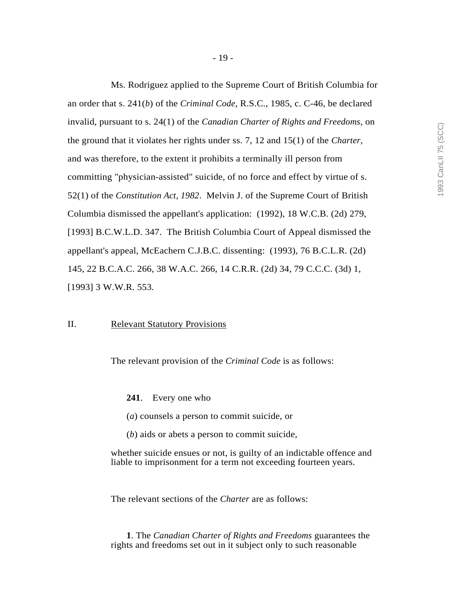Ms. Rodriguez applied to the Supreme Court of British Columbia for an order that s. 241(*b*) of the *Criminal Code*, R.S.C., 1985, c. C-46, be declared invalid, pursuant to s. 24(1) of the *Canadian Charter of Rights and Freedoms*, on the ground that it violates her rights under ss. 7, 12 and 15(1) of the *Charter*, and was therefore, to the extent it prohibits a terminally ill person from committing "physician-assisted" suicide, of no force and effect by virtue of s. 52(1) of the *Constitution Act, 1982*. Melvin J. of the Supreme Court of British Columbia dismissed the appellant's application: (1992), 18 W.C.B. (2d) 279, [1993] B.C.W.L.D. 347. The British Columbia Court of Appeal dismissed the appellant's appeal, McEachern C.J.B.C. dissenting: (1993), 76 B.C.L.R. (2d) 145, 22 B.C.A.C. 266, 38 W.A.C. 266, 14 C.R.R. (2d) 34, 79 C.C.C. (3d) 1, [1993] 3 W.W.R. 553.

# II. Relevant Statutory Provisions

The relevant provision of the *Criminal Code* is as follows:

**241**. Every one who

(*a*) counsels a person to commit suicide, or

(*b*) aids or abets a person to commit suicide,

whether suicide ensues or not, is guilty of an indictable offence and liable to imprisonment for a term not exceeding fourteen years.

The relevant sections of the *Charter* are as follows:

**1**. The *Canadian Charter of Rights and Freedoms* guarantees the rights and freedoms set out in it subject only to such reasonable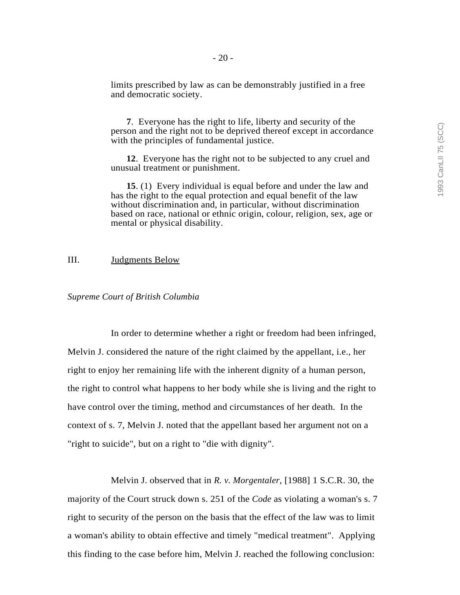limits prescribed by law as can be demonstrably justified in a free and democratic society.

**7**. Everyone has the right to life, liberty and security of the person and the right not to be deprived thereof except in accordance with the principles of fundamental justice.

**12**. Everyone has the right not to be subjected to any cruel and unusual treatment or punishment.

**15**. (1) Every individual is equal before and under the law and has the right to the equal protection and equal benefit of the law without discrimination and, in particular, without discrimination based on race, national or ethnic origin, colour, religion, sex, age or mental or physical disability.

# III. Judgments Below

# *Supreme Court of British Columbia*

In order to determine whether a right or freedom had been infringed, Melvin J. considered the nature of the right claimed by the appellant, i.e., her right to enjoy her remaining life with the inherent dignity of a human person, the right to control what happens to her body while she is living and the right to have control over the timing, method and circumstances of her death. In the context of s. 7, Melvin J. noted that the appellant based her argument not on a "right to suicide", but on a right to "die with dignity".

Melvin J. observed that in *R. v. Morgentaler*, [1988] 1 S.C.R. 30, the majority of the Court struck down s. 251 of the *Code* as violating a woman's s. 7 right to security of the person on the basis that the effect of the law was to limit a woman's ability to obtain effective and timely "medical treatment". Applying this finding to the case before him, Melvin J. reached the following conclusion: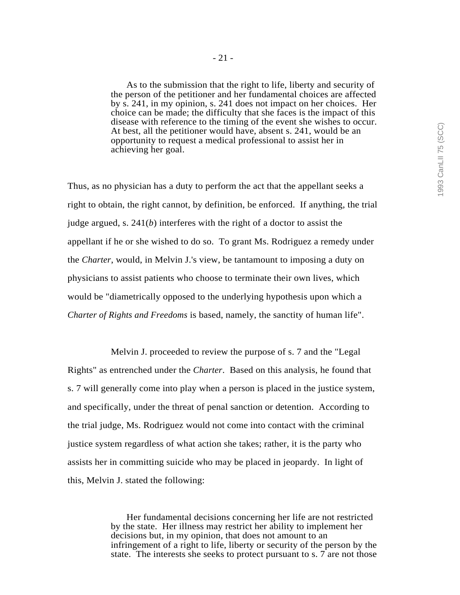As to the submission that the right to life, liberty and security of the person of the petitioner and her fundamental choices are affected by s. 241, in my opinion, s. 241 does not impact on her choices. Her choice can be made; the difficulty that she faces is the impact of this disease with reference to the timing of the event she wishes to occur. At best, all the petitioner would have, absent s. 241, would be an opportunity to request a medical professional to assist her in achieving her goal.

Thus, as no physician has a duty to perform the act that the appellant seeks a right to obtain, the right cannot, by definition, be enforced. If anything, the trial judge argued, s. 241(*b*) interferes with the right of a doctor to assist the appellant if he or she wished to do so. To grant Ms. Rodriguez a remedy under the *Charter*, would, in Melvin J.'s view, be tantamount to imposing a duty on physicians to assist patients who choose to terminate their own lives, which would be "diametrically opposed to the underlying hypothesis upon which a *Charter of Rights and Freedoms* is based, namely, the sanctity of human life".

Melvin J. proceeded to review the purpose of s. 7 and the "Legal Rights" as entrenched under the *Charter*. Based on this analysis, he found that s. 7 will generally come into play when a person is placed in the justice system, and specifically, under the threat of penal sanction or detention. According to the trial judge, Ms. Rodriguez would not come into contact with the criminal justice system regardless of what action she takes; rather, it is the party who assists her in committing suicide who may be placed in jeopardy. In light of this, Melvin J. stated the following:

> Her fundamental decisions concerning her life are not restricted by the state. Her illness may restrict her ability to implement her decisions but, in my opinion, that does not amount to an infringement of a right to life, liberty or security of the person by the state. The interests she seeks to protect pursuant to s. 7 are not those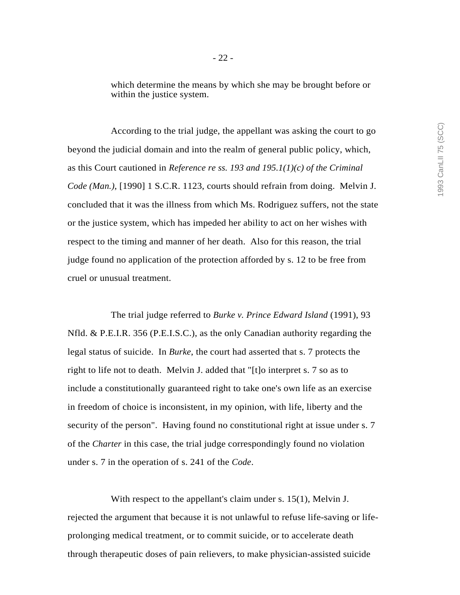which determine the means by which she may be brought before or within the justice system.

According to the trial judge, the appellant was asking the court to go beyond the judicial domain and into the realm of general public policy, which, as this Court cautioned in *Reference re ss. 193 and 195.1(1)(c) of the Criminal Code (Man.)*, [1990] 1 S.C.R. 1123, courts should refrain from doing. Melvin J. concluded that it was the illness from which Ms. Rodriguez suffers, not the state or the justice system, which has impeded her ability to act on her wishes with respect to the timing and manner of her death. Also for this reason, the trial judge found no application of the protection afforded by s. 12 to be free from cruel or unusual treatment.

The trial judge referred to *Burke v. Prince Edward Island* (1991), 93 Nfld. & P.E.I.R. 356 (P.E.I.S.C.), as the only Canadian authority regarding the legal status of suicide. In *Burke*, the court had asserted that s. 7 protects the right to life not to death. Melvin J. added that "[t]o interpret s. 7 so as to include a constitutionally guaranteed right to take one's own life as an exercise in freedom of choice is inconsistent, in my opinion, with life, liberty and the security of the person". Having found no constitutional right at issue under s. 7 of the *Charter* in this case, the trial judge correspondingly found no violation under s. 7 in the operation of s. 241 of the *Code*.

With respect to the appellant's claim under s. 15(1), Melvin J. rejected the argument that because it is not unlawful to refuse life-saving or lifeprolonging medical treatment, or to commit suicide, or to accelerate death through therapeutic doses of pain relievers, to make physician-assisted suicide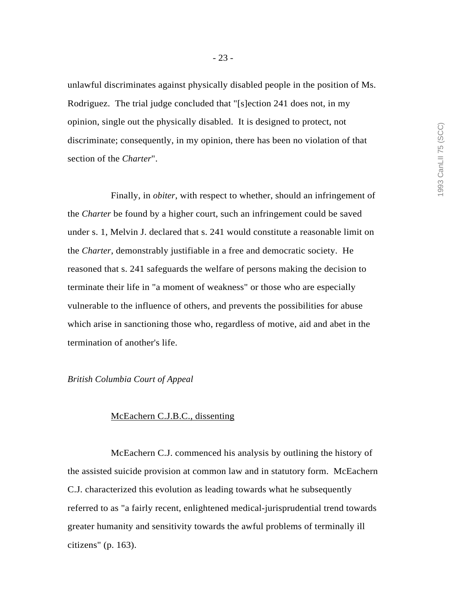unlawful discriminates against physically disabled people in the position of Ms. Rodriguez. The trial judge concluded that "[s]ection 241 does not, in my opinion, single out the physically disabled. It is designed to protect, not discriminate; consequently, in my opinion, there has been no violation of that section of the *Charter*".

Finally, in *obiter*, with respect to whether, should an infringement of the *Charter* be found by a higher court, such an infringement could be saved under s. 1, Melvin J. declared that s. 241 would constitute a reasonable limit on the *Charter*, demonstrably justifiable in a free and democratic society. He reasoned that s. 241 safeguards the welfare of persons making the decision to terminate their life in "a moment of weakness" or those who are especially vulnerable to the influence of others, and prevents the possibilities for abuse which arise in sanctioning those who, regardless of motive, aid and abet in the termination of another's life.

#### *British Columbia Court of Appeal*

#### McEachern C.J.B.C., dissenting

McEachern C.J. commenced his analysis by outlining the history of the assisted suicide provision at common law and in statutory form. McEachern C.J. characterized this evolution as leading towards what he subsequently referred to as "a fairly recent, enlightened medical-jurisprudential trend towards greater humanity and sensitivity towards the awful problems of terminally ill citizens" (p. 163).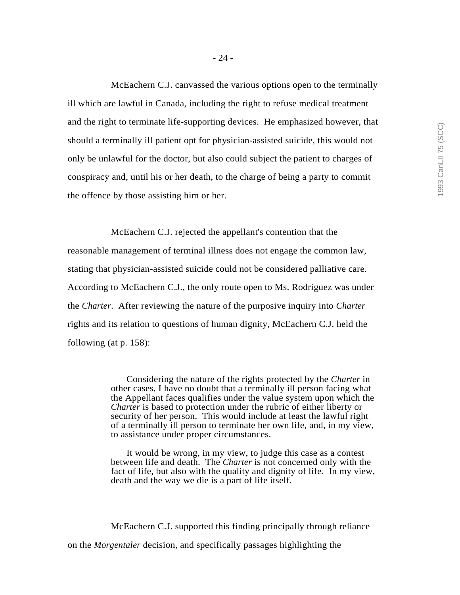McEachern C.J. canvassed the various options open to the terminally ill which are lawful in Canada, including the right to refuse medical treatment and the right to terminate life-supporting devices. He emphasized however, that should a terminally ill patient opt for physician-assisted suicide, this would not only be unlawful for the doctor, but also could subject the patient to charges of conspiracy and, until his or her death, to the charge of being a party to commit the offence by those assisting him or her.

McEachern C.J. rejected the appellant's contention that the reasonable management of terminal illness does not engage the common law, stating that physician-assisted suicide could not be considered palliative care. According to McEachern C.J., the only route open to Ms. Rodriguez was under the *Charter*. After reviewing the nature of the purposive inquiry into *Charter* rights and its relation to questions of human dignity, McEachern C.J. held the following (at p. 158):

> Considering the nature of the rights protected by the *Charter* in other cases, I have no doubt that a terminally ill person facing what the Appellant faces qualifies under the value system upon which the *Charter* is based to protection under the rubric of either liberty or security of her person. This would include at least the lawful right of a terminally ill person to terminate her own life, and, in my view, to assistance under proper circumstances.

> It would be wrong, in my view, to judge this case as a contest between life and death. The *Charter* is not concerned only with the fact of life, but also with the quality and dignity of life. In my view, death and the way we die is a part of life itself.

McEachern C.J. supported this finding principally through reliance on the *Morgentaler* decision, and specifically passages highlighting the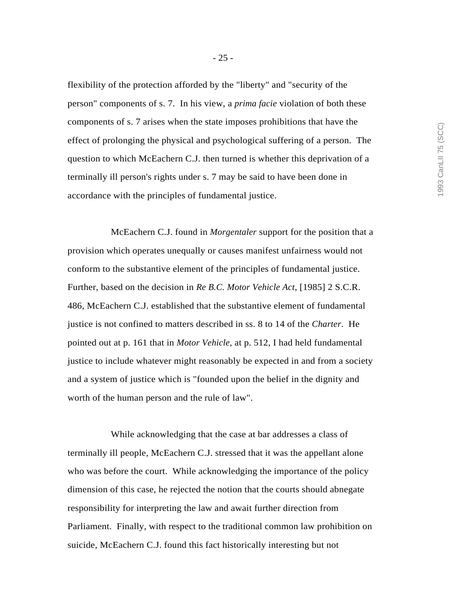flexibility of the protection afforded by the "liberty" and "security of the person" components of s. 7. In his view, a *prima facie* violation of both these components of s. 7 arises when the state imposes prohibitions that have the effect of prolonging the physical and psychological suffering of a person. The question to which McEachern C.J. then turned is whether this deprivation of a terminally ill person's rights under s. 7 may be said to have been done in accordance with the principles of fundamental justice.

McEachern C.J. found in *Morgentaler* support for the position that a provision which operates unequally or causes manifest unfairness would not conform to the substantive element of the principles of fundamental justice. Further, based on the decision in *Re B.C. Motor Vehicle Act*, [1985] 2 S.C.R. 486, McEachern C.J. established that the substantive element of fundamental justice is not confined to matters described in ss. 8 to 14 of the *Charter*. He pointed out at p. 161 that in *Motor Vehicle*, at p. 512, I had held fundamental justice to include whatever might reasonably be expected in and from a society and a system of justice which is "founded upon the belief in the dignity and worth of the human person and the rule of law".

While acknowledging that the case at bar addresses a class of terminally ill people, McEachern C.J. stressed that it was the appellant alone who was before the court. While acknowledging the importance of the policy dimension of this case, he rejected the notion that the courts should abnegate responsibility for interpreting the law and await further direction from Parliament. Finally, with respect to the traditional common law prohibition on suicide, McEachern C.J. found this fact historically interesting but not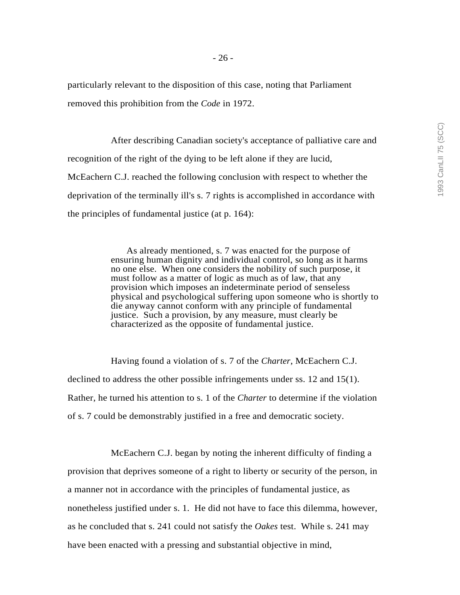- 26 -

particularly relevant to the disposition of this case, noting that Parliament removed this prohibition from the *Code* in 1972.

After describing Canadian society's acceptance of palliative care and recognition of the right of the dying to be left alone if they are lucid, McEachern C.J. reached the following conclusion with respect to whether the deprivation of the terminally ill's s. 7 rights is accomplished in accordance with

the principles of fundamental justice (at p. 164):

As already mentioned, s. 7 was enacted for the purpose of ensuring human dignity and individual control, so long as it harms no one else. When one considers the nobility of such purpose, it must follow as a matter of logic as much as of law, that any provision which imposes an indeterminate period of senseless physical and psychological suffering upon someone who is shortly to die anyway cannot conform with any principle of fundamental justice. Such a provision, by any measure, must clearly be characterized as the opposite of fundamental justice.

Having found a violation of s. 7 of the *Charter*, McEachern C.J. declined to address the other possible infringements under ss. 12 and 15(1). Rather, he turned his attention to s. 1 of the *Charter* to determine if the violation of s. 7 could be demonstrably justified in a free and democratic society.

McEachern C.J. began by noting the inherent difficulty of finding a provision that deprives someone of a right to liberty or security of the person, in a manner not in accordance with the principles of fundamental justice, as nonetheless justified under s. 1. He did not have to face this dilemma, however, as he concluded that s. 241 could not satisfy the *Oakes* test. While s. 241 may have been enacted with a pressing and substantial objective in mind,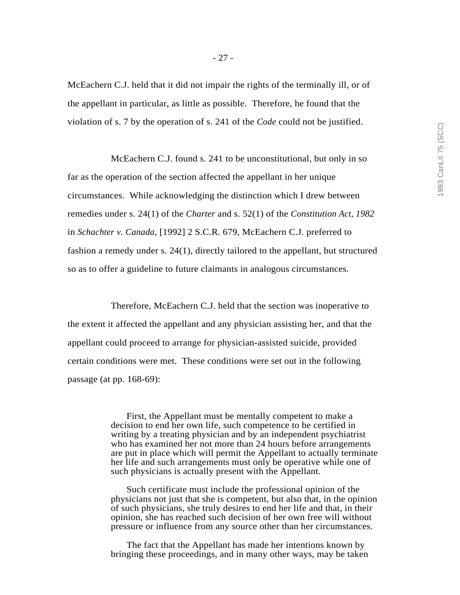McEachern C.J. held that it did not impair the rights of the terminally ill, or of the appellant in particular, as little as possible. Therefore, he found that the violation of s. 7 by the operation of s. 241 of the *Code* could not be justified.

McEachern C.J. found s. 241 to be unconstitutional, but only in so far as the operation of the section affected the appellant in her unique circumstances. While acknowledging the distinction which I drew between remedies under s. 24(1) of the *Charter* and s. 52(1) of the *Constitution Act, 1982* in *Schachter v. Canada*, [1992] 2 S.C.R. 679, McEachern C.J. preferred to fashion a remedy under s. 24(1), directly tailored to the appellant, but structured so as to offer a guideline to future claimants in analogous circumstances.

Therefore, McEachern C.J. held that the section was inoperative to the extent it affected the appellant and any physician assisting her, and that the appellant could proceed to arrange for physician-assisted suicide, provided certain conditions were met. These conditions were set out in the following passage (at pp. 168-69):

> First, the Appellant must be mentally competent to make a decision to end her own life, such competence to be certified in writing by a treating physician and by an independent psychiatrist who has examined her not more than 24 hours before arrangements are put in place which will permit the Appellant to actually terminate her life and such arrangements must only be operative while one of such physicians is actually present with the Appellant.

> Such certificate must include the professional opinion of the physicians not just that she is competent, but also that, in the opinion of such physicians, she truly desires to end her life and that, in their opinion, she has reached such decision of her own free will without pressure or influence from any source other than her circumstances.

The fact that the Appellant has made her intentions known by bringing these proceedings, and in many other ways, may be taken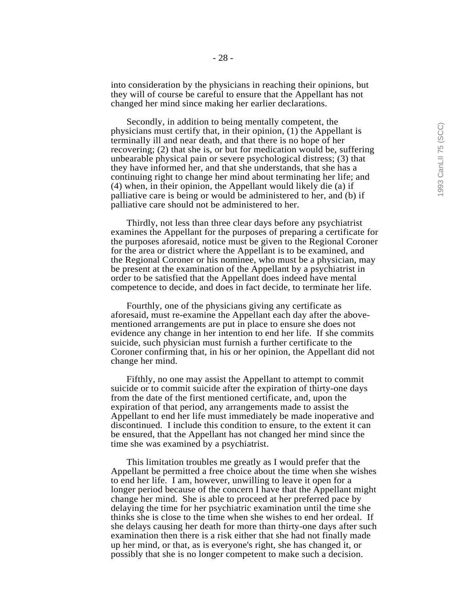into consideration by the physicians in reaching their opinions, but they will of course be careful to ensure that the Appellant has not changed her mind since making her earlier declarations.

Secondly, in addition to being mentally competent, the physicians must certify that, in their opinion, (1) the Appellant is terminally ill and near death, and that there is no hope of her recovering; (2) that she is, or but for medication would be, suffering unbearable physical pain or severe psychological distress; (3) that they have informed her, and that she understands, that she has a continuing right to change her mind about terminating her life; and (4) when, in their opinion, the Appellant would likely die (a) if palliative care is being or would be administered to her, and (b) if palliative care should not be administered to her.

Thirdly, not less than three clear days before any psychiatrist examines the Appellant for the purposes of preparing a certificate for the purposes aforesaid, notice must be given to the Regional Coroner for the area or district where the Appellant is to be examined, and the Regional Coroner or his nominee, who must be a physician, may be present at the examination of the Appellant by a psychiatrist in order to be satisfied that the Appellant does indeed have mental competence to decide, and does in fact decide, to terminate her life.

Fourthly, one of the physicians giving any certificate as aforesaid, must re-examine the Appellant each day after the abovementioned arrangements are put in place to ensure she does not evidence any change in her intention to end her life. If she commits suicide, such physician must furnish a further certificate to the Coroner confirming that, in his or her opinion, the Appellant did not change her mind.

Fifthly, no one may assist the Appellant to attempt to commit suicide or to commit suicide after the expiration of thirty-one days from the date of the first mentioned certificate, and, upon the expiration of that period, any arrangements made to assist the Appellant to end her life must immediately be made inoperative and discontinued. I include this condition to ensure, to the extent it can be ensured, that the Appellant has not changed her mind since the time she was examined by a psychiatrist.

This limitation troubles me greatly as I would prefer that the Appellant be permitted a free choice about the time when she wishes to end her life. I am, however, unwilling to leave it open for a longer period because of the concern I have that the Appellant might change her mind. She is able to proceed at her preferred pace by delaying the time for her psychiatric examination until the time she thinks she is close to the time when she wishes to end her ordeal. If she delays causing her death for more than thirty-one days after such examination then there is a risk either that she had not finally made up her mind, or that, as is everyone's right, she has changed it, or possibly that she is no longer competent to make such a decision.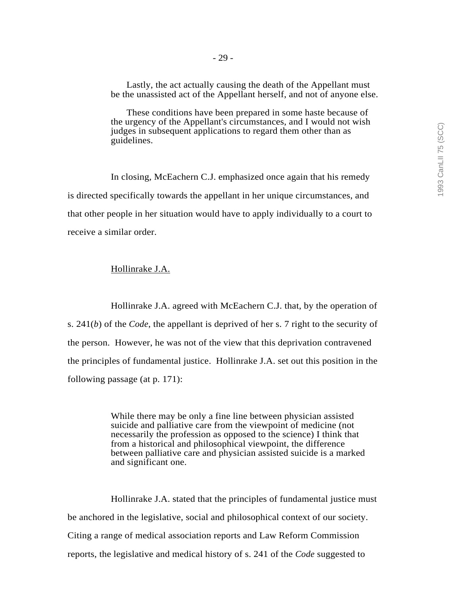These conditions have been prepared in some haste because of the urgency of the Appellant's circumstances, and I would not wish judges in subsequent applications to regard them other than as guidelines.

In closing, McEachern C.J. emphasized once again that his remedy is directed specifically towards the appellant in her unique circumstances, and that other people in her situation would have to apply individually to a court to receive a similar order.

### Hollinrake J.A.

Hollinrake J.A. agreed with McEachern C.J. that, by the operation of s. 241(*b*) of the *Code*, the appellant is deprived of her s. 7 right to the security of the person. However, he was not of the view that this deprivation contravened the principles of fundamental justice. Hollinrake J.A. set out this position in the following passage (at p. 171):

> While there may be only a fine line between physician assisted suicide and palliative care from the viewpoint of medicine (not necessarily the profession as opposed to the science) I think that from a historical and philosophical viewpoint, the difference between palliative care and physician assisted suicide is a marked and significant one.

Hollinrake J.A. stated that the principles of fundamental justice must be anchored in the legislative, social and philosophical context of our society. Citing a range of medical association reports and Law Reform Commission reports, the legislative and medical history of s. 241 of the *Code* suggested to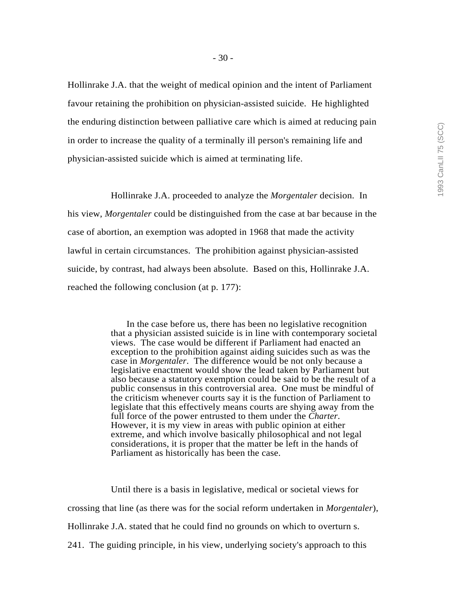Hollinrake J.A. that the weight of medical opinion and the intent of Parliament favour retaining the prohibition on physician-assisted suicide. He highlighted the enduring distinction between palliative care which is aimed at reducing pain in order to increase the quality of a terminally ill person's remaining life and physician-assisted suicide which is aimed at terminating life.

Hollinrake J.A. proceeded to analyze the *Morgentaler* decision. In his view, *Morgentaler* could be distinguished from the case at bar because in the case of abortion, an exemption was adopted in 1968 that made the activity lawful in certain circumstances. The prohibition against physician-assisted suicide, by contrast, had always been absolute. Based on this, Hollinrake J.A. reached the following conclusion (at p. 177):

> In the case before us, there has been no legislative recognition that a physician assisted suicide is in line with contemporary societal views. The case would be different if Parliament had enacted an exception to the prohibition against aiding suicides such as was the case in *Morgentaler*. The difference would be not only because a legislative enactment would show the lead taken by Parliament but also because a statutory exemption could be said to be the result of a public consensus in this controversial area. One must be mindful of the criticism whenever courts say it is the function of Parliament to legislate that this effectively means courts are shying away from the full force of the power entrusted to them under the *Charter*. However, it is my view in areas with public opinion at either extreme, and which involve basically philosophical and not legal considerations, it is proper that the matter be left in the hands of Parliament as historically has been the case.

Until there is a basis in legislative, medical or societal views for crossing that line (as there was for the social reform undertaken in *Morgentaler*), Hollinrake J.A. stated that he could find no grounds on which to overturn s. 241. The guiding principle, in his view, underlying society's approach to this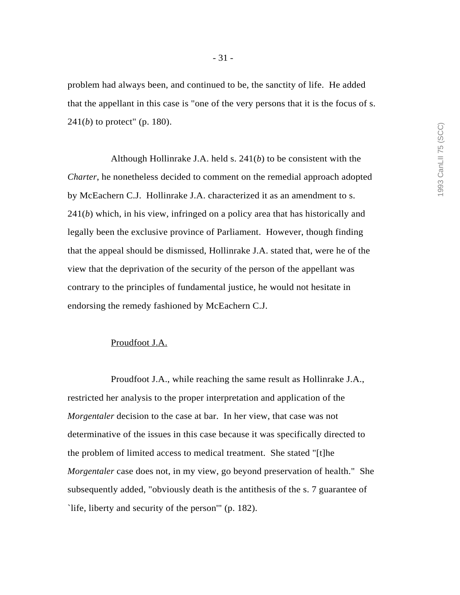problem had always been, and continued to be, the sanctity of life. He added that the appellant in this case is "one of the very persons that it is the focus of s. 241(*b*) to protect" (p. 180).

Although Hollinrake J.A. held s. 241(*b*) to be consistent with the *Charter*, he nonetheless decided to comment on the remedial approach adopted by McEachern C.J. Hollinrake J.A. characterized it as an amendment to s. 241(*b*) which, in his view, infringed on a policy area that has historically and legally been the exclusive province of Parliament. However, though finding that the appeal should be dismissed, Hollinrake J.A. stated that, were he of the view that the deprivation of the security of the person of the appellant was contrary to the principles of fundamental justice, he would not hesitate in endorsing the remedy fashioned by McEachern C.J.

# Proudfoot J.A.

Proudfoot J.A., while reaching the same result as Hollinrake J.A., restricted her analysis to the proper interpretation and application of the *Morgentaler* decision to the case at bar. In her view, that case was not determinative of the issues in this case because it was specifically directed to the problem of limited access to medical treatment. She stated "[t]he *Morgentaler* case does not, in my view, go beyond preservation of health." She subsequently added, "obviously death is the antithesis of the s. 7 guarantee of `life, liberty and security of the person'" (p. 182).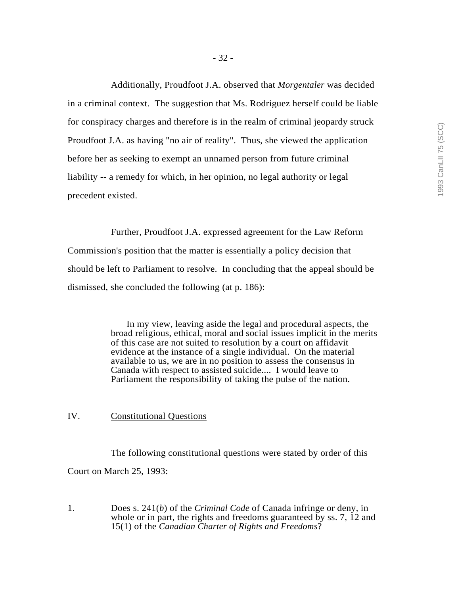Additionally, Proudfoot J.A. observed that *Morgentaler* was decided in a criminal context. The suggestion that Ms. Rodriguez herself could be liable for conspiracy charges and therefore is in the realm of criminal jeopardy struck Proudfoot J.A. as having "no air of reality". Thus, she viewed the application before her as seeking to exempt an unnamed person from future criminal liability -- a remedy for which, in her opinion, no legal authority or legal precedent existed.

Further, Proudfoot J.A. expressed agreement for the Law Reform Commission's position that the matter is essentially a policy decision that should be left to Parliament to resolve. In concluding that the appeal should be dismissed, she concluded the following (at p. 186):

> In my view, leaving aside the legal and procedural aspects, the broad religious, ethical, moral and social issues implicit in the merits of this case are not suited to resolution by a court on affidavit evidence at the instance of a single individual. On the material available to us, we are in no position to assess the consensus in Canada with respect to assisted suicide.... I would leave to Parliament the responsibility of taking the pulse of the nation.

## IV. Constitutional Questions

The following constitutional questions were stated by order of this Court on March 25, 1993:

1. Does s. 241(*b*) of the *Criminal Code* of Canada infringe or deny, in whole or in part, the rights and freedoms guaranteed by ss. 7, 12 and 15(1) of the *Canadian Charter of Rights and Freedoms*?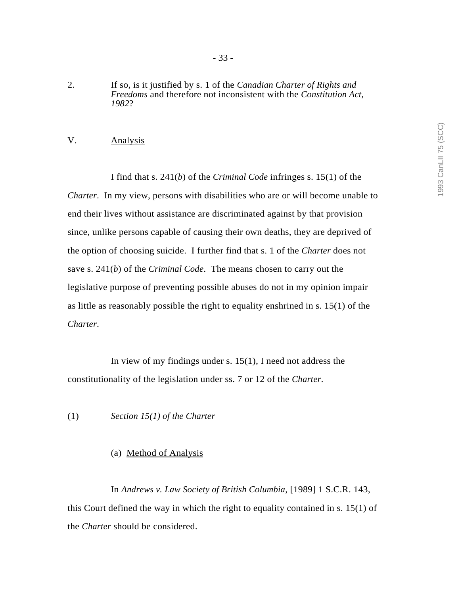2. If so, is it justified by s. 1 of the *Canadian Charter of Rights and Freedoms* and therefore not inconsistent with the *Constitution Act, 1982*?

## V. Analysis

I find that s. 241(*b*) of the *Criminal Code* infringes s. 15(1) of the *Charter*. In my view, persons with disabilities who are or will become unable to end their lives without assistance are discriminated against by that provision since, unlike persons capable of causing their own deaths, they are deprived of the option of choosing suicide. I further find that s. 1 of the *Charter* does not save s. 241(*b*) of the *Criminal Code*. The means chosen to carry out the legislative purpose of preventing possible abuses do not in my opinion impair as little as reasonably possible the right to equality enshrined in s. 15(1) of the *Charter*.

In view of my findings under s.  $15(1)$ , I need not address the constitutionality of the legislation under ss. 7 or 12 of the *Charter*.

(1) *Section 15(1) of the Charter*

# (a) Method of Analysis

In *Andrews v. Law Society of British Columbia*, [1989] 1 S.C.R. 143, this Court defined the way in which the right to equality contained in s. 15(1) of the *Charter* should be considered.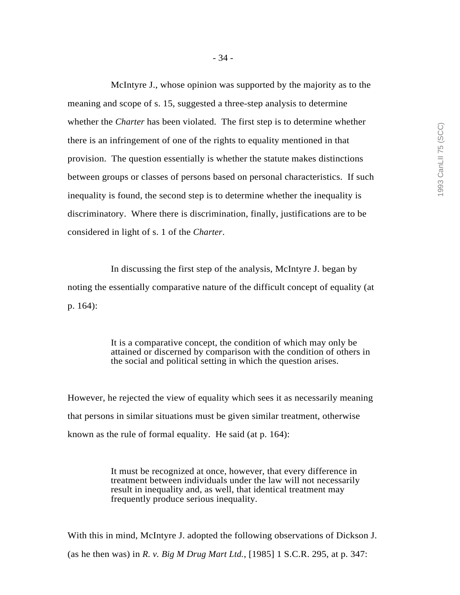McIntyre J., whose opinion was supported by the majority as to the meaning and scope of s. 15, suggested a three-step analysis to determine whether the *Charter* has been violated. The first step is to determine whether there is an infringement of one of the rights to equality mentioned in that provision. The question essentially is whether the statute makes distinctions between groups or classes of persons based on personal characteristics. If such inequality is found, the second step is to determine whether the inequality is discriminatory. Where there is discrimination, finally, justifications are to be considered in light of s. 1 of the *Charter*.

In discussing the first step of the analysis, McIntyre J. began by noting the essentially comparative nature of the difficult concept of equality (at p. 164):

> It is a comparative concept, the condition of which may only be attained or discerned by comparison with the condition of others in the social and political setting in which the question arises.

However, he rejected the view of equality which sees it as necessarily meaning that persons in similar situations must be given similar treatment, otherwise known as the rule of formal equality. He said (at p. 164):

> It must be recognized at once, however, that every difference in treatment between individuals under the law will not necessarily result in inequality and, as well, that identical treatment may frequently produce serious inequality.

With this in mind, McIntyre J. adopted the following observations of Dickson J.

(as he then was) in *R. v. Big M Drug Mart Ltd.*, [1985] 1 S.C.R. 295, at p. 347: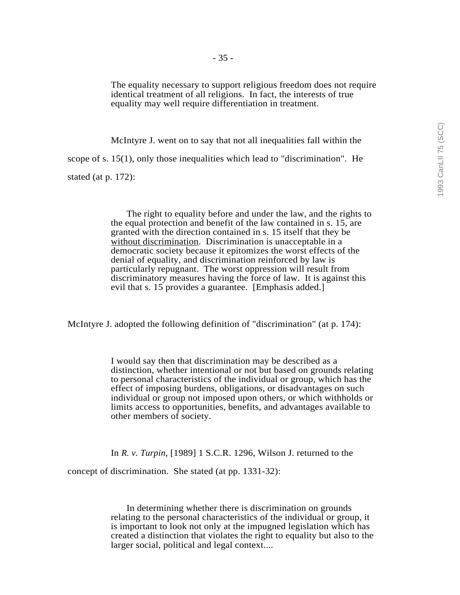The equality necessary to support religious freedom does not require identical treatment of all religions. In fact, the interests of true equality may well require differentiation in treatment.

McIntyre J. went on to say that not all inequalities fall within the scope of s. 15(1), only those inequalities which lead to "discrimination". He stated (at p. 172):

> The right to equality before and under the law, and the rights to the equal protection and benefit of the law contained in s. 15, are granted with the direction contained in s. 15 itself that they be without discrimination. Discrimination is unacceptable in a democratic society because it epitomizes the worst effects of the denial of equality, and discrimination reinforced by law is particularly repugnant. The worst oppression will result from discriminatory measures having the force of law. It is against this evil that s. 15 provides a guarantee. [Emphasis added.]

McIntyre J. adopted the following definition of "discrimination" (at p. 174):

I would say then that discrimination may be described as a distinction, whether intentional or not but based on grounds relating to personal characteristics of the individual or group, which has the effect of imposing burdens, obligations, or disadvantages on such individual or group not imposed upon others, or which withholds or limits access to opportunities, benefits, and advantages available to other members of society.

In *R. v. Turpin*, [1989] 1 S.C.R. 1296, Wilson J. returned to the

concept of discrimination. She stated (at pp. 1331-32):

In determining whether there is discrimination on grounds relating to the personal characteristics of the individual or group, it is important to look not only at the impugned legislation which has created a distinction that violates the right to equality but also to the larger social, political and legal context....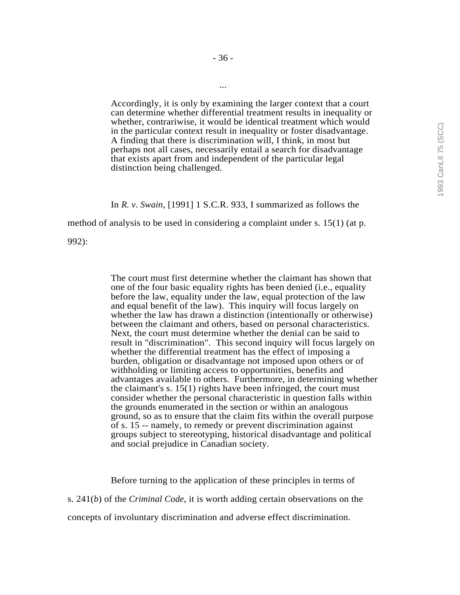Accordingly, it is only by examining the larger context that a court can determine whether differential treatment results in inequality or whether, contrariwise, it would be identical treatment which would in the particular context result in inequality or foster disadvantage. A finding that there is discrimination will, I think, in most but perhaps not all cases, necessarily entail a search for disadvantage that exists apart from and independent of the particular legal distinction being challenged.

In *R. v. Swain*, [1991] 1 S.C.R. 933, I summarized as follows the

method of analysis to be used in considering a complaint under s. 15(1) (at p.

992):

The court must first determine whether the claimant has shown that one of the four basic equality rights has been denied (i.e., equality before the law, equality under the law, equal protection of the law and equal benefit of the law). This inquiry will focus largely on whether the law has drawn a distinction (intentionally or otherwise) between the claimant and others, based on personal characteristics. Next, the court must determine whether the denial can be said to result in "discrimination". This second inquiry will focus largely on whether the differential treatment has the effect of imposing a burden, obligation or disadvantage not imposed upon others or of withholding or limiting access to opportunities, benefits and advantages available to others. Furthermore, in determining whether the claimant's s. 15(1) rights have been infringed, the court must consider whether the personal characteristic in question falls within the grounds enumerated in the section or within an analogous ground, so as to ensure that the claim fits within the overall purpose of s. 15 -- namely, to remedy or prevent discrimination against groups subject to stereotyping, historical disadvantage and political and social prejudice in Canadian society.

Before turning to the application of these principles in terms of

s. 241(*b*) of the *Criminal Code*, it is worth adding certain observations on the

concepts of involuntary discrimination and adverse effect discrimination.

...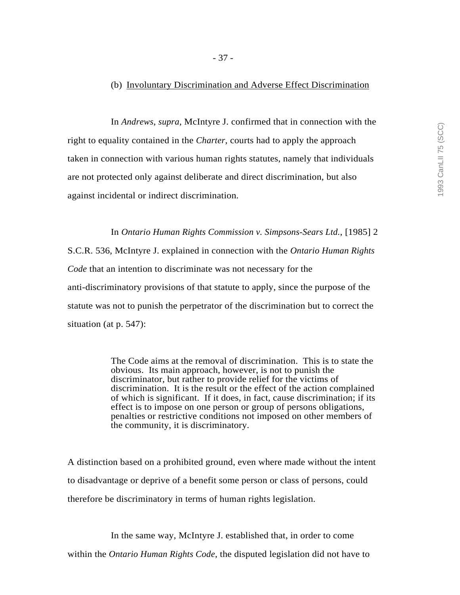## (b) Involuntary Discrimination and Adverse Effect Discrimination

In *Andrews*, *supra*, McIntyre J. confirmed that in connection with the right to equality contained in the *Charter*, courts had to apply the approach taken in connection with various human rights statutes, namely that individuals are not protected only against deliberate and direct discrimination, but also against incidental or indirect discrimination.

In *Ontario Human Rights Commission v. Simpsons-Sears Ltd.*, [1985] 2 S.C.R. 536, McIntyre J. explained in connection with the *Ontario Human Rights Code* that an intention to discriminate was not necessary for the anti-discriminatory provisions of that statute to apply, since the purpose of the statute was not to punish the perpetrator of the discrimination but to correct the situation (at p. 547):

> The Code aims at the removal of discrimination. This is to state the obvious. Its main approach, however, is not to punish the discriminator, but rather to provide relief for the victims of discrimination. It is the result or the effect of the action complained of which is significant. If it does, in fact, cause discrimination; if its effect is to impose on one person or group of persons obligations, penalties or restrictive conditions not imposed on other members of the community, it is discriminatory.

A distinction based on a prohibited ground, even where made without the intent to disadvantage or deprive of a benefit some person or class of persons, could therefore be discriminatory in terms of human rights legislation.

In the same way, McIntyre J. established that, in order to come

within the *Ontario Human Rights Code*, the disputed legislation did not have to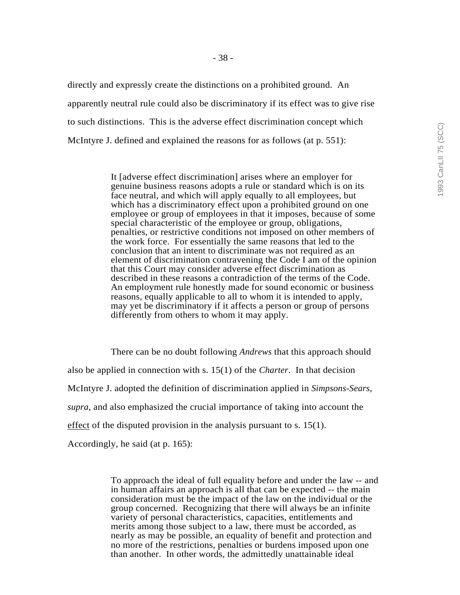directly and expressly create the distinctions on a prohibited ground. An apparently neutral rule could also be discriminatory if its effect was to give rise to such distinctions. This is the adverse effect discrimination concept which McIntyre J. defined and explained the reasons for as follows (at p. 551):

> It [adverse effect discrimination] arises where an employer for genuine business reasons adopts a rule or standard which is on its face neutral, and which will apply equally to all employees, but which has a discriminatory effect upon a prohibited ground on one employee or group of employees in that it imposes, because of some special characteristic of the employee or group, obligations, penalties, or restrictive conditions not imposed on other members of the work force. For essentially the same reasons that led to the conclusion that an intent to discriminate was not required as an element of discrimination contravening the Code I am of the opinion that this Court may consider adverse effect discrimination as described in these reasons a contradiction of the terms of the Code. An employment rule honestly made for sound economic or business reasons, equally applicable to all to whom it is intended to apply, may yet be discriminatory if it affects a person or group of persons differently from others to whom it may apply.

There can be no doubt following *Andrews* that this approach should also be applied in connection with s. 15(1) of the *Charter*. In that decision McIntyre J. adopted the definition of discrimination applied in *Simpsons-Sears*, *supra*, and also emphasized the crucial importance of taking into account the effect of the disputed provision in the analysis pursuant to s. 15(1). Accordingly, he said (at p. 165):

> To approach the ideal of full equality before and under the law -- and in human affairs an approach is all that can be expected -- the main consideration must be the impact of the law on the individual or the group concerned. Recognizing that there will always be an infinite variety of personal characteristics, capacities, entitlements and merits among those subject to a law, there must be accorded, as nearly as may be possible, an equality of benefit and protection and no more of the restrictions, penalties or burdens imposed upon one than another. In other words, the admittedly unattainable ideal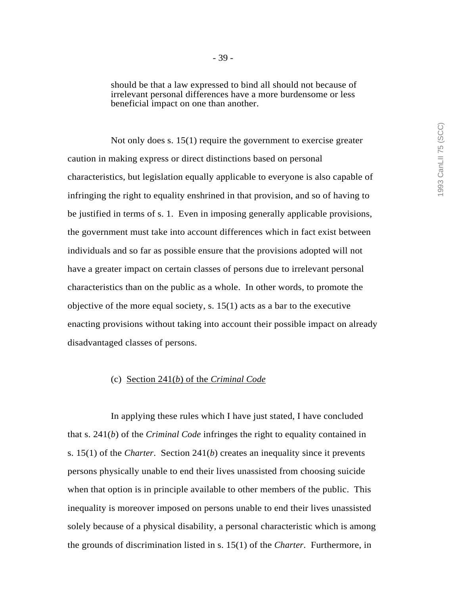should be that a law expressed to bind all should not because of irrelevant personal differences have a more burdensome or less beneficial impact on one than another.

Not only does s. 15(1) require the government to exercise greater caution in making express or direct distinctions based on personal characteristics, but legislation equally applicable to everyone is also capable of infringing the right to equality enshrined in that provision, and so of having to be justified in terms of s. 1. Even in imposing generally applicable provisions, the government must take into account differences which in fact exist between individuals and so far as possible ensure that the provisions adopted will not have a greater impact on certain classes of persons due to irrelevant personal characteristics than on the public as a whole. In other words, to promote the objective of the more equal society, s. 15(1) acts as a bar to the executive enacting provisions without taking into account their possible impact on already disadvantaged classes of persons.

#### (c) Section 241(*b*) of the *Criminal Code*

In applying these rules which I have just stated, I have concluded that s. 241(*b*) of the *Criminal Code* infringes the right to equality contained in s. 15(1) of the *Charter*. Section 241(*b*) creates an inequality since it prevents persons physically unable to end their lives unassisted from choosing suicide when that option is in principle available to other members of the public. This inequality is moreover imposed on persons unable to end their lives unassisted solely because of a physical disability, a personal characteristic which is among the grounds of discrimination listed in s. 15(1) of the *Charter*. Furthermore, in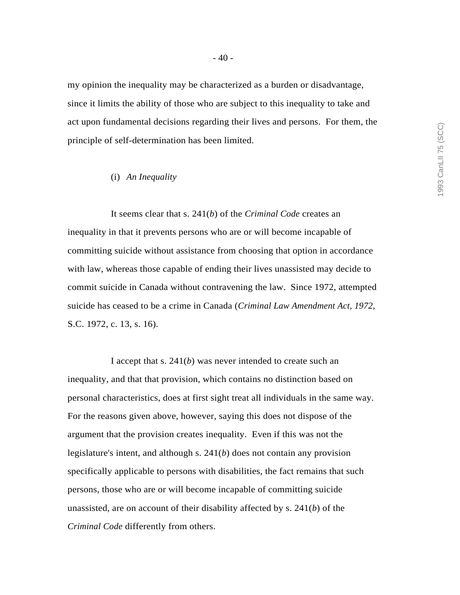my opinion the inequality may be characterized as a burden or disadvantage, since it limits the ability of those who are subject to this inequality to take and act upon fundamental decisions regarding their lives and persons. For them, the principle of self-determination has been limited.

### (i) *An Inequality*

It seems clear that s. 241(*b*) of the *Criminal Code* creates an inequality in that it prevents persons who are or will become incapable of committing suicide without assistance from choosing that option in accordance with law, whereas those capable of ending their lives unassisted may decide to commit suicide in Canada without contravening the law. Since 1972, attempted suicide has ceased to be a crime in Canada (*Criminal Law Amendment Act, 1972*, S.C. 1972, c. 13, s. 16).

I accept that s. 241(*b*) was never intended to create such an inequality, and that that provision, which contains no distinction based on personal characteristics, does at first sight treat all individuals in the same way. For the reasons given above, however, saying this does not dispose of the argument that the provision creates inequality. Even if this was not the legislature's intent, and although s. 241(*b*) does not contain any provision specifically applicable to persons with disabilities, the fact remains that such persons, those who are or will become incapable of committing suicide unassisted, are on account of their disability affected by s. 241(*b*) of the *Criminal Code* differently from others.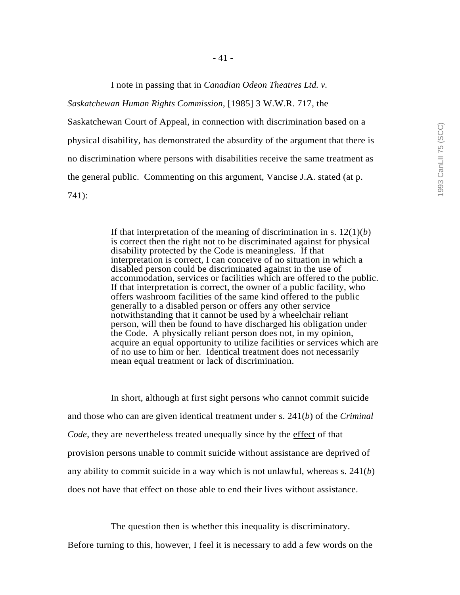I note in passing that in *Canadian Odeon Theatres Ltd. v.*

*Saskatchewan Human Rights Commission*, [1985] 3 W.W.R. 717, the

Saskatchewan Court of Appeal, in connection with discrimination based on a physical disability, has demonstrated the absurdity of the argument that there is no discrimination where persons with disabilities receive the same treatment as the general public. Commenting on this argument, Vancise J.A. stated (at p. 741):

> If that interpretation of the meaning of discrimination in s. 12(1)(*b*) is correct then the right not to be discriminated against for physical disability protected by the Code is meaningless. If that interpretation is correct, I can conceive of no situation in which a disabled person could be discriminated against in the use of accommodation, services or facilities which are offered to the public. If that interpretation is correct, the owner of a public facility, who offers washroom facilities of the same kind offered to the public generally to a disabled person or offers any other service notwithstanding that it cannot be used by a wheelchair reliant person, will then be found to have discharged his obligation under the Code. A physically reliant person does not, in my opinion, acquire an equal opportunity to utilize facilities or services which are of no use to him or her. Identical treatment does not necessarily mean equal treatment or lack of discrimination.

In short, although at first sight persons who cannot commit suicide and those who can are given identical treatment under s. 241(*b*) of the *Criminal Code*, they are nevertheless treated unequally since by the effect of that provision persons unable to commit suicide without assistance are deprived of any ability to commit suicide in a way which is not unlawful, whereas s. 241(*b*) does not have that effect on those able to end their lives without assistance.

The question then is whether this inequality is discriminatory.

Before turning to this, however, I feel it is necessary to add a few words on the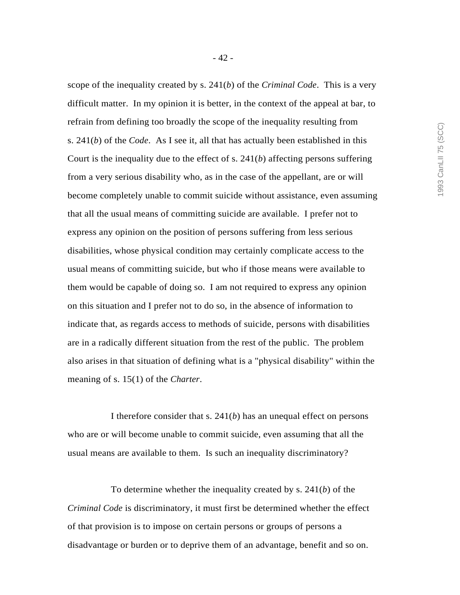scope of the inequality created by s. 241(*b*) of the *Criminal Code*. This is a very difficult matter. In my opinion it is better, in the context of the appeal at bar, to refrain from defining too broadly the scope of the inequality resulting from s. 241(*b*) of the *Code*. As I see it, all that has actually been established in this Court is the inequality due to the effect of s.  $241(b)$  affecting persons suffering from a very serious disability who, as in the case of the appellant, are or will become completely unable to commit suicide without assistance, even assuming that all the usual means of committing suicide are available. I prefer not to express any opinion on the position of persons suffering from less serious disabilities, whose physical condition may certainly complicate access to the usual means of committing suicide, but who if those means were available to them would be capable of doing so. I am not required to express any opinion on this situation and I prefer not to do so, in the absence of information to indicate that, as regards access to methods of suicide, persons with disabilities are in a radically different situation from the rest of the public. The problem also arises in that situation of defining what is a "physical disability" within the meaning of s. 15(1) of the *Charter*.

I therefore consider that s. 241(*b*) has an unequal effect on persons who are or will become unable to commit suicide, even assuming that all the usual means are available to them. Is such an inequality discriminatory?

To determine whether the inequality created by s. 241(*b*) of the *Criminal Code* is discriminatory, it must first be determined whether the effect of that provision is to impose on certain persons or groups of persons a disadvantage or burden or to deprive them of an advantage, benefit and so on.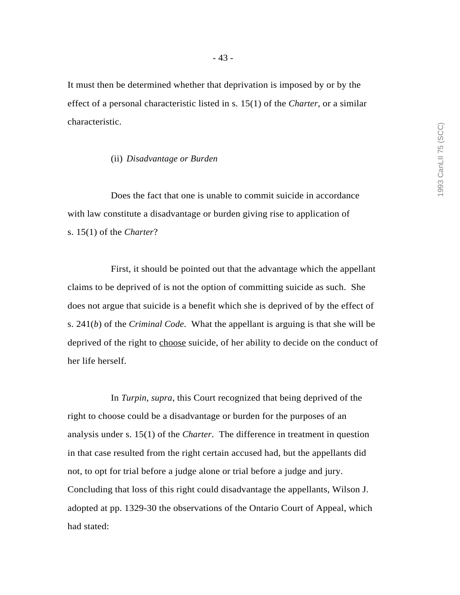It must then be determined whether that deprivation is imposed by or by the effect of a personal characteristic listed in s. 15(1) of the *Charter*, or a similar characteristic.

## (ii) *Disadvantage or Burden*

Does the fact that one is unable to commit suicide in accordance with law constitute a disadvantage or burden giving rise to application of s. 15(1) of the *Charter*?

First, it should be pointed out that the advantage which the appellant claims to be deprived of is not the option of committing suicide as such. She does not argue that suicide is a benefit which she is deprived of by the effect of s. 241(*b*) of the *Criminal Code*. What the appellant is arguing is that she will be deprived of the right to choose suicide, of her ability to decide on the conduct of her life herself.

In *Turpin*, *supra*, this Court recognized that being deprived of the right to choose could be a disadvantage or burden for the purposes of an analysis under s. 15(1) of the *Charter*. The difference in treatment in question in that case resulted from the right certain accused had, but the appellants did not, to opt for trial before a judge alone or trial before a judge and jury. Concluding that loss of this right could disadvantage the appellants, Wilson J. adopted at pp. 1329-30 the observations of the Ontario Court of Appeal, which had stated: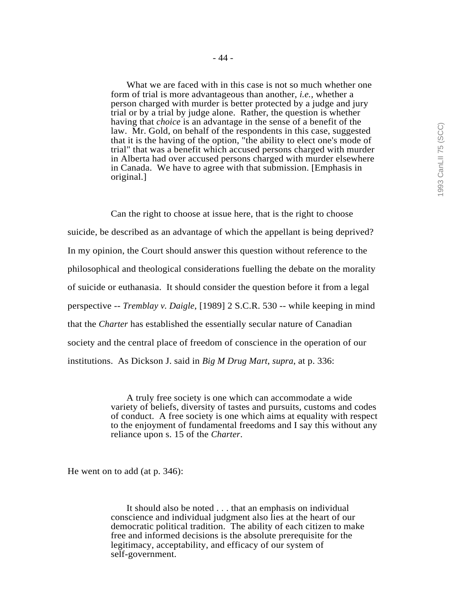What we are faced with in this case is not so much whether one form of trial is more advantageous than another, *i.e.*, whether a person charged with murder is better protected by a judge and jury trial or by a trial by judge alone. Rather, the question is whether having that *choice* is an advantage in the sense of a benefit of the law. Mr. Gold, on behalf of the respondents in this case, suggested that it is the having of the option, "the ability to elect one's mode of trial" that was a benefit which accused persons charged with murder in Alberta had over accused persons charged with murder elsewhere in Canada. We have to agree with that submission. [Emphasis in original.]

Can the right to choose at issue here, that is the right to choose suicide, be described as an advantage of which the appellant is being deprived? In my opinion, the Court should answer this question without reference to the philosophical and theological considerations fuelling the debate on the morality of suicide or euthanasia. It should consider the question before it from a legal perspective -- *Tremblay v. Daigle*, [1989] 2 S.C.R. 530 -- while keeping in mind that the *Charter* has established the essentially secular nature of Canadian society and the central place of freedom of conscience in the operation of our institutions. As Dickson J. said in *Big M Drug Mart*, *supra*, at p. 336:

> A truly free society is one which can accommodate a wide variety of beliefs, diversity of tastes and pursuits, customs and codes of conduct. A free society is one which aims at equality with respect to the enjoyment of fundamental freedoms and I say this without any reliance upon s. 15 of the *Charter*.

He went on to add (at p. 346):

It should also be noted . . . that an emphasis on individual conscience and individual judgment also lies at the heart of our democratic political tradition. The ability of each citizen to make free and informed decisions is the absolute prerequisite for the legitimacy, acceptability, and efficacy of our system of self-government.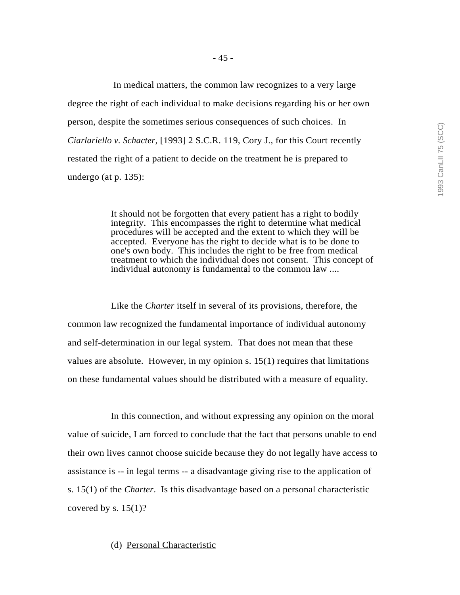In medical matters, the common law recognizes to a very large degree the right of each individual to make decisions regarding his or her own person, despite the sometimes serious consequences of such choices. In *Ciarlariello v. Schacter*, [1993] 2 S.C.R. 119, Cory J., for this Court recently restated the right of a patient to decide on the treatment he is prepared to undergo (at p. 135):

> It should not be forgotten that every patient has a right to bodily integrity. This encompasses the right to determine what medical procedures will be accepted and the extent to which they will be accepted. Everyone has the right to decide what is to be done to one's own body. This includes the right to be free from medical treatment to which the individual does not consent. This concept of individual autonomy is fundamental to the common law ....

Like the *Charter* itself in several of its provisions, therefore, the common law recognized the fundamental importance of individual autonomy and self-determination in our legal system. That does not mean that these values are absolute. However, in my opinion s. 15(1) requires that limitations on these fundamental values should be distributed with a measure of equality.

In this connection, and without expressing any opinion on the moral value of suicide, I am forced to conclude that the fact that persons unable to end their own lives cannot choose suicide because they do not legally have access to assistance is -- in legal terms -- a disadvantage giving rise to the application of s. 15(1) of the *Charter*. Is this disadvantage based on a personal characteristic covered by s.  $15(1)$ ?

(d) Personal Characteristic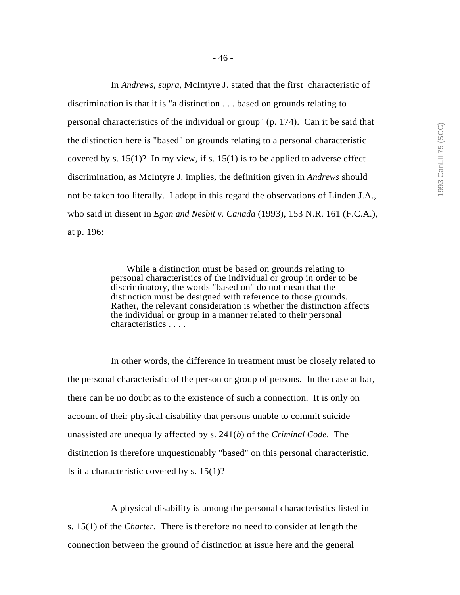In *Andrews*, *supra*, McIntyre J. stated that the first characteristic of discrimination is that it is "a distinction . . . based on grounds relating to personal characteristics of the individual or group" (p. 174). Can it be said that the distinction here is "based" on grounds relating to a personal characteristic covered by s.  $15(1)$ ? In my view, if s.  $15(1)$  is to be applied to adverse effect discrimination, as McIntyre J. implies, the definition given in *Andrews* should not be taken too literally. I adopt in this regard the observations of Linden J.A., who said in dissent in *Egan and Nesbit v. Canada* (1993), 153 N.R. 161 (F.C.A.), at p. 196:

> While a distinction must be based on grounds relating to personal characteristics of the individual or group in order to be discriminatory, the words "based on" do not mean that the distinction must be designed with reference to those grounds. Rather, the relevant consideration is whether the distinction affects the individual or group in a manner related to their personal characteristics . . . .

In other words, the difference in treatment must be closely related to the personal characteristic of the person or group of persons. In the case at bar, there can be no doubt as to the existence of such a connection. It is only on account of their physical disability that persons unable to commit suicide unassisted are unequally affected by s. 241(*b*) of the *Criminal Code*. The distinction is therefore unquestionably "based" on this personal characteristic. Is it a characteristic covered by s. 15(1)?

A physical disability is among the personal characteristics listed in s. 15(1) of the *Charter*. There is therefore no need to consider at length the connection between the ground of distinction at issue here and the general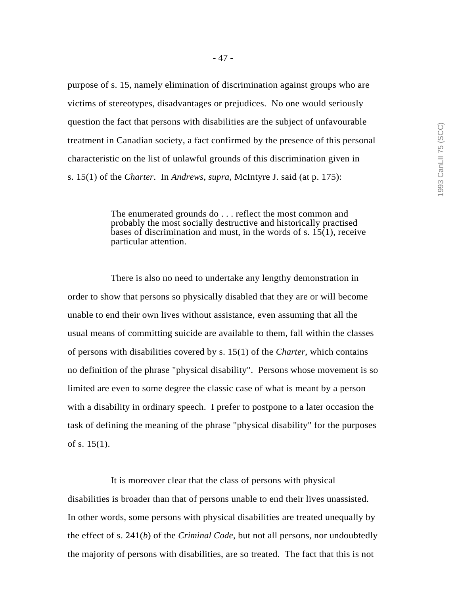purpose of s. 15, namely elimination of discrimination against groups who are victims of stereotypes, disadvantages or prejudices. No one would seriously question the fact that persons with disabilities are the subject of unfavourable treatment in Canadian society, a fact confirmed by the presence of this personal characteristic on the list of unlawful grounds of this discrimination given in s. 15(1) of the *Charter*. In *Andrews*, *supra*, McIntyre J. said (at p. 175):

> The enumerated grounds do . . . reflect the most common and probably the most socially destructive and historically practised bases of discrimination and must, in the words of s.  $15(1)$ , receive particular attention.

There is also no need to undertake any lengthy demonstration in order to show that persons so physically disabled that they are or will become unable to end their own lives without assistance, even assuming that all the usual means of committing suicide are available to them, fall within the classes of persons with disabilities covered by s. 15(1) of the *Charter*, which contains no definition of the phrase "physical disability". Persons whose movement is so limited are even to some degree the classic case of what is meant by a person with a disability in ordinary speech. I prefer to postpone to a later occasion the task of defining the meaning of the phrase "physical disability" for the purposes of s. 15(1).

It is moreover clear that the class of persons with physical disabilities is broader than that of persons unable to end their lives unassisted. In other words, some persons with physical disabilities are treated unequally by the effect of s. 241(*b*) of the *Criminal Code*, but not all persons, nor undoubtedly the majority of persons with disabilities, are so treated. The fact that this is not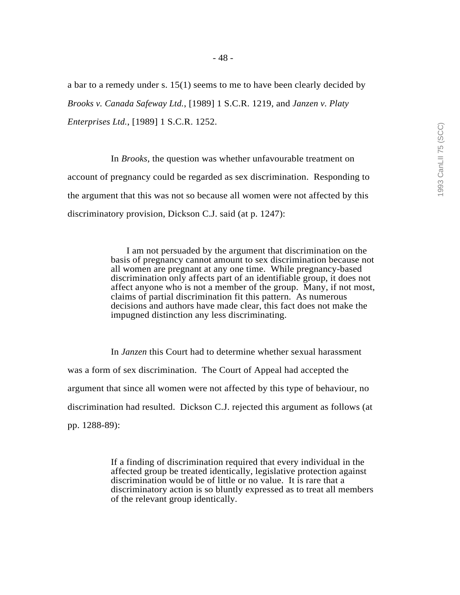a bar to a remedy under s. 15(1) seems to me to have been clearly decided by *Brooks v. Canada Safeway Ltd.*, [1989] 1 S.C.R. 1219, and *Janzen v. Platy Enterprises Ltd.*, [1989] 1 S.C.R. 1252.

In *Brooks*, the question was whether unfavourable treatment on account of pregnancy could be regarded as sex discrimination. Responding to the argument that this was not so because all women were not affected by this discriminatory provision, Dickson C.J. said (at p. 1247):

> I am not persuaded by the argument that discrimination on the basis of pregnancy cannot amount to sex discrimination because not all women are pregnant at any one time. While pregnancy-based discrimination only affects part of an identifiable group, it does not affect anyone who is not a member of the group. Many, if not most, claims of partial discrimination fit this pattern. As numerous decisions and authors have made clear, this fact does not make the impugned distinction any less discriminating.

In *Janzen* this Court had to determine whether sexual harassment was a form of sex discrimination. The Court of Appeal had accepted the argument that since all women were not affected by this type of behaviour, no discrimination had resulted. Dickson C.J. rejected this argument as follows (at pp. 1288-89):

> If a finding of discrimination required that every individual in the affected group be treated identically, legislative protection against discrimination would be of little or no value. It is rare that a discriminatory action is so bluntly expressed as to treat all members of the relevant group identically.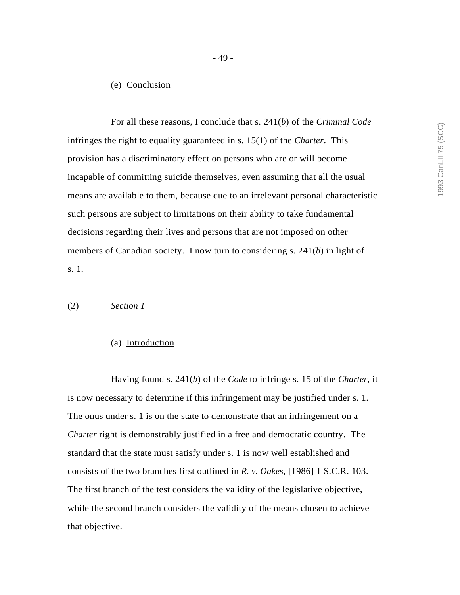### (e) Conclusion

For all these reasons, I conclude that s. 241(*b*) of the *Criminal Code* infringes the right to equality guaranteed in s. 15(1) of the *Charter*. This provision has a discriminatory effect on persons who are or will become incapable of committing suicide themselves, even assuming that all the usual means are available to them, because due to an irrelevant personal characteristic such persons are subject to limitations on their ability to take fundamental decisions regarding their lives and persons that are not imposed on other members of Canadian society. I now turn to considering s. 241(*b*) in light of s. 1.

# (2) *Section 1*

### (a) Introduction

Having found s. 241(*b*) of the *Code* to infringe s. 15 of the *Charter*, it is now necessary to determine if this infringement may be justified under s. 1. The onus under s. 1 is on the state to demonstrate that an infringement on a *Charter* right is demonstrably justified in a free and democratic country. The standard that the state must satisfy under s. 1 is now well established and consists of the two branches first outlined in *R. v. Oakes*, [1986] 1 S.C.R. 103. The first branch of the test considers the validity of the legislative objective, while the second branch considers the validity of the means chosen to achieve that objective.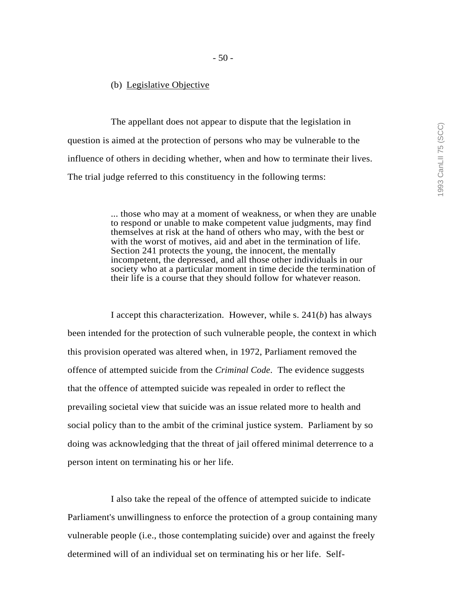The appellant does not appear to dispute that the legislation in question is aimed at the protection of persons who may be vulnerable to the influence of others in deciding whether, when and how to terminate their lives. The trial judge referred to this constituency in the following terms:

> ... those who may at a moment of weakness, or when they are unable to respond or unable to make competent value judgments, may find themselves at risk at the hand of others who may, with the best or with the worst of motives, aid and abet in the termination of life. Section 241 protects the young, the innocent, the mentally incompetent, the depressed, and all those other individuals in our society who at a particular moment in time decide the termination of their life is a course that they should follow for whatever reason.

I accept this characterization. However, while s. 241(*b*) has always been intended for the protection of such vulnerable people, the context in which this provision operated was altered when, in 1972, Parliament removed the offence of attempted suicide from the *Criminal Code*. The evidence suggests that the offence of attempted suicide was repealed in order to reflect the prevailing societal view that suicide was an issue related more to health and social policy than to the ambit of the criminal justice system. Parliament by so doing was acknowledging that the threat of jail offered minimal deterrence to a person intent on terminating his or her life.

I also take the repeal of the offence of attempted suicide to indicate Parliament's unwillingness to enforce the protection of a group containing many vulnerable people (i.e., those contemplating suicide) over and against the freely determined will of an individual set on terminating his or her life. Self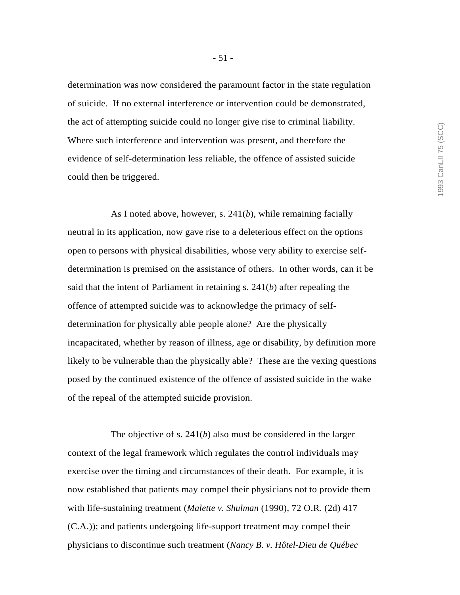determination was now considered the paramount factor in the state regulation of suicide. If no external interference or intervention could be demonstrated, the act of attempting suicide could no longer give rise to criminal liability. Where such interference and intervention was present, and therefore the evidence of self-determination less reliable, the offence of assisted suicide could then be triggered.

As I noted above, however, s. 241(*b*), while remaining facially neutral in its application, now gave rise to a deleterious effect on the options open to persons with physical disabilities, whose very ability to exercise selfdetermination is premised on the assistance of others. In other words, can it be said that the intent of Parliament in retaining s. 241(*b*) after repealing the offence of attempted suicide was to acknowledge the primacy of selfdetermination for physically able people alone? Are the physically incapacitated, whether by reason of illness, age or disability, by definition more likely to be vulnerable than the physically able? These are the vexing questions posed by the continued existence of the offence of assisted suicide in the wake of the repeal of the attempted suicide provision.

The objective of s. 241(*b*) also must be considered in the larger context of the legal framework which regulates the control individuals may exercise over the timing and circumstances of their death. For example, it is now established that patients may compel their physicians not to provide them with life-sustaining treatment (*Malette v. Shulman* (1990), 72 O.R. (2d) 417 (C.A.)); and patients undergoing life-support treatment may compel their physicians to discontinue such treatment (*Nancy B. v. Hôtel-Dieu de Québec*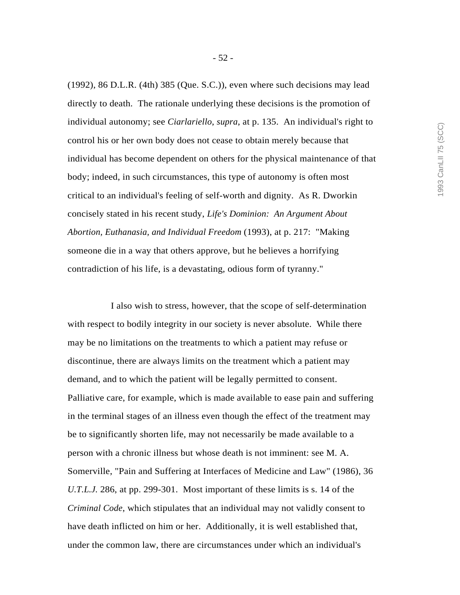(1992), 86 D.L.R. (4th) 385 (Que. S.C.)), even where such decisions may lead directly to death. The rationale underlying these decisions is the promotion of individual autonomy; see *Ciarlariello*, *supra*, at p. 135. An individual's right to control his or her own body does not cease to obtain merely because that individual has become dependent on others for the physical maintenance of that body; indeed, in such circumstances, this type of autonomy is often most critical to an individual's feeling of self-worth and dignity. As R. Dworkin concisely stated in his recent study, *Life's Dominion: An Argument About Abortion, Euthanasia, and Individual Freedom* (1993), at p. 217: "Making someone die in a way that others approve, but he believes a horrifying contradiction of his life, is a devastating, odious form of tyranny."

I also wish to stress, however, that the scope of self-determination with respect to bodily integrity in our society is never absolute. While there may be no limitations on the treatments to which a patient may refuse or discontinue, there are always limits on the treatment which a patient may demand, and to which the patient will be legally permitted to consent. Palliative care, for example, which is made available to ease pain and suffering in the terminal stages of an illness even though the effect of the treatment may be to significantly shorten life, may not necessarily be made available to a person with a chronic illness but whose death is not imminent: see M. A. Somerville, "Pain and Suffering at Interfaces of Medicine and Law" (1986), 36 *U.T.L.J.* 286, at pp. 299-301. Most important of these limits is s. 14 of the *Criminal Code*, which stipulates that an individual may not validly consent to have death inflicted on him or her. Additionally, it is well established that, under the common law, there are circumstances under which an individual's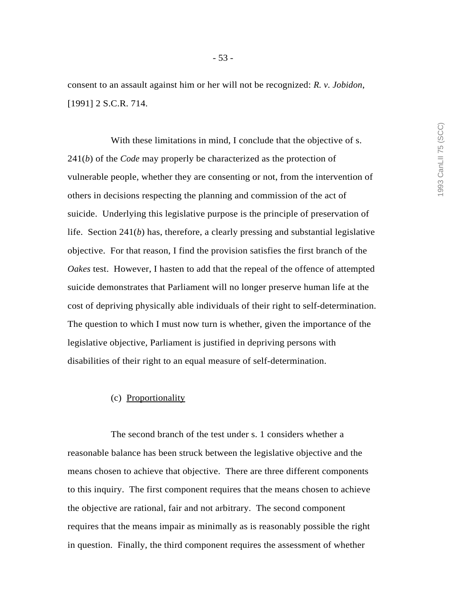consent to an assault against him or her will not be recognized: *R. v. Jobidon*, [1991] 2 S.C.R. 714.

With these limitations in mind, I conclude that the objective of s. 241(*b*) of the *Code* may properly be characterized as the protection of vulnerable people, whether they are consenting or not, from the intervention of others in decisions respecting the planning and commission of the act of suicide. Underlying this legislative purpose is the principle of preservation of life. Section 241(*b*) has, therefore, a clearly pressing and substantial legislative objective. For that reason, I find the provision satisfies the first branch of the *Oakes* test. However, I hasten to add that the repeal of the offence of attempted suicide demonstrates that Parliament will no longer preserve human life at the cost of depriving physically able individuals of their right to self-determination. The question to which I must now turn is whether, given the importance of the legislative objective, Parliament is justified in depriving persons with disabilities of their right to an equal measure of self-determination.

# (c) Proportionality

The second branch of the test under s. 1 considers whether a reasonable balance has been struck between the legislative objective and the means chosen to achieve that objective. There are three different components to this inquiry. The first component requires that the means chosen to achieve the objective are rational, fair and not arbitrary. The second component requires that the means impair as minimally as is reasonably possible the right in question. Finally, the third component requires the assessment of whether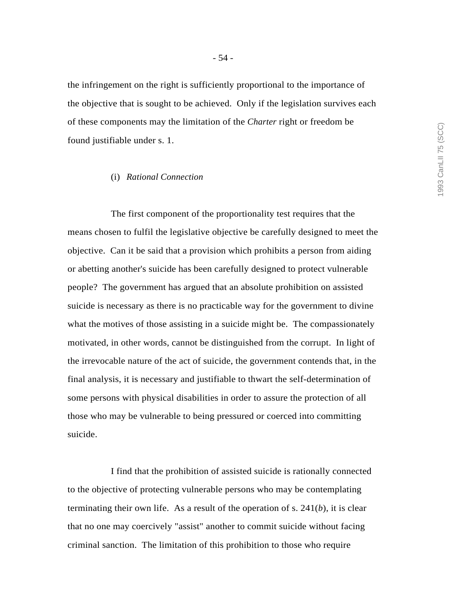the infringement on the right is sufficiently proportional to the importance of the objective that is sought to be achieved. Only if the legislation survives each of these components may the limitation of the *Charter* right or freedom be found justifiable under s. 1.

#### (i) *Rational Connection*

The first component of the proportionality test requires that the means chosen to fulfil the legislative objective be carefully designed to meet the objective. Can it be said that a provision which prohibits a person from aiding or abetting another's suicide has been carefully designed to protect vulnerable people? The government has argued that an absolute prohibition on assisted suicide is necessary as there is no practicable way for the government to divine what the motives of those assisting in a suicide might be. The compassionately motivated, in other words, cannot be distinguished from the corrupt. In light of the irrevocable nature of the act of suicide, the government contends that, in the final analysis, it is necessary and justifiable to thwart the self-determination of some persons with physical disabilities in order to assure the protection of all those who may be vulnerable to being pressured or coerced into committing suicide.

I find that the prohibition of assisted suicide is rationally connected to the objective of protecting vulnerable persons who may be contemplating terminating their own life. As a result of the operation of s. 241(*b*), it is clear that no one may coercively "assist" another to commit suicide without facing criminal sanction. The limitation of this prohibition to those who require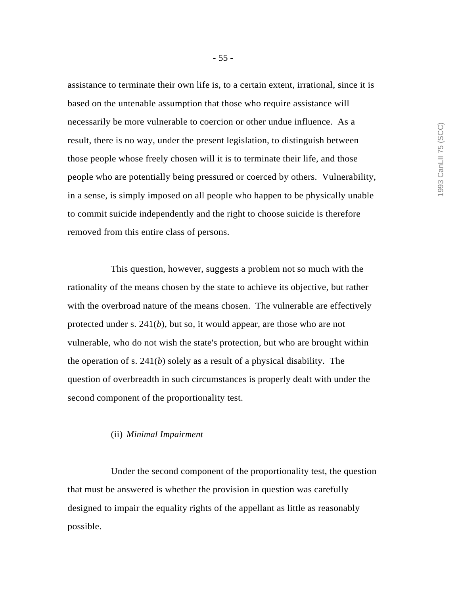1993 CanLII 75 (SCC) 1993 CanLII 75 (SCC)

assistance to terminate their own life is, to a certain extent, irrational, since it is based on the untenable assumption that those who require assistance will necessarily be more vulnerable to coercion or other undue influence. As a result, there is no way, under the present legislation, to distinguish between those people whose freely chosen will it is to terminate their life, and those people who are potentially being pressured or coerced by others. Vulnerability, in a sense, is simply imposed on all people who happen to be physically unable to commit suicide independently and the right to choose suicide is therefore removed from this entire class of persons.

This question, however, suggests a problem not so much with the rationality of the means chosen by the state to achieve its objective, but rather with the overbroad nature of the means chosen. The vulnerable are effectively protected under s. 241(*b*), but so, it would appear, are those who are not vulnerable, who do not wish the state's protection, but who are brought within the operation of s. 241(*b*) solely as a result of a physical disability. The question of overbreadth in such circumstances is properly dealt with under the second component of the proportionality test.

## (ii) *Minimal Impairment*

Under the second component of the proportionality test, the question that must be answered is whether the provision in question was carefully designed to impair the equality rights of the appellant as little as reasonably possible.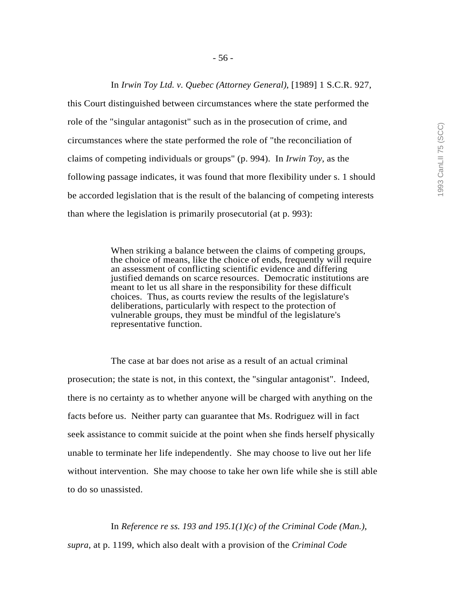# In *Irwin Toy Ltd. v. Quebec (Attorney General)*, [1989] 1 S.C.R. 927,

this Court distinguished between circumstances where the state performed the role of the "singular antagonist" such as in the prosecution of crime, and circumstances where the state performed the role of "the reconciliation of claims of competing individuals or groups" (p. 994). In *Irwin Toy*, as the following passage indicates, it was found that more flexibility under s. 1 should be accorded legislation that is the result of the balancing of competing interests than where the legislation is primarily prosecutorial (at p. 993):

> When striking a balance between the claims of competing groups, the choice of means, like the choice of ends, frequently will require an assessment of conflicting scientific evidence and differing justified demands on scarce resources. Democratic institutions are meant to let us all share in the responsibility for these difficult choices. Thus, as courts review the results of the legislature's deliberations, particularly with respect to the protection of vulnerable groups, they must be mindful of the legislature's representative function.

The case at bar does not arise as a result of an actual criminal prosecution; the state is not, in this context, the "singular antagonist". Indeed, there is no certainty as to whether anyone will be charged with anything on the facts before us. Neither party can guarantee that Ms. Rodriguez will in fact seek assistance to commit suicide at the point when she finds herself physically unable to terminate her life independently. She may choose to live out her life without intervention. She may choose to take her own life while she is still able to do so unassisted.

In *Reference re ss. 193 and 195.1(1)(c) of the Criminal Code (Man.)*, *supra*, at p. 1199, which also dealt with a provision of the *Criminal Code*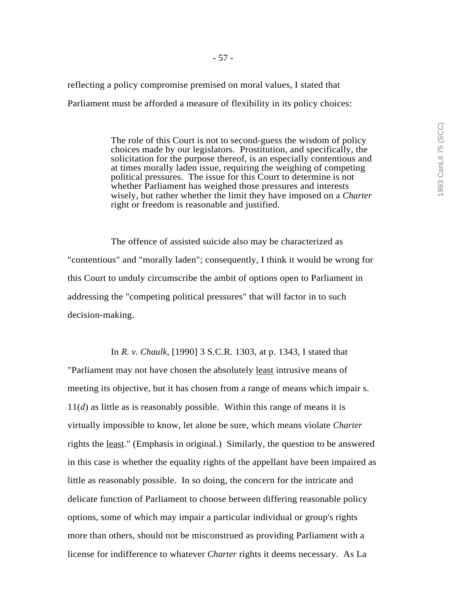reflecting a policy compromise premised on moral values, I stated that Parliament must be afforded a measure of flexibility in its policy choices:

> The role of this Court is not to second-guess the wisdom of policy choices made by our legislators. Prostitution, and specifically, the solicitation for the purpose thereof, is an especially contentious and at times morally laden issue, requiring the weighing of competing political pressures. The issue for this Court to determine is not whether Parliament has weighed those pressures and interests wisely, but rather whether the limit they have imposed on a *Charter* right or freedom is reasonable and justified.

The offence of assisted suicide also may be characterized as "contentious" and "morally laden"; consequently, I think it would be wrong for this Court to unduly circumscribe the ambit of options open to Parliament in addressing the "competing political pressures" that will factor in to such decision-making.

In *R. v. Chaulk*, [1990] 3 S.C.R. 1303, at p. 1343, I stated that "Parliament may not have chosen the absolutely least intrusive means of meeting its objective, but it has chosen from a range of means which impair s. 11(*d*) as little as is reasonably possible. Within this range of means it is virtually impossible to know, let alone be sure, which means violate *Charter* rights the least." (Emphasis in original.) Similarly, the question to be answered in this case is whether the equality rights of the appellant have been impaired as little as reasonably possible. In so doing, the concern for the intricate and delicate function of Parliament to choose between differing reasonable policy options, some of which may impair a particular individual or group's rights more than others, should not be misconstrued as providing Parliament with a license for indifference to whatever *Charter* rights it deems necessary. As La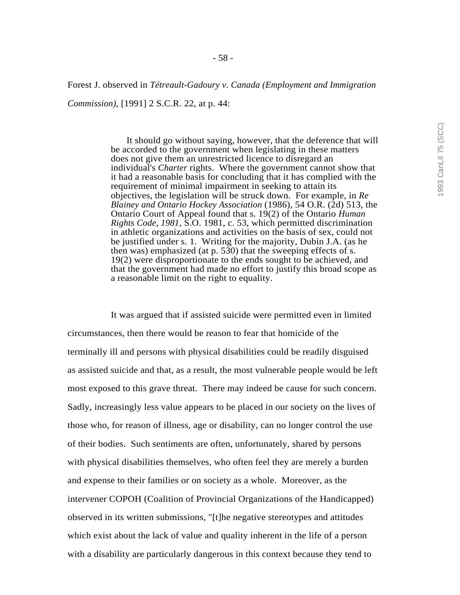Forest J. observed in *Tétreault-Gadoury v. Canada (Employment and Immigration*

*Commission)*, [1991] 2 S.C.R. 22, at p. 44:

It should go without saying, however, that the deference that will be accorded to the government when legislating in these matters does not give them an unrestricted licence to disregard an individual's *Charter* rights. Where the government cannot show that it had a reasonable basis for concluding that it has complied with the requirement of minimal impairment in seeking to attain its objectives, the legislation will be struck down. For example, in *Re Blainey and Ontario Hockey Association* (1986), 54 O.R. (2d) 513, the Ontario Court of Appeal found that s. 19(2) of the Ontario *Human Rights Code, 1981*, S.O. 1981, c. 53, which permitted discrimination in athletic organizations and activities on the basis of sex, could not be justified under s. 1. Writing for the majority, Dubin J.A. (as he then was) emphasized (at p. 530) that the sweeping effects of s. 19(2) were disproportionate to the ends sought to be achieved, and that the government had made no effort to justify this broad scope as a reasonable limit on the right to equality.

It was argued that if assisted suicide were permitted even in limited circumstances, then there would be reason to fear that homicide of the terminally ill and persons with physical disabilities could be readily disguised as assisted suicide and that, as a result, the most vulnerable people would be left most exposed to this grave threat. There may indeed be cause for such concern. Sadly, increasingly less value appears to be placed in our society on the lives of those who, for reason of illness, age or disability, can no longer control the use of their bodies. Such sentiments are often, unfortunately, shared by persons with physical disabilities themselves, who often feel they are merely a burden and expense to their families or on society as a whole. Moreover, as the intervener COPOH (Coalition of Provincial Organizations of the Handicapped) observed in its written submissions, "[t]he negative stereotypes and attitudes which exist about the lack of value and quality inherent in the life of a person with a disability are particularly dangerous in this context because they tend to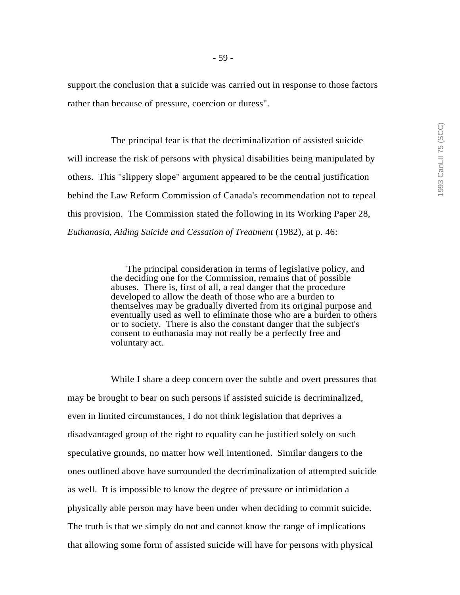support the conclusion that a suicide was carried out in response to those factors rather than because of pressure, coercion or duress".

The principal fear is that the decriminalization of assisted suicide will increase the risk of persons with physical disabilities being manipulated by others. This "slippery slope" argument appeared to be the central justification behind the Law Reform Commission of Canada's recommendation not to repeal this provision. The Commission stated the following in its Working Paper 28, *Euthanasia, Aiding Suicide and Cessation of Treatment* (1982), at p. 46:

> The principal consideration in terms of legislative policy, and the deciding one for the Commission, remains that of possible abuses. There is, first of all, a real danger that the procedure developed to allow the death of those who are a burden to themselves may be gradually diverted from its original purpose and eventually used as well to eliminate those who are a burden to others or to society. There is also the constant danger that the subject's consent to euthanasia may not really be a perfectly free and voluntary act.

While I share a deep concern over the subtle and overt pressures that may be brought to bear on such persons if assisted suicide is decriminalized, even in limited circumstances, I do not think legislation that deprives a disadvantaged group of the right to equality can be justified solely on such speculative grounds, no matter how well intentioned. Similar dangers to the ones outlined above have surrounded the decriminalization of attempted suicide as well. It is impossible to know the degree of pressure or intimidation a physically able person may have been under when deciding to commit suicide. The truth is that we simply do not and cannot know the range of implications that allowing some form of assisted suicide will have for persons with physical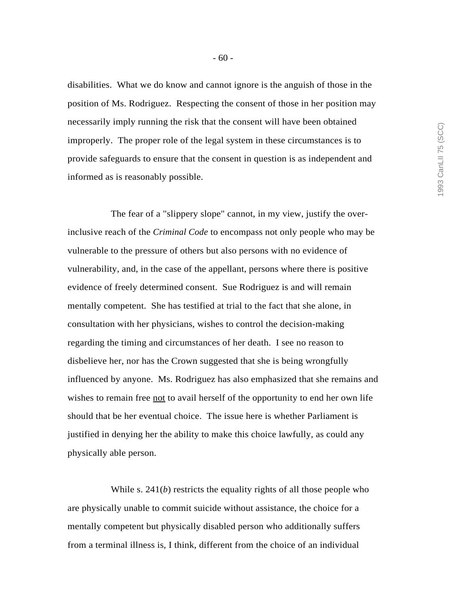disabilities. What we do know and cannot ignore is the anguish of those in the position of Ms. Rodriguez. Respecting the consent of those in her position may necessarily imply running the risk that the consent will have been obtained improperly. The proper role of the legal system in these circumstances is to provide safeguards to ensure that the consent in question is as independent and informed as is reasonably possible.

The fear of a "slippery slope" cannot, in my view, justify the overinclusive reach of the *Criminal Code* to encompass not only people who may be vulnerable to the pressure of others but also persons with no evidence of vulnerability, and, in the case of the appellant, persons where there is positive evidence of freely determined consent. Sue Rodriguez is and will remain mentally competent. She has testified at trial to the fact that she alone, in consultation with her physicians, wishes to control the decision-making regarding the timing and circumstances of her death. I see no reason to disbelieve her, nor has the Crown suggested that she is being wrongfully influenced by anyone. Ms. Rodriguez has also emphasized that she remains and wishes to remain free not to avail herself of the opportunity to end her own life should that be her eventual choice. The issue here is whether Parliament is justified in denying her the ability to make this choice lawfully, as could any physically able person.

While s. 241(*b*) restricts the equality rights of all those people who are physically unable to commit suicide without assistance, the choice for a mentally competent but physically disabled person who additionally suffers from a terminal illness is, I think, different from the choice of an individual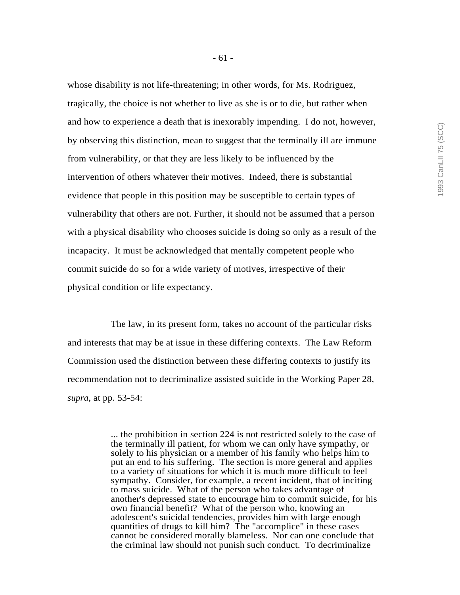whose disability is not life-threatening; in other words, for Ms. Rodriguez, tragically, the choice is not whether to live as she is or to die, but rather when and how to experience a death that is inexorably impending. I do not, however, by observing this distinction, mean to suggest that the terminally ill are immune from vulnerability, or that they are less likely to be influenced by the intervention of others whatever their motives. Indeed, there is substantial evidence that people in this position may be susceptible to certain types of vulnerability that others are not. Further, it should not be assumed that a person with a physical disability who chooses suicide is doing so only as a result of the incapacity. It must be acknowledged that mentally competent people who commit suicide do so for a wide variety of motives, irrespective of their physical condition or life expectancy.

The law, in its present form, takes no account of the particular risks and interests that may be at issue in these differing contexts. The Law Reform Commission used the distinction between these differing contexts to justify its recommendation not to decriminalize assisted suicide in the Working Paper 28, *supra*, at pp. 53-54:

> ... the prohibition in section 224 is not restricted solely to the case of the terminally ill patient, for whom we can only have sympathy, or solely to his physician or a member of his family who helps him to put an end to his suffering. The section is more general and applies to a variety of situations for which it is much more difficult to feel sympathy. Consider, for example, a recent incident, that of inciting to mass suicide. What of the person who takes advantage of another's depressed state to encourage him to commit suicide, for his own financial benefit? What of the person who, knowing an adolescent's suicidal tendencies, provides him with large enough quantities of drugs to kill him? The "accomplice" in these cases cannot be considered morally blameless. Nor can one conclude that the criminal law should not punish such conduct. To decriminalize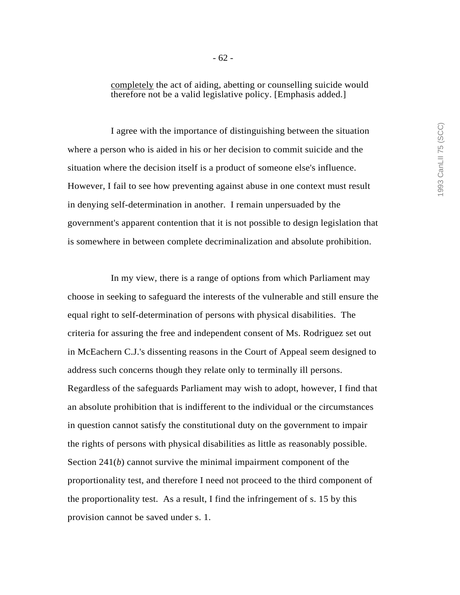I agree with the importance of distinguishing between the situation where a person who is aided in his or her decision to commit suicide and the situation where the decision itself is a product of someone else's influence. However, I fail to see how preventing against abuse in one context must result in denying self-determination in another. I remain unpersuaded by the government's apparent contention that it is not possible to design legislation that is somewhere in between complete decriminalization and absolute prohibition.

In my view, there is a range of options from which Parliament may choose in seeking to safeguard the interests of the vulnerable and still ensure the equal right to self-determination of persons with physical disabilities. The criteria for assuring the free and independent consent of Ms. Rodriguez set out in McEachern C.J.'s dissenting reasons in the Court of Appeal seem designed to address such concerns though they relate only to terminally ill persons. Regardless of the safeguards Parliament may wish to adopt, however, I find that an absolute prohibition that is indifferent to the individual or the circumstances in question cannot satisfy the constitutional duty on the government to impair the rights of persons with physical disabilities as little as reasonably possible. Section 241(*b*) cannot survive the minimal impairment component of the proportionality test, and therefore I need not proceed to the third component of the proportionality test. As a result, I find the infringement of s. 15 by this provision cannot be saved under s. 1.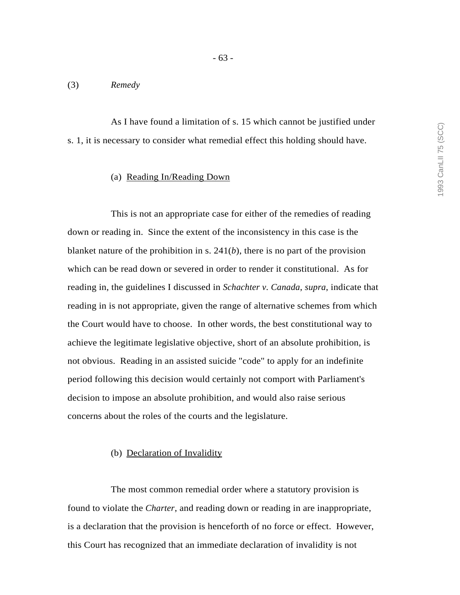### (3) *Remedy*

As I have found a limitation of s. 15 which cannot be justified under s. 1, it is necessary to consider what remedial effect this holding should have.

#### (a) Reading In/Reading Down

This is not an appropriate case for either of the remedies of reading down or reading in. Since the extent of the inconsistency in this case is the blanket nature of the prohibition in s. 241(*b*), there is no part of the provision which can be read down or severed in order to render it constitutional. As for reading in, the guidelines I discussed in *Schachter v. Canada*, *supra*, indicate that reading in is not appropriate, given the range of alternative schemes from which the Court would have to choose. In other words, the best constitutional way to achieve the legitimate legislative objective, short of an absolute prohibition, is not obvious. Reading in an assisted suicide "code" to apply for an indefinite period following this decision would certainly not comport with Parliament's decision to impose an absolute prohibition, and would also raise serious concerns about the roles of the courts and the legislature.

## (b) Declaration of Invalidity

The most common remedial order where a statutory provision is found to violate the *Charter*, and reading down or reading in are inappropriate, is a declaration that the provision is henceforth of no force or effect. However, this Court has recognized that an immediate declaration of invalidity is not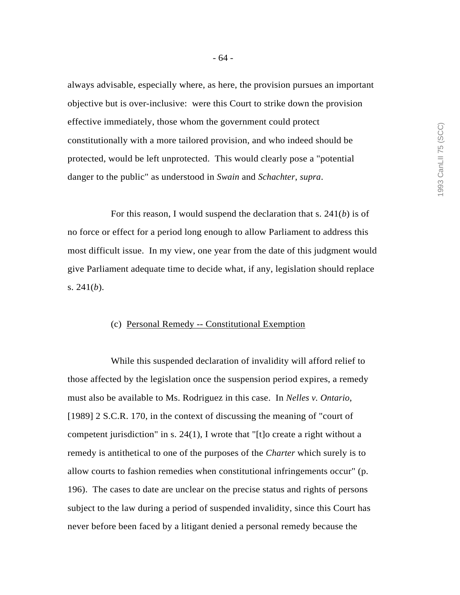always advisable, especially where, as here, the provision pursues an important objective but is over-inclusive: were this Court to strike down the provision effective immediately, those whom the government could protect constitutionally with a more tailored provision, and who indeed should be protected, would be left unprotected. This would clearly pose a "potential danger to the public" as understood in *Swain* and *Schachter*, *supra*.

For this reason, I would suspend the declaration that s. 241(*b*) is of no force or effect for a period long enough to allow Parliament to address this most difficult issue. In my view, one year from the date of this judgment would give Parliament adequate time to decide what, if any, legislation should replace s. 241(*b*).

# (c) Personal Remedy -- Constitutional Exemption

While this suspended declaration of invalidity will afford relief to those affected by the legislation once the suspension period expires, a remedy must also be available to Ms. Rodriguez in this case. In *Nelles v. Ontario*, [1989] 2 S.C.R. 170, in the context of discussing the meaning of "court of competent jurisdiction" in s. 24(1), I wrote that "[t]o create a right without a remedy is antithetical to one of the purposes of the *Charter* which surely is to allow courts to fashion remedies when constitutional infringements occur" (p. 196). The cases to date are unclear on the precise status and rights of persons subject to the law during a period of suspended invalidity, since this Court has never before been faced by a litigant denied a personal remedy because the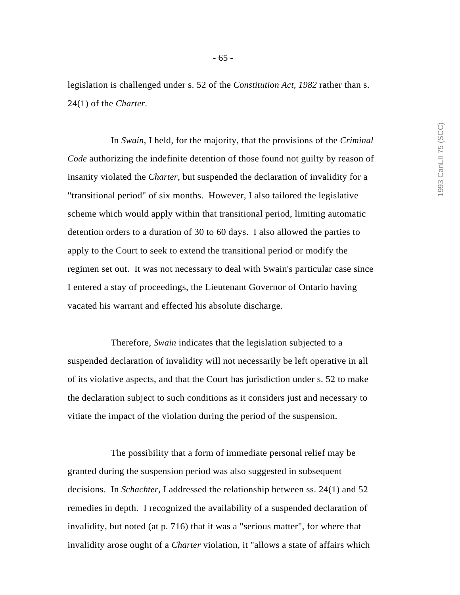legislation is challenged under s. 52 of the *Constitution Act, 1982* rather than s. 24(1) of the *Charter*.

In *Swain*, I held, for the majority, that the provisions of the *Criminal Code* authorizing the indefinite detention of those found not guilty by reason of insanity violated the *Charter*, but suspended the declaration of invalidity for a "transitional period" of six months. However, I also tailored the legislative scheme which would apply within that transitional period, limiting automatic detention orders to a duration of 30 to 60 days. I also allowed the parties to apply to the Court to seek to extend the transitional period or modify the regimen set out. It was not necessary to deal with Swain's particular case since I entered a stay of proceedings, the Lieutenant Governor of Ontario having vacated his warrant and effected his absolute discharge.

Therefore, *Swain* indicates that the legislation subjected to a suspended declaration of invalidity will not necessarily be left operative in all of its violative aspects, and that the Court has jurisdiction under s. 52 to make the declaration subject to such conditions as it considers just and necessary to vitiate the impact of the violation during the period of the suspension.

The possibility that a form of immediate personal relief may be granted during the suspension period was also suggested in subsequent decisions. In *Schachter*, I addressed the relationship between ss. 24(1) and 52 remedies in depth. I recognized the availability of a suspended declaration of invalidity, but noted (at p. 716) that it was a "serious matter", for where that invalidity arose ought of a *Charter* violation, it "allows a state of affairs which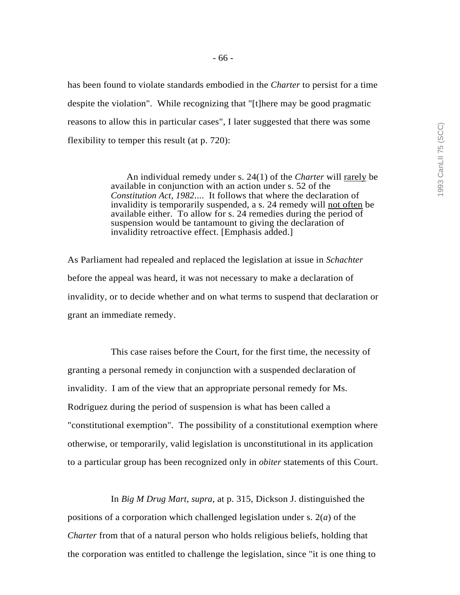has been found to violate standards embodied in the *Charter* to persist for a time despite the violation". While recognizing that "[t]here may be good pragmatic reasons to allow this in particular cases", I later suggested that there was some flexibility to temper this result (at p. 720):

> An individual remedy under s. 24(1) of the *Charter* will rarely be available in conjunction with an action under s. 52 of the *Constitution Act, 1982*.... It follows that where the declaration of invalidity is temporarily suspended, a s. 24 remedy will not often be available either. To allow for s. 24 remedies during the period of suspension would be tantamount to giving the declaration of invalidity retroactive effect. [Emphasis added.]

As Parliament had repealed and replaced the legislation at issue in *Schachter* before the appeal was heard, it was not necessary to make a declaration of invalidity, or to decide whether and on what terms to suspend that declaration or grant an immediate remedy.

This case raises before the Court, for the first time, the necessity of granting a personal remedy in conjunction with a suspended declaration of invalidity. I am of the view that an appropriate personal remedy for Ms. Rodriguez during the period of suspension is what has been called a "constitutional exemption". The possibility of a constitutional exemption where otherwise, or temporarily, valid legislation is unconstitutional in its application to a particular group has been recognized only in *obiter* statements of this Court.

In *Big M Drug Mart*, *supra*, at p. 315, Dickson J. distinguished the positions of a corporation which challenged legislation under s. 2(*a*) of the *Charter* from that of a natural person who holds religious beliefs, holding that the corporation was entitled to challenge the legislation, since "it is one thing to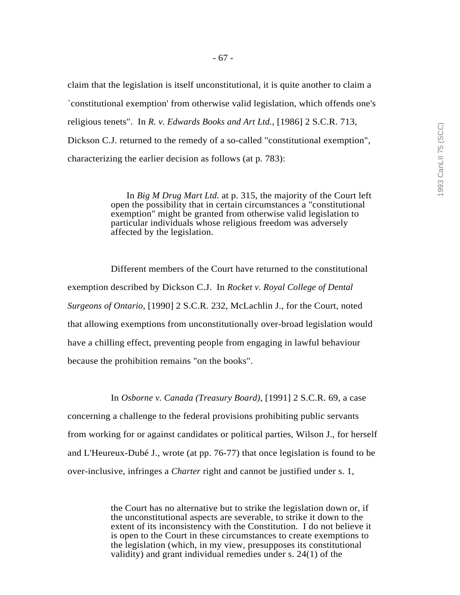claim that the legislation is itself unconstitutional, it is quite another to claim a `constitutional exemption' from otherwise valid legislation, which offends one's religious tenets". In *R. v. Edwards Books and Art Ltd.*, [1986] 2 S.C.R. 713, Dickson C.J. returned to the remedy of a so-called "constitutional exemption", characterizing the earlier decision as follows (at p. 783):

> In *Big M Drug Mart Ltd.* at p. 315, the majority of the Court left open the possibility that in certain circumstances a "constitutional exemption" might be granted from otherwise valid legislation to particular individuals whose religious freedom was adversely affected by the legislation.

Different members of the Court have returned to the constitutional exemption described by Dickson C.J. In *Rocket v. Royal College of Dental Surgeons of Ontario*, [1990] 2 S.C.R. 232, McLachlin J., for the Court, noted that allowing exemptions from unconstitutionally over-broad legislation would have a chilling effect, preventing people from engaging in lawful behaviour because the prohibition remains "on the books".

In *Osborne v. Canada (Treasury Board)*, [1991] 2 S.C.R. 69, a case

concerning a challenge to the federal provisions prohibiting public servants from working for or against candidates or political parties, Wilson J., for herself and L'Heureux-Dubé J., wrote (at pp. 76-77) that once legislation is found to be over-inclusive, infringes a *Charter* right and cannot be justified under s. 1,

> the Court has no alternative but to strike the legislation down or, if the unconstitutional aspects are severable, to strike it down to the extent of its inconsistency with the Constitution. I do not believe it is open to the Court in these circumstances to create exemptions to the legislation (which, in my view, presupposes its constitutional validity) and grant individual remedies under s. 24(1) of the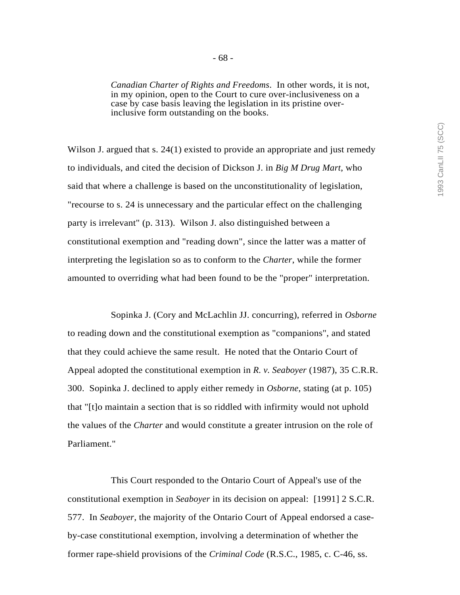*Canadian Charter of Rights and Freedoms*. In other words, it is not, in my opinion, open to the Court to cure over-inclusiveness on a case by case basis leaving the legislation in its pristine overinclusive form outstanding on the books.

Wilson J. argued that s. 24(1) existed to provide an appropriate and just remedy to individuals, and cited the decision of Dickson J. in *Big M Drug Mart*, who said that where a challenge is based on the unconstitutionality of legislation, "recourse to s. 24 is unnecessary and the particular effect on the challenging party is irrelevant" (p. 313). Wilson J. also distinguished between a constitutional exemption and "reading down", since the latter was a matter of interpreting the legislation so as to conform to the *Charter*, while the former amounted to overriding what had been found to be the "proper" interpretation.

Sopinka J. (Cory and McLachlin JJ. concurring), referred in *Osborne* to reading down and the constitutional exemption as "companions", and stated that they could achieve the same result. He noted that the Ontario Court of Appeal adopted the constitutional exemption in *R. v. Seaboyer* (1987), 35 C.R.R. 300. Sopinka J. declined to apply either remedy in *Osborne*, stating (at p. 105) that "[t]o maintain a section that is so riddled with infirmity would not uphold the values of the *Charter* and would constitute a greater intrusion on the role of Parliament."

This Court responded to the Ontario Court of Appeal's use of the constitutional exemption in *Seaboyer* in its decision on appeal: [1991] 2 S.C.R. 577. In *Seaboyer*, the majority of the Ontario Court of Appeal endorsed a caseby-case constitutional exemption, involving a determination of whether the former rape-shield provisions of the *Criminal Code* (R.S.C., 1985, c. C-46, ss.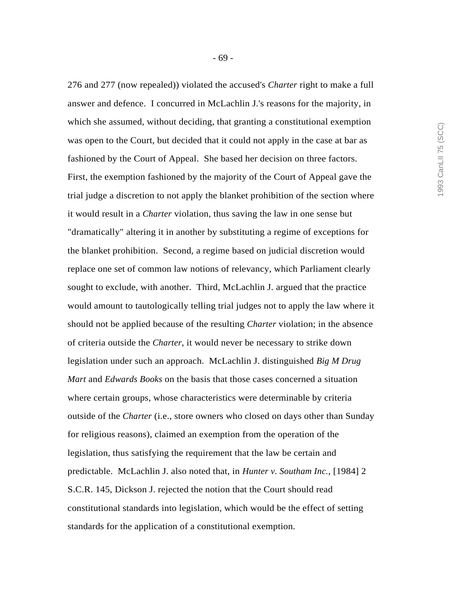276 and 277 (now repealed)) violated the accused's *Charter* right to make a full answer and defence. I concurred in McLachlin J.'s reasons for the majority, in which she assumed, without deciding, that granting a constitutional exemption was open to the Court, but decided that it could not apply in the case at bar as fashioned by the Court of Appeal. She based her decision on three factors. First, the exemption fashioned by the majority of the Court of Appeal gave the trial judge a discretion to not apply the blanket prohibition of the section where it would result in a *Charter* violation, thus saving the law in one sense but "dramatically" altering it in another by substituting a regime of exceptions for the blanket prohibition. Second, a regime based on judicial discretion would replace one set of common law notions of relevancy, which Parliament clearly sought to exclude, with another. Third, McLachlin J. argued that the practice would amount to tautologically telling trial judges not to apply the law where it should not be applied because of the resulting *Charter* violation; in the absence of criteria outside the *Charter*, it would never be necessary to strike down legislation under such an approach. McLachlin J. distinguished *Big M Drug Mart* and *Edwards Books* on the basis that those cases concerned a situation where certain groups, whose characteristics were determinable by criteria outside of the *Charter* (i.e., store owners who closed on days other than Sunday for religious reasons), claimed an exemption from the operation of the legislation, thus satisfying the requirement that the law be certain and predictable. McLachlin J. also noted that, in *Hunter v. Southam Inc.*, [1984] 2 S.C.R. 145, Dickson J. rejected the notion that the Court should read constitutional standards into legislation, which would be the effect of setting standards for the application of a constitutional exemption.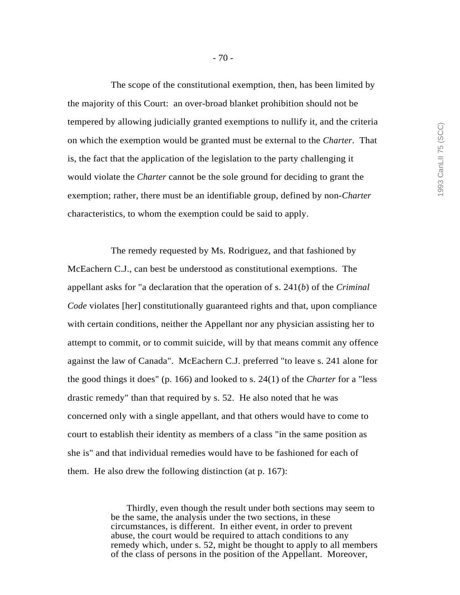The scope of the constitutional exemption, then, has been limited by the majority of this Court: an over-broad blanket prohibition should not be tempered by allowing judicially granted exemptions to nullify it, and the criteria on which the exemption would be granted must be external to the *Charter*. That is, the fact that the application of the legislation to the party challenging it would violate the *Charter* cannot be the sole ground for deciding to grant the exemption; rather, there must be an identifiable group, defined by non-*Charter* characteristics, to whom the exemption could be said to apply.

The remedy requested by Ms. Rodriguez, and that fashioned by McEachern C.J., can best be understood as constitutional exemptions. The appellant asks for "a declaration that the operation of s. 241(*b*) of the *Criminal Code* violates [her] constitutionally guaranteed rights and that, upon compliance with certain conditions, neither the Appellant nor any physician assisting her to attempt to commit, or to commit suicide, will by that means commit any offence against the law of Canada". McEachern C.J. preferred "to leave s. 241 alone for the good things it does" (p. 166) and looked to s. 24(1) of the *Charter* for a "less drastic remedy" than that required by s. 52. He also noted that he was concerned only with a single appellant, and that others would have to come to court to establish their identity as members of a class "in the same position as she is" and that individual remedies would have to be fashioned for each of them. He also drew the following distinction (at p. 167):

> Thirdly, even though the result under both sections may seem to be the same, the analysis under the two sections, in these circumstances, is different. In either event, in order to prevent abuse, the court would be required to attach conditions to any remedy which, under s. 52, might be thought to apply to all members of the class of persons in the position of the Appellant. Moreover,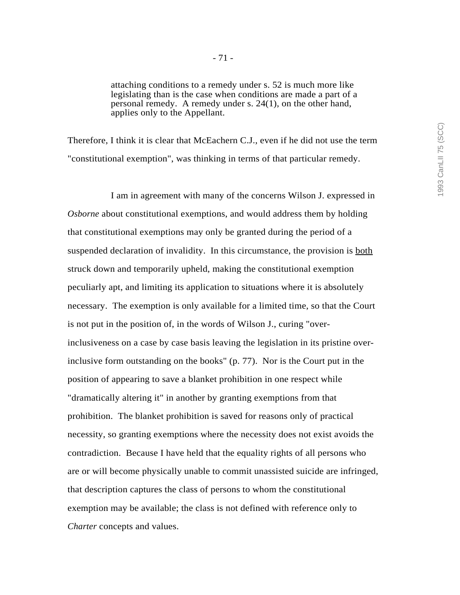attaching conditions to a remedy under s. 52 is much more like legislating than is the case when conditions are made a part of a personal remedy. A remedy under s. 24(1), on the other hand, applies only to the Appellant.

Therefore, I think it is clear that McEachern C.J., even if he did not use the term "constitutional exemption", was thinking in terms of that particular remedy.

I am in agreement with many of the concerns Wilson J. expressed in *Osborne* about constitutional exemptions, and would address them by holding that constitutional exemptions may only be granted during the period of a suspended declaration of invalidity. In this circumstance, the provision is both struck down and temporarily upheld, making the constitutional exemption peculiarly apt, and limiting its application to situations where it is absolutely necessary. The exemption is only available for a limited time, so that the Court is not put in the position of, in the words of Wilson J., curing "overinclusiveness on a case by case basis leaving the legislation in its pristine overinclusive form outstanding on the books" (p. 77). Nor is the Court put in the position of appearing to save a blanket prohibition in one respect while "dramatically altering it" in another by granting exemptions from that prohibition. The blanket prohibition is saved for reasons only of practical necessity, so granting exemptions where the necessity does not exist avoids the contradiction. Because I have held that the equality rights of all persons who are or will become physically unable to commit unassisted suicide are infringed, that description captures the class of persons to whom the constitutional exemption may be available; the class is not defined with reference only to *Charter* concepts and values.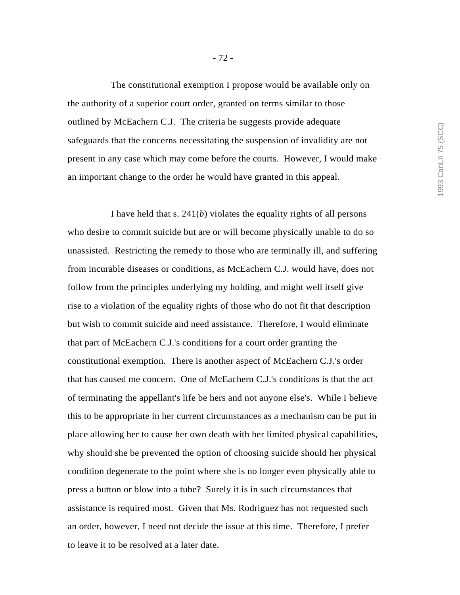The constitutional exemption I propose would be available only on the authority of a superior court order, granted on terms similar to those outlined by McEachern C.J. The criteria he suggests provide adequate safeguards that the concerns necessitating the suspension of invalidity are not present in any case which may come before the courts. However, I would make an important change to the order he would have granted in this appeal.

I have held that s.  $241(b)$  violates the equality rights of  $\underline{\text{all}}$  persons who desire to commit suicide but are or will become physically unable to do so unassisted. Restricting the remedy to those who are terminally ill, and suffering from incurable diseases or conditions, as McEachern C.J. would have, does not follow from the principles underlying my holding, and might well itself give rise to a violation of the equality rights of those who do not fit that description but wish to commit suicide and need assistance. Therefore, I would eliminate that part of McEachern C.J.'s conditions for a court order granting the constitutional exemption. There is another aspect of McEachern C.J.'s order that has caused me concern. One of McEachern C.J.'s conditions is that the act of terminating the appellant's life be hers and not anyone else's. While I believe this to be appropriate in her current circumstances as a mechanism can be put in place allowing her to cause her own death with her limited physical capabilities, why should she be prevented the option of choosing suicide should her physical condition degenerate to the point where she is no longer even physically able to press a button or blow into a tube? Surely it is in such circumstances that assistance is required most. Given that Ms. Rodriguez has not requested such an order, however, I need not decide the issue at this time. Therefore, I prefer to leave it to be resolved at a later date.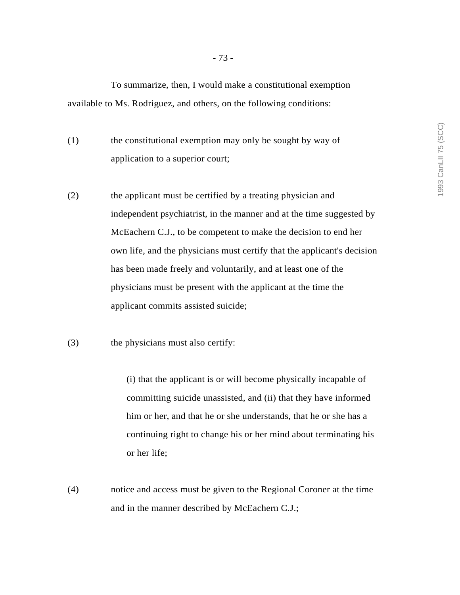To summarize, then, I would make a constitutional exemption available to Ms. Rodriguez, and others, on the following conditions:

(1) the constitutional exemption may only be sought by way of application to a superior court;

- (2) the applicant must be certified by a treating physician and independent psychiatrist, in the manner and at the time suggested by McEachern C.J., to be competent to make the decision to end her own life, and the physicians must certify that the applicant's decision has been made freely and voluntarily, and at least one of the physicians must be present with the applicant at the time the applicant commits assisted suicide;
- (3) the physicians must also certify:

(i) that the applicant is or will become physically incapable of committing suicide unassisted, and (ii) that they have informed him or her, and that he or she understands, that he or she has a continuing right to change his or her mind about terminating his or her life;

(4) notice and access must be given to the Regional Coroner at the time and in the manner described by McEachern C.J.;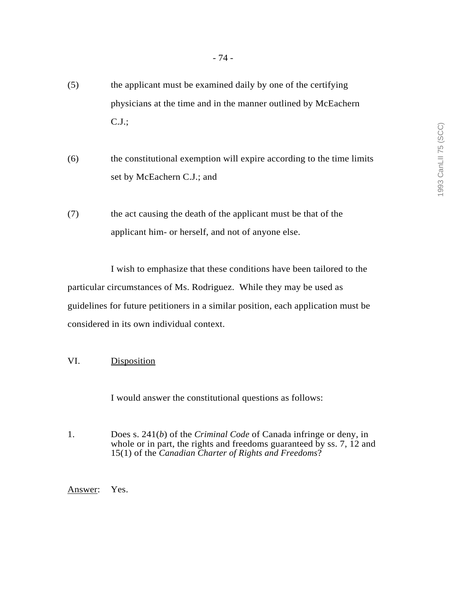- (5) the applicant must be examined daily by one of the certifying physicians at the time and in the manner outlined by McEachern C.J.;
- (6) the constitutional exemption will expire according to the time limits set by McEachern C.J.; and
- (7) the act causing the death of the applicant must be that of the applicant him- or herself, and not of anyone else.

I wish to emphasize that these conditions have been tailored to the particular circumstances of Ms. Rodriguez. While they may be used as guidelines for future petitioners in a similar position, each application must be considered in its own individual context.

# VI. Disposition

I would answer the constitutional questions as follows:

1. Does s. 241(*b*) of the *Criminal Code* of Canada infringe or deny, in whole or in part, the rights and freedoms guaranteed by ss. 7, 12 and 15(1) of the *Canadian Charter of Rights and Freedoms*?

Answer: Yes.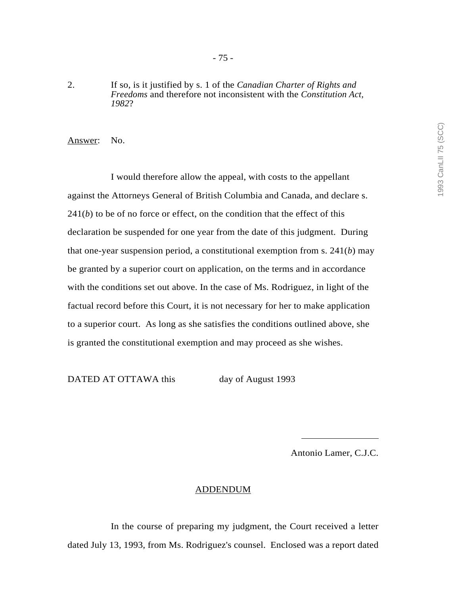2. If so, is it justified by s. 1 of the *Canadian Charter of Rights and Freedoms* and therefore not inconsistent with the *Constitution Act, 1982*?

### Answer: No.

I would therefore allow the appeal, with costs to the appellant against the Attorneys General of British Columbia and Canada, and declare s.  $241(b)$  to be of no force or effect, on the condition that the effect of this declaration be suspended for one year from the date of this judgment. During that one-year suspension period, a constitutional exemption from s. 241(*b*) may be granted by a superior court on application, on the terms and in accordance with the conditions set out above. In the case of Ms. Rodriguez, in light of the factual record before this Court, it is not necessary for her to make application to a superior court. As long as she satisfies the conditions outlined above, she is granted the constitutional exemption and may proceed as she wishes.

DATED AT OTTAWA this day of August 1993

Antonio Lamer, C.J.C.

l

#### ADDENDUM

In the course of preparing my judgment, the Court received a letter dated July 13, 1993, from Ms. Rodriguez's counsel. Enclosed was a report dated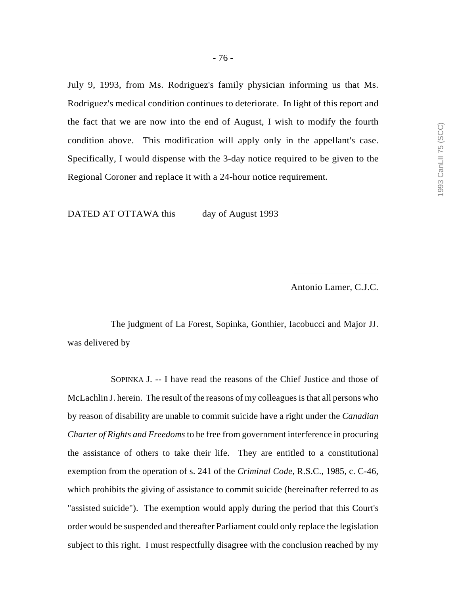July 9, 1993, from Ms. Rodriguez's family physician informing us that Ms. Rodriguez's medical condition continues to deteriorate. In light of this report and the fact that we are now into the end of August, I wish to modify the fourth condition above. This modification will apply only in the appellant's case. Specifically, I would dispense with the 3-day notice required to be given to the Regional Coroner and replace it with a 24-hour notice requirement.

DATED AT OTTAWA this day of August 1993

l

The judgment of La Forest, Sopinka, Gonthier, Iacobucci and Major JJ. was delivered by

SOPINKA J. -- I have read the reasons of the Chief Justice and those of McLachlin J. herein. The result of the reasons of my colleagues is that all persons who by reason of disability are unable to commit suicide have a right under the *Canadian Charter of Rights and Freedoms* to be free from government interference in procuring the assistance of others to take their life. They are entitled to a constitutional exemption from the operation of s. 241 of the *Criminal Code*, R.S.C., 1985, c. C-46, which prohibits the giving of assistance to commit suicide (hereinafter referred to as "assisted suicide"). The exemption would apply during the period that this Court's order would be suspended and thereafter Parliament could only replace the legislation subject to this right. I must respectfully disagree with the conclusion reached by my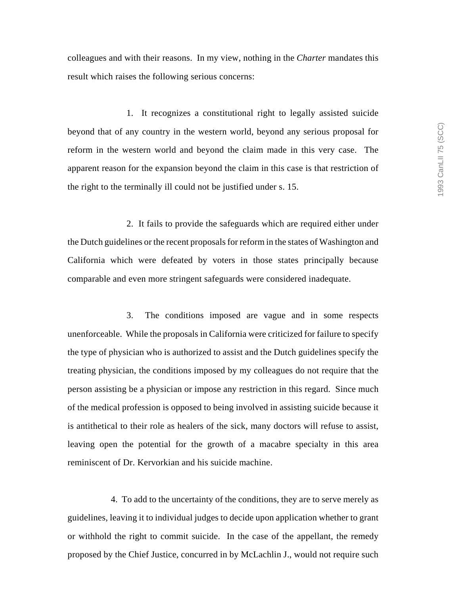colleagues and with their reasons. In my view, nothing in the *Charter* mandates this result which raises the following serious concerns:

1. It recognizes a constitutional right to legally assisted suicide beyond that of any country in the western world, beyond any serious proposal for reform in the western world and beyond the claim made in this very case. The apparent reason for the expansion beyond the claim in this case is that restriction of the right to the terminally ill could not be justified under s. 15.

2. It fails to provide the safeguards which are required either under the Dutch guidelines or the recent proposals for reform in the states of Washington and California which were defeated by voters in those states principally because comparable and even more stringent safeguards were considered inadequate.

3. The conditions imposed are vague and in some respects unenforceable. While the proposals in California were criticized for failure to specify the type of physician who is authorized to assist and the Dutch guidelines specify the treating physician, the conditions imposed by my colleagues do not require that the person assisting be a physician or impose any restriction in this regard. Since much of the medical profession is opposed to being involved in assisting suicide because it is antithetical to their role as healers of the sick, many doctors will refuse to assist, leaving open the potential for the growth of a macabre specialty in this area reminiscent of Dr. Kervorkian and his suicide machine.

4. To add to the uncertainty of the conditions, they are to serve merely as guidelines, leaving it to individual judges to decide upon application whether to grant or withhold the right to commit suicide. In the case of the appellant, the remedy proposed by the Chief Justice, concurred in by McLachlin J., would not require such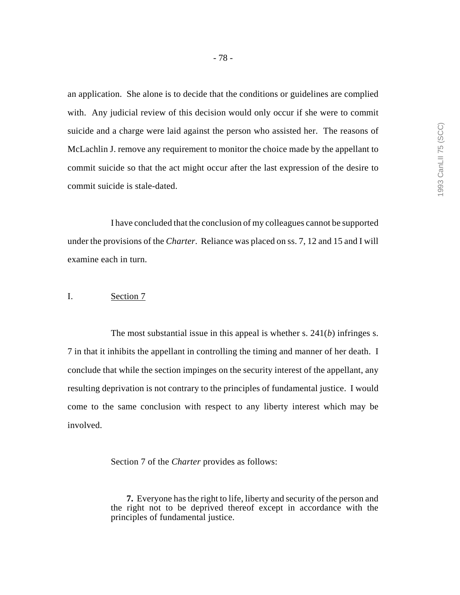an application. She alone is to decide that the conditions or guidelines are complied with. Any judicial review of this decision would only occur if she were to commit suicide and a charge were laid against the person who assisted her. The reasons of McLachlin J. remove any requirement to monitor the choice made by the appellant to commit suicide so that the act might occur after the last expression of the desire to commit suicide is stale-dated.

I have concluded that the conclusion of my colleagues cannot be supported under the provisions of the *Charter*. Reliance was placed on ss. 7, 12 and 15 and I will examine each in turn.

# I. Section 7

The most substantial issue in this appeal is whether s. 241(*b*) infringes s. 7 in that it inhibits the appellant in controlling the timing and manner of her death. I conclude that while the section impinges on the security interest of the appellant, any resulting deprivation is not contrary to the principles of fundamental justice. I would come to the same conclusion with respect to any liberty interest which may be involved.

Section 7 of the *Charter* provides as follows:

**7.** Everyone has the right to life, liberty and security of the person and the right not to be deprived thereof except in accordance with the principles of fundamental justice.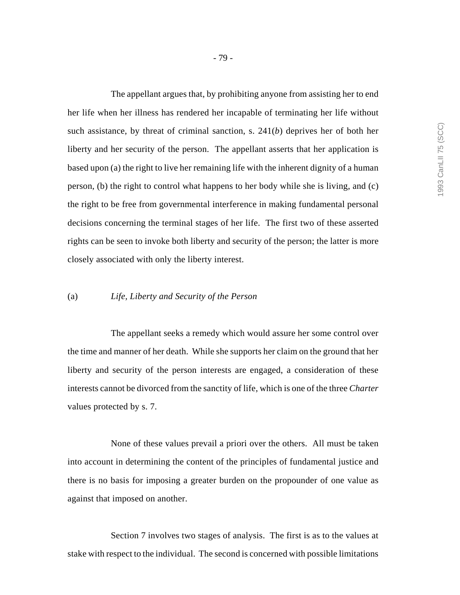The appellant argues that, by prohibiting anyone from assisting her to end her life when her illness has rendered her incapable of terminating her life without such assistance, by threat of criminal sanction, s. 241(*b*) deprives her of both her liberty and her security of the person. The appellant asserts that her application is based upon (a) the right to live her remaining life with the inherent dignity of a human person, (b) the right to control what happens to her body while she is living, and (c) the right to be free from governmental interference in making fundamental personal decisions concerning the terminal stages of her life. The first two of these asserted rights can be seen to invoke both liberty and security of the person; the latter is more closely associated with only the liberty interest.

### (a) *Life, Liberty and Security of the Person*

The appellant seeks a remedy which would assure her some control over the time and manner of her death. While she supports her claim on the ground that her liberty and security of the person interests are engaged, a consideration of these interests cannot be divorced from the sanctity of life, which is one of the three *Charter* values protected by s. 7.

None of these values prevail a priori over the others. All must be taken into account in determining the content of the principles of fundamental justice and there is no basis for imposing a greater burden on the propounder of one value as against that imposed on another.

Section 7 involves two stages of analysis. The first is as to the values at stake with respect to the individual. The second is concerned with possible limitations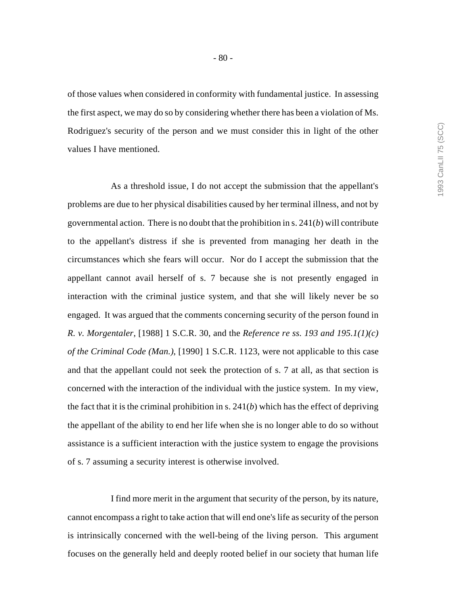of those values when considered in conformity with fundamental justice. In assessing the first aspect, we may do so by considering whether there has been a violation of Ms. Rodriguez's security of the person and we must consider this in light of the other values I have mentioned.

As a threshold issue, I do not accept the submission that the appellant's problems are due to her physical disabilities caused by her terminal illness, and not by governmental action. There is no doubt that the prohibition in s. 241(*b*) will contribute to the appellant's distress if she is prevented from managing her death in the circumstances which she fears will occur. Nor do I accept the submission that the appellant cannot avail herself of s. 7 because she is not presently engaged in interaction with the criminal justice system, and that she will likely never be so engaged. It was argued that the comments concerning security of the person found in *R. v. Morgentaler*, [1988] 1 S.C.R. 30, and the *Reference re ss. 193 and 195.1(1)(c) of the Criminal Code (Man.)*, [1990] 1 S.C.R. 1123, were not applicable to this case and that the appellant could not seek the protection of s. 7 at all, as that section is concerned with the interaction of the individual with the justice system. In my view, the fact that it is the criminal prohibition in s.  $241(b)$  which has the effect of depriving the appellant of the ability to end her life when she is no longer able to do so without assistance is a sufficient interaction with the justice system to engage the provisions of s. 7 assuming a security interest is otherwise involved.

I find more merit in the argument that security of the person, by its nature, cannot encompass a right to take action that will end one's life as security of the person is intrinsically concerned with the well-being of the living person. This argument focuses on the generally held and deeply rooted belief in our society that human life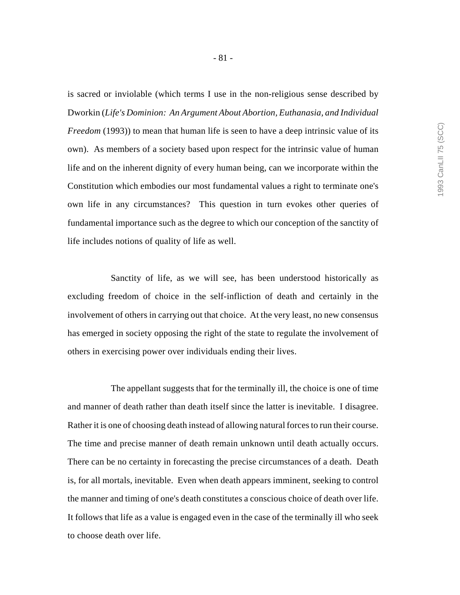is sacred or inviolable (which terms I use in the non-religious sense described by Dworkin (*Life's Dominion: An Argument About Abortion, Euthanasia, and Individual Freedom* (1993)) to mean that human life is seen to have a deep intrinsic value of its own). As members of a society based upon respect for the intrinsic value of human life and on the inherent dignity of every human being, can we incorporate within the Constitution which embodies our most fundamental values a right to terminate one's own life in any circumstances? This question in turn evokes other queries of fundamental importance such as the degree to which our conception of the sanctity of life includes notions of quality of life as well.

Sanctity of life, as we will see, has been understood historically as excluding freedom of choice in the self-infliction of death and certainly in the involvement of others in carrying out that choice. At the very least, no new consensus has emerged in society opposing the right of the state to regulate the involvement of others in exercising power over individuals ending their lives.

The appellant suggests that for the terminally ill, the choice is one of time and manner of death rather than death itself since the latter is inevitable. I disagree. Rather it is one of choosing death instead of allowing natural forces to run their course. The time and precise manner of death remain unknown until death actually occurs. There can be no certainty in forecasting the precise circumstances of a death. Death is, for all mortals, inevitable. Even when death appears imminent, seeking to control the manner and timing of one's death constitutes a conscious choice of death over life. It follows that life as a value is engaged even in the case of the terminally ill who seek to choose death over life.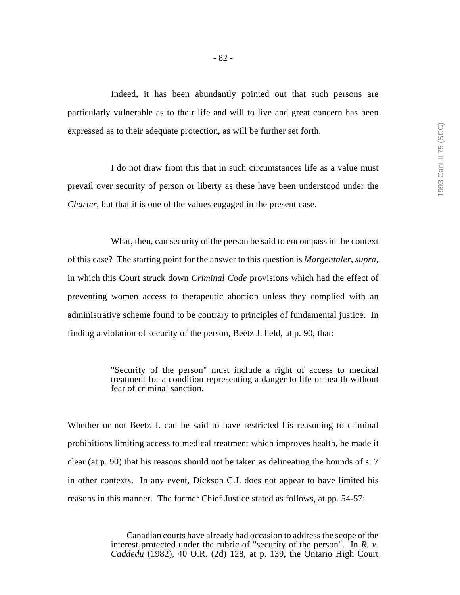Indeed, it has been abundantly pointed out that such persons are particularly vulnerable as to their life and will to live and great concern has been expressed as to their adequate protection, as will be further set forth.

I do not draw from this that in such circumstances life as a value must prevail over security of person or liberty as these have been understood under the *Charter*, but that it is one of the values engaged in the present case.

What, then, can security of the person be said to encompass in the context of this case? The starting point for the answer to this question is *Morgentaler*, *supra*, in which this Court struck down *Criminal Code* provisions which had the effect of preventing women access to therapeutic abortion unless they complied with an administrative scheme found to be contrary to principles of fundamental justice. In finding a violation of security of the person, Beetz J. held, at p. 90, that:

> "Security of the person" must include a right of access to medical treatment for a condition representing a danger to life or health without fear of criminal sanction.

Whether or not Beetz J. can be said to have restricted his reasoning to criminal prohibitions limiting access to medical treatment which improves health, he made it clear (at p. 90) that his reasons should not be taken as delineating the bounds of s. 7 in other contexts. In any event, Dickson C.J. does not appear to have limited his reasons in this manner. The former Chief Justice stated as follows, at pp. 54-57:

> Canadian courts have already had occasion to address the scope of the interest protected under the rubric of "security of the person". In *R. v. Caddedu* (1982), 40 O.R. (2d) 128, at p. 139, the Ontario High Court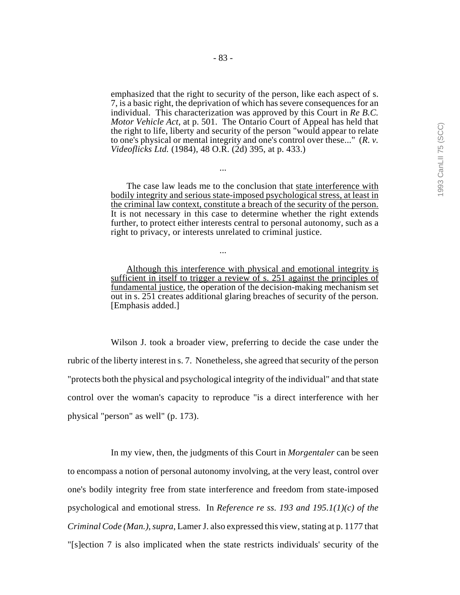...

...

emphasized that the right to security of the person, like each aspect of s. 7, is a basic right, the deprivation of which has severe consequences for an individual. This characterization was approved by this Court in *Re B.C. Motor Vehicle Act*, at p. 501. The Ontario Court of Appeal has held that the right to life, liberty and security of the person "would appear to relate to one's physical or mental integrity and one's control over these..." (*R. v. Videoflicks Ltd.* (1984), 48 O.R. (2d) 395, at p. 433.)

The case law leads me to the conclusion that state interference with bodily integrity and serious state-imposed psychological stress, at least in the criminal law context, constitute a breach of the security of the person. It is not necessary in this case to determine whether the right extends further, to protect either interests central to personal autonomy, such as a right to privacy, or interests unrelated to criminal justice.

Although this interference with physical and emotional integrity is sufficient in itself to trigger a review of s. 251 against the principles of fundamental justice, the operation of the decision-making mechanism set out in s. 251 creates additional glaring breaches of security of the person. [Emphasis added.]

Wilson J. took a broader view, preferring to decide the case under the rubric of the liberty interest in s. 7. Nonetheless, she agreed that security of the person "protects both the physical and psychological integrity of the individual" and that state control over the woman's capacity to reproduce "is a direct interference with her physical "person" as well" (p. 173).

In my view, then, the judgments of this Court in *Morgentaler* can be seen to encompass a notion of personal autonomy involving, at the very least, control over one's bodily integrity free from state interference and freedom from state-imposed psychological and emotional stress. In *Reference re ss. 193 and 195.1(1)(c) of the Criminal Code (Man.)*, *supra*, Lamer J. also expressed this view, stating at p. 1177 that "[s]ection 7 is also implicated when the state restricts individuals' security of the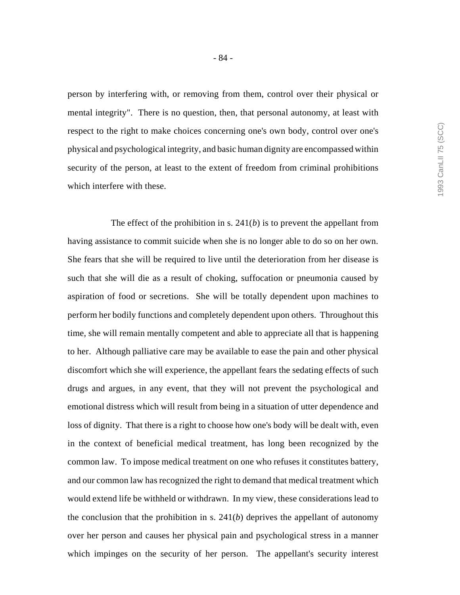person by interfering with, or removing from them, control over their physical or mental integrity". There is no question, then, that personal autonomy, at least with respect to the right to make choices concerning one's own body, control over one's physical and psychological integrity, and basic human dignity are encompassed within security of the person, at least to the extent of freedom from criminal prohibitions which interfere with these.

The effect of the prohibition in s.  $241(b)$  is to prevent the appellant from having assistance to commit suicide when she is no longer able to do so on her own. She fears that she will be required to live until the deterioration from her disease is such that she will die as a result of choking, suffocation or pneumonia caused by aspiration of food or secretions. She will be totally dependent upon machines to perform her bodily functions and completely dependent upon others. Throughout this time, she will remain mentally competent and able to appreciate all that is happening to her. Although palliative care may be available to ease the pain and other physical discomfort which she will experience, the appellant fears the sedating effects of such drugs and argues, in any event, that they will not prevent the psychological and emotional distress which will result from being in a situation of utter dependence and loss of dignity. That there is a right to choose how one's body will be dealt with, even in the context of beneficial medical treatment, has long been recognized by the common law. To impose medical treatment on one who refuses it constitutes battery, and our common law has recognized the right to demand that medical treatment which would extend life be withheld or withdrawn. In my view, these considerations lead to the conclusion that the prohibition in s. 241(*b*) deprives the appellant of autonomy over her person and causes her physical pain and psychological stress in a manner which impinges on the security of her person. The appellant's security interest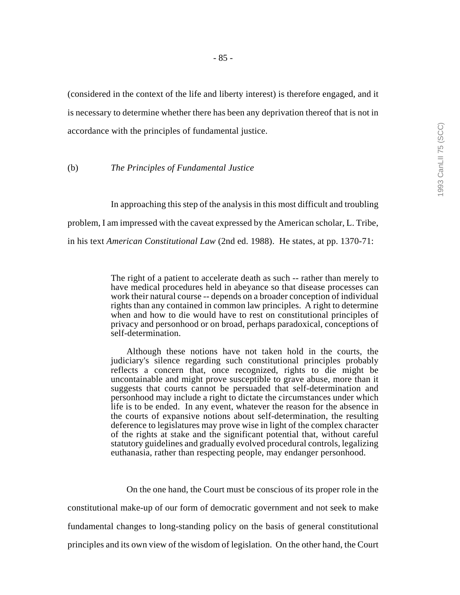- 85 -

(considered in the context of the life and liberty interest) is therefore engaged, and it is necessary to determine whether there has been any deprivation thereof that is not in accordance with the principles of fundamental justice.

#### (b) *The Principles of Fundamental Justice*

In approaching this step of the analysis in this most difficult and troubling problem, I am impressed with the caveat expressed by the American scholar, L. Tribe, in his text *American Constitutional Law* (2nd ed. 1988). He states, at pp. 1370-71:

> The right of a patient to accelerate death as such -- rather than merely to have medical procedures held in abeyance so that disease processes can work their natural course -- depends on a broader conception of individual rights than any contained in common law principles. A right to determine when and how to die would have to rest on constitutional principles of privacy and personhood or on broad, perhaps paradoxical, conceptions of self-determination.

> Although these notions have not taken hold in the courts, the judiciary's silence regarding such constitutional principles probably reflects a concern that, once recognized, rights to die might be uncontainable and might prove susceptible to grave abuse, more than it suggests that courts cannot be persuaded that self-determination and personhood may include a right to dictate the circumstances under which life is to be ended. In any event, whatever the reason for the absence in the courts of expansive notions about self-determination, the resulting deference to legislatures may prove wise in light of the complex character of the rights at stake and the significant potential that, without careful statutory guidelines and gradually evolved procedural controls, legalizing euthanasia, rather than respecting people, may endanger personhood.

On the one hand, the Court must be conscious of its proper role in the

constitutional make-up of our form of democratic government and not seek to make

fundamental changes to long-standing policy on the basis of general constitutional

principles and its own view of the wisdom of legislation. On the other hand, the Court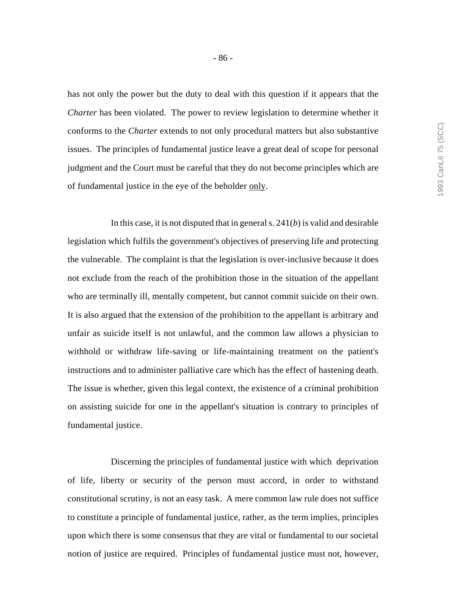has not only the power but the duty to deal with this question if it appears that the *Charter* has been violated. The power to review legislation to determine whether it conforms to the *Charter* extends to not only procedural matters but also substantive issues. The principles of fundamental justice leave a great deal of scope for personal judgment and the Court must be careful that they do not become principles which are of fundamental justice in the eye of the beholder only.

In this case, it is not disputed that in general s. 241(*b*) is valid and desirable legislation which fulfils the government's objectives of preserving life and protecting the vulnerable. The complaint is that the legislation is over-inclusive because it does not exclude from the reach of the prohibition those in the situation of the appellant who are terminally ill, mentally competent, but cannot commit suicide on their own. It is also argued that the extension of the prohibition to the appellant is arbitrary and unfair as suicide itself is not unlawful, and the common law allows a physician to withhold or withdraw life-saving or life-maintaining treatment on the patient's instructions and to administer palliative care which has the effect of hastening death. The issue is whether, given this legal context, the existence of a criminal prohibition on assisting suicide for one in the appellant's situation is contrary to principles of fundamental justice.

Discerning the principles of fundamental justice with which deprivation of life, liberty or security of the person must accord, in order to withstand constitutional scrutiny, is not an easy task. A mere common law rule does not suffice to constitute a principle of fundamental justice, rather, as the term implies, principles upon which there is some consensus that they are vital or fundamental to our societal notion of justice are required. Principles of fundamental justice must not, however,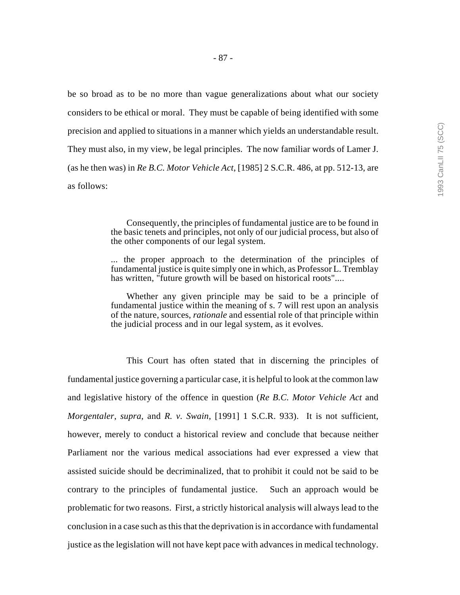be so broad as to be no more than vague generalizations about what our society considers to be ethical or moral. They must be capable of being identified with some precision and applied to situations in a manner which yields an understandable result. They must also, in my view, be legal principles. The now familiar words of Lamer J. (as he then was) in *Re B.C. Motor Vehicle Act*, [1985] 2 S.C.R. 486, at pp. 512-13, are as follows:

> Consequently, the principles of fundamental justice are to be found in the basic tenets and principles, not only of our judicial process, but also of the other components of our legal system.

> ... the proper approach to the determination of the principles of fundamental justice is quite simply one in which, as Professor L. Tremblay has written, "future growth will be based on historical roots"....

> Whether any given principle may be said to be a principle of fundamental justice within the meaning of s. 7 will rest upon an analysis of the nature, sources, *rationale* and essential role of that principle within the judicial process and in our legal system, as it evolves.

This Court has often stated that in discerning the principles of fundamental justice governing a particular case, it is helpful to look at the common law and legislative history of the offence in question (*Re B.C. Motor Vehicle Act* and *Morgentaler*, *supra*, and *R. v. Swain*, [1991] 1 S.C.R. 933). It is not sufficient, however, merely to conduct a historical review and conclude that because neither Parliament nor the various medical associations had ever expressed a view that assisted suicide should be decriminalized, that to prohibit it could not be said to be contrary to the principles of fundamental justice. Such an approach would be problematic for two reasons. First, a strictly historical analysis will always lead to the conclusion in a case such as this that the deprivation is in accordance with fundamental justice as the legislation will not have kept pace with advances in medical technology.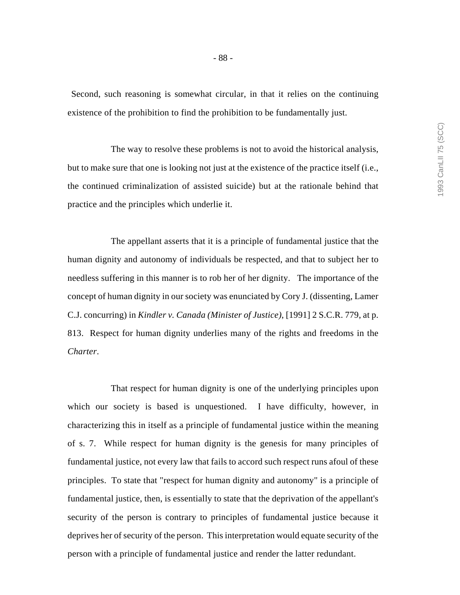- 88 -

 Second, such reasoning is somewhat circular, in that it relies on the continuing existence of the prohibition to find the prohibition to be fundamentally just.

The way to resolve these problems is not to avoid the historical analysis, but to make sure that one is looking not just at the existence of the practice itself (i.e., the continued criminalization of assisted suicide) but at the rationale behind that practice and the principles which underlie it.

The appellant asserts that it is a principle of fundamental justice that the human dignity and autonomy of individuals be respected, and that to subject her to needless suffering in this manner is to rob her of her dignity. The importance of the concept of human dignity in our society was enunciated by Cory J. (dissenting, Lamer C.J. concurring) in *Kindler v. Canada (Minister of Justice)*, [1991] 2 S.C.R. 779, at p. 813. Respect for human dignity underlies many of the rights and freedoms in the *Charter*.

That respect for human dignity is one of the underlying principles upon which our society is based is unquestioned. I have difficulty, however, in characterizing this in itself as a principle of fundamental justice within the meaning of s. 7. While respect for human dignity is the genesis for many principles of fundamental justice, not every law that fails to accord such respect runs afoul of these principles. To state that "respect for human dignity and autonomy" is a principle of fundamental justice, then, is essentially to state that the deprivation of the appellant's security of the person is contrary to principles of fundamental justice because it deprives her of security of the person. This interpretation would equate security of the person with a principle of fundamental justice and render the latter redundant.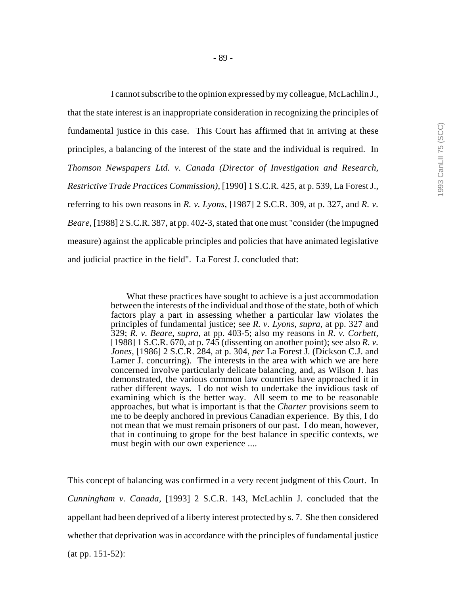I cannot subscribe to the opinion expressed by my colleague, McLachlin J., that the state interest is an inappropriate consideration in recognizing the principles of fundamental justice in this case. This Court has affirmed that in arriving at these principles, a balancing of the interest of the state and the individual is required. In *Thomson Newspapers Ltd. v. Canada (Director of Investigation and Research, Restrictive Trade Practices Commission)*, [1990] 1 S.C.R. 425, at p. 539, La Forest J., referring to his own reasons in *R. v. Lyons*, [1987] 2 S.C.R. 309, at p. 327, and *R. v. Beare*, [1988] 2 S.C.R. 387, at pp. 402-3, stated that one must "consider (the impugned measure) against the applicable principles and policies that have animated legislative and judicial practice in the field". La Forest J. concluded that:

> What these practices have sought to achieve is a just accommodation between the interests of the individual and those of the state, both of which factors play a part in assessing whether a particular law violates the principles of fundamental justice; see *R. v. Lyons*, *supra*, at pp. 327 and 329; *R. v. Beare*, *supra*, at pp. 403-5; also my reasons in *R. v. Corbett*, [1988] 1 S.C.R. 670, at p. 745 (dissenting on another point); see also *R. v. Jones*, [1986] 2 S.C.R. 284, at p. 304, *per* La Forest J. (Dickson C.J. and Lamer J. concurring). The interests in the area with which we are here concerned involve particularly delicate balancing, and, as Wilson J. has demonstrated, the various common law countries have approached it in rather different ways. I do not wish to undertake the invidious task of examining which is the better way. All seem to me to be reasonable approaches, but what is important is that the *Charter* provisions seem to me to be deeply anchored in previous Canadian experience. By this, I do not mean that we must remain prisoners of our past. I do mean, however, that in continuing to grope for the best balance in specific contexts, we must begin with our own experience ....

This concept of balancing was confirmed in a very recent judgment of this Court. In *Cunningham v. Canada*, [1993] 2 S.C.R. 143, McLachlin J. concluded that the appellant had been deprived of a liberty interest protected by s. 7. She then considered whether that deprivation was in accordance with the principles of fundamental justice (at pp. 151-52):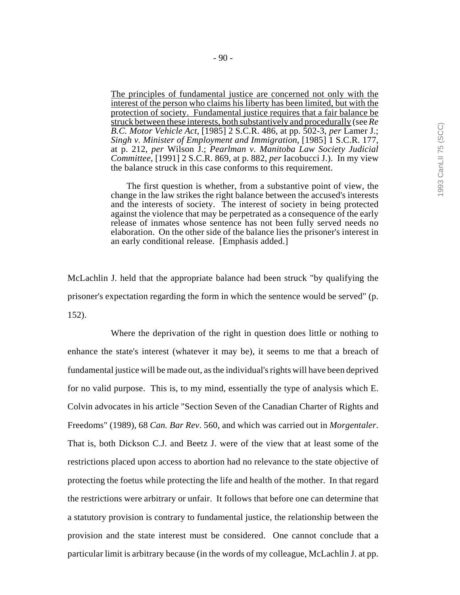The principles of fundamental justice are concerned not only with the interest of the person who claims his liberty has been limited, but with the protection of society. Fundamental justice requires that a fair balance be struck between these interests, both substantively and procedurally (see *Re B.C. Motor Vehicle Act*, [1985] 2 S.C.R. 486, at pp. 502-3, *per* Lamer J.; *Singh v. Minister of Employment and Immigration*, [1985] 1 S.C.R. 177, at p. 212, *per* Wilson J.; *Pearlman v. Manitoba Law Society Judicial Committee*, [1991] 2 S.C.R. 869, at p. 882, *per* Iacobucci J.). In my view the balance struck in this case conforms to this requirement.

The first question is whether, from a substantive point of view, the change in the law strikes the right balance between the accused's interests and the interests of society. The interest of society in being protected against the violence that may be perpetrated as a consequence of the early release of inmates whose sentence has not been fully served needs no elaboration. On the other side of the balance lies the prisoner's interest in an early conditional release. [Emphasis added.]

McLachlin J. held that the appropriate balance had been struck "by qualifying the prisoner's expectation regarding the form in which the sentence would be served" (p. 152).

Where the deprivation of the right in question does little or nothing to enhance the state's interest (whatever it may be), it seems to me that a breach of fundamental justice will be made out, as the individual's rights will have been deprived for no valid purpose. This is, to my mind, essentially the type of analysis which E. Colvin advocates in his article "Section Seven of the Canadian Charter of Rights and Freedoms" (1989), 68 *Can. Bar Rev*. 560, and which was carried out in *Morgentaler*. That is, both Dickson C.J. and Beetz J. were of the view that at least some of the restrictions placed upon access to abortion had no relevance to the state objective of protecting the foetus while protecting the life and health of the mother. In that regard the restrictions were arbitrary or unfair. It follows that before one can determine that a statutory provision is contrary to fundamental justice, the relationship between the provision and the state interest must be considered. One cannot conclude that a particular limit is arbitrary because (in the words of my colleague, McLachlin J. at pp.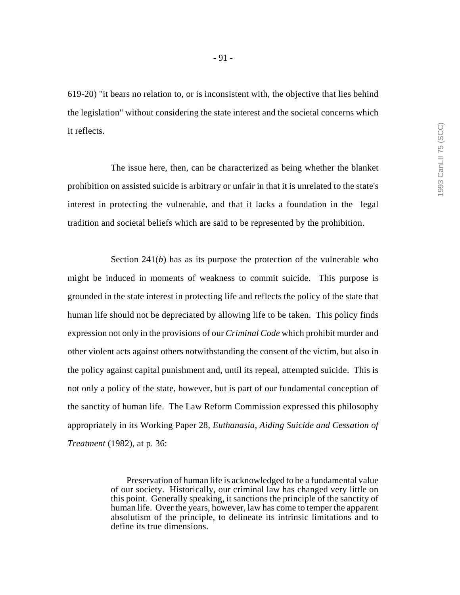619-20) "it bears no relation to, or is inconsistent with, the objective that lies behind the legislation" without considering the state interest and the societal concerns which

it reflects.

The issue here, then, can be characterized as being whether the blanket prohibition on assisted suicide is arbitrary or unfair in that it is unrelated to the state's interest in protecting the vulnerable, and that it lacks a foundation in the legal tradition and societal beliefs which are said to be represented by the prohibition.

Section 241(*b*) has as its purpose the protection of the vulnerable who might be induced in moments of weakness to commit suicide. This purpose is grounded in the state interest in protecting life and reflects the policy of the state that human life should not be depreciated by allowing life to be taken. This policy finds expression not only in the provisions of our *Criminal Code* which prohibit murder and other violent acts against others notwithstanding the consent of the victim, but also in the policy against capital punishment and, until its repeal, attempted suicide. This is not only a policy of the state, however, but is part of our fundamental conception of the sanctity of human life. The Law Reform Commission expressed this philosophy appropriately in its Working Paper 28, *Euthanasia, Aiding Suicide and Cessation of Treatment* (1982), at p. 36:

> Preservation of human life is acknowledged to be a fundamental value of our society. Historically, our criminal law has changed very little on this point. Generally speaking, it sanctions the principle of the sanctity of human life. Over the years, however, law has come to temper the apparent absolutism of the principle, to delineate its intrinsic limitations and to define its true dimensions.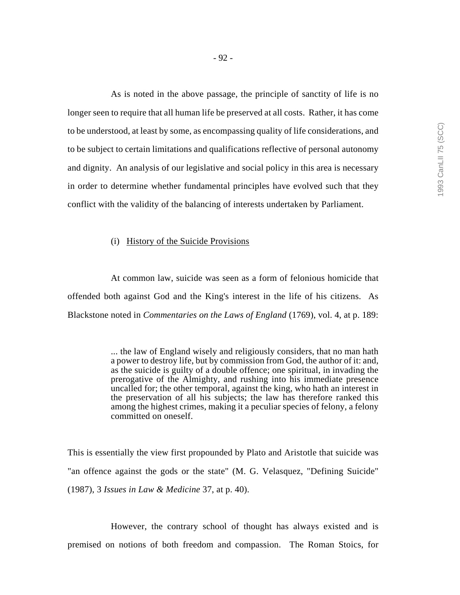As is noted in the above passage, the principle of sanctity of life is no longer seen to require that all human life be preserved at all costs. Rather, it has come to be understood, at least by some, as encompassing quality of life considerations, and to be subject to certain limitations and qualifications reflective of personal autonomy and dignity. An analysis of our legislative and social policy in this area is necessary in order to determine whether fundamental principles have evolved such that they conflict with the validity of the balancing of interests undertaken by Parliament.

### (i) History of the Suicide Provisions

At common law, suicide was seen as a form of felonious homicide that offended both against God and the King's interest in the life of his citizens. As Blackstone noted in *Commentaries on the Laws of England* (1769), vol. 4, at p. 189:

> ... the law of England wisely and religiously considers, that no man hath a power to destroy life, but by commission from God, the author of it: and, as the suicide is guilty of a double offence; one spiritual, in invading the prerogative of the Almighty, and rushing into his immediate presence uncalled for; the other temporal, against the king, who hath an interest in the preservation of all his subjects; the law has therefore ranked this among the highest crimes, making it a peculiar species of felony, a felony committed on oneself.

This is essentially the view first propounded by Plato and Aristotle that suicide was "an offence against the gods or the state" (M. G. Velasquez, "Defining Suicide" (1987), 3 *Issues in Law & Medicine* 37, at p. 40).

However, the contrary school of thought has always existed and is premised on notions of both freedom and compassion. The Roman Stoics, for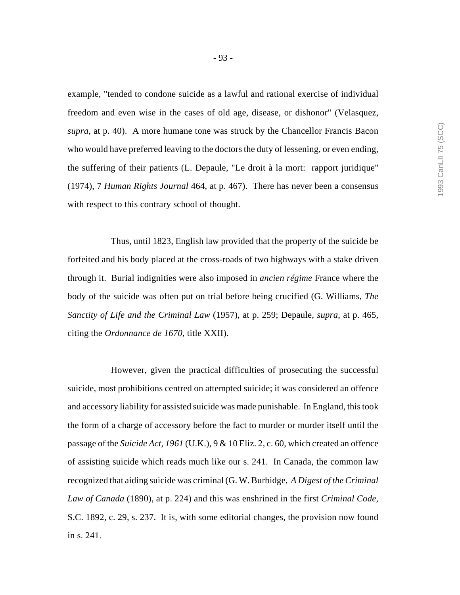example, "tended to condone suicide as a lawful and rational exercise of individual freedom and even wise in the cases of old age, disease, or dishonor" (Velasquez, *supra*, at p. 40). A more humane tone was struck by the Chancellor Francis Bacon who would have preferred leaving to the doctors the duty of lessening, or even ending, the suffering of their patients (L. Depaule, "Le droit à la mort: rapport juridique" (1974), 7 *Human Rights Journal* 464, at p. 467). There has never been a consensus with respect to this contrary school of thought.

Thus, until 1823, English law provided that the property of the suicide be forfeited and his body placed at the cross-roads of two highways with a stake driven through it. Burial indignities were also imposed in *ancien régime* France where the body of the suicide was often put on trial before being crucified (G. Williams, *The Sanctity of Life and the Criminal Law* (1957), at p. 259; Depaule, *supra*, at p. 465, citing the *Ordonnance de 1670*, title XXII).

However, given the practical difficulties of prosecuting the successful suicide, most prohibitions centred on attempted suicide; it was considered an offence and accessory liability for assisted suicide was made punishable. In England, this took the form of a charge of accessory before the fact to murder or murder itself until the passage of the *Suicide Act, 1961* (U.K.), 9 & 10 Eliz. 2, c. 60, which created an offence of assisting suicide which reads much like our s. 241. In Canada, the common law recognized that aiding suicide was criminal (G. W. Burbidge, *A Digest of the Criminal Law of Canada* (1890), at p. 224) and this was enshrined in the first *Criminal Code*, S.C. 1892, c. 29, s. 237. It is, with some editorial changes, the provision now found in s. 241.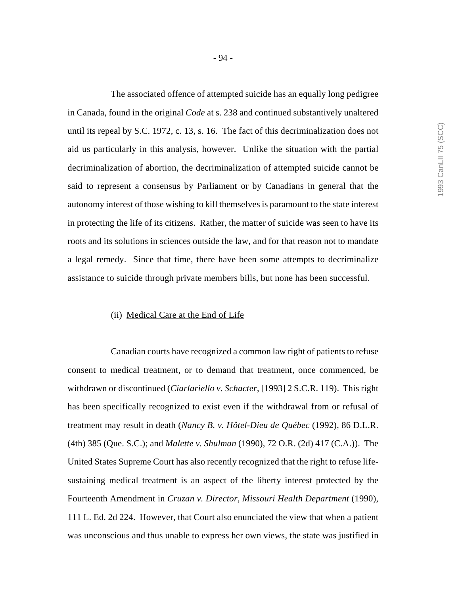The associated offence of attempted suicide has an equally long pedigree in Canada, found in the original *Code* at s. 238 and continued substantively unaltered until its repeal by S.C. 1972, c. 13, s. 16. The fact of this decriminalization does not aid us particularly in this analysis, however. Unlike the situation with the partial decriminalization of abortion, the decriminalization of attempted suicide cannot be said to represent a consensus by Parliament or by Canadians in general that the autonomy interest of those wishing to kill themselves is paramount to the state interest in protecting the life of its citizens. Rather, the matter of suicide was seen to have its roots and its solutions in sciences outside the law, and for that reason not to mandate a legal remedy. Since that time, there have been some attempts to decriminalize assistance to suicide through private members bills, but none has been successful.

# (ii) Medical Care at the End of Life

Canadian courts have recognized a common law right of patients to refuse consent to medical treatment, or to demand that treatment, once commenced, be withdrawn or discontinued (*Ciarlariello v. Schacter*, [1993] 2 S.C.R. 119). This right has been specifically recognized to exist even if the withdrawal from or refusal of treatment may result in death (*Nancy B. v. Hôtel-Dieu de Québec* (1992), 86 D.L.R. (4th) 385 (Que. S.C.); and *Malette v. Shulman* (1990), 72 O.R. (2d) 417 (C.A.)). The United States Supreme Court has also recently recognized that the right to refuse lifesustaining medical treatment is an aspect of the liberty interest protected by the Fourteenth Amendment in *Cruzan v. Director, Missouri Health Department* (1990), 111 L. Ed. 2d 224. However, that Court also enunciated the view that when a patient was unconscious and thus unable to express her own views, the state was justified in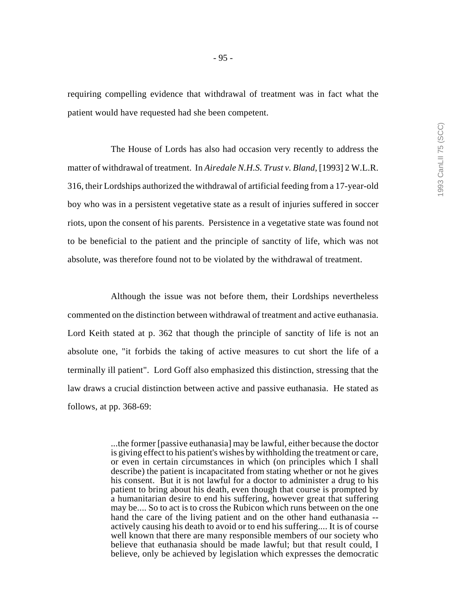requiring compelling evidence that withdrawal of treatment was in fact what the patient would have requested had she been competent.

The House of Lords has also had occasion very recently to address the matter of withdrawal of treatment. In *Airedale N.H.S. Trust v. Bland*, [1993] 2 W.L.R. 316, their Lordships authorized the withdrawal of artificial feeding from a 17-year-old boy who was in a persistent vegetative state as a result of injuries suffered in soccer riots, upon the consent of his parents. Persistence in a vegetative state was found not to be beneficial to the patient and the principle of sanctity of life, which was not absolute, was therefore found not to be violated by the withdrawal of treatment.

Although the issue was not before them, their Lordships nevertheless commented on the distinction between withdrawal of treatment and active euthanasia. Lord Keith stated at p. 362 that though the principle of sanctity of life is not an absolute one, "it forbids the taking of active measures to cut short the life of a terminally ill patient". Lord Goff also emphasized this distinction, stressing that the law draws a crucial distinction between active and passive euthanasia. He stated as follows, at pp. 368-69:

> ...the former [passive euthanasia] may be lawful, either because the doctor is giving effect to his patient's wishes by withholding the treatment or care, or even in certain circumstances in which (on principles which I shall describe) the patient is incapacitated from stating whether or not he gives his consent. But it is not lawful for a doctor to administer a drug to his patient to bring about his death, even though that course is prompted by a humanitarian desire to end his suffering, however great that suffering may be.... So to act is to cross the Rubicon which runs between on the one hand the care of the living patient and on the other hand euthanasia - actively causing his death to avoid or to end his suffering.... It is of course well known that there are many responsible members of our society who believe that euthanasia should be made lawful; but that result could, I believe, only be achieved by legislation which expresses the democratic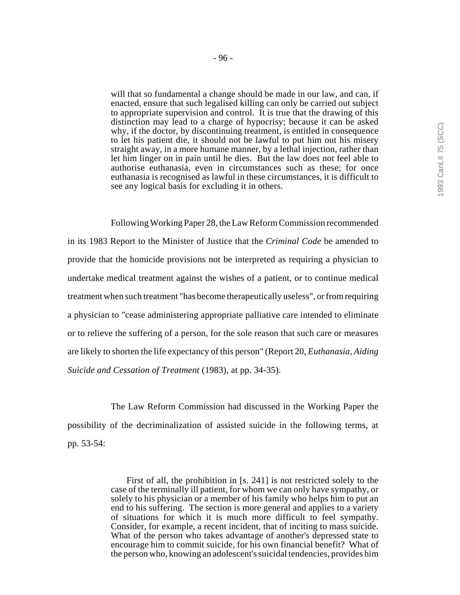will that so fundamental a change should be made in our law, and can, if enacted, ensure that such legalised killing can only be carried out subject to appropriate supervision and control. It is true that the drawing of this distinction may lead to a charge of hypocrisy; because it can be asked why, if the doctor, by discontinuing treatment, is entitled in consequence to let his patient die, it should not be lawful to put him out his misery straight away, in a more humane manner, by a lethal injection, rather than let him linger on in pain until he dies. But the law does not feel able to authorise euthanasia, even in circumstances such as these; for once euthanasia is recognised as lawful in these circumstances, it is difficult to see any logical basis for excluding it in others.

Following Working Paper 28, the Law Reform Commission recommended in its 1983 Report to the Minister of Justice that the *Criminal Code* be amended to provide that the homicide provisions not be interpreted as requiring a physician to undertake medical treatment against the wishes of a patient, or to continue medical treatment when such treatment "has become therapeutically useless", or from requiring a physician to "cease administering appropriate palliative care intended to eliminate or to relieve the suffering of a person, for the sole reason that such care or measures are likely to shorten the life expectancy of this person" (Report 20, *Euthanasia, Aiding Suicide and Cessation of Treatment* (1983), at pp. 34-35).

The Law Reform Commission had discussed in the Working Paper the possibility of the decriminalization of assisted suicide in the following terms, at pp. 53-54:

> First of all, the prohibition in [s. 241] is not restricted solely to the case of the terminally ill patient, for whom we can only have sympathy, or solely to his physician or a member of his family who helps him to put an end to his suffering. The section is more general and applies to a variety of situations for which it is much more difficult to feel sympathy. Consider, for example, a recent incident, that of inciting to mass suicide. What of the person who takes advantage of another's depressed state to encourage him to commit suicide, for his own financial benefit? What of the person who, knowing an adolescent's suicidal tendencies, provides him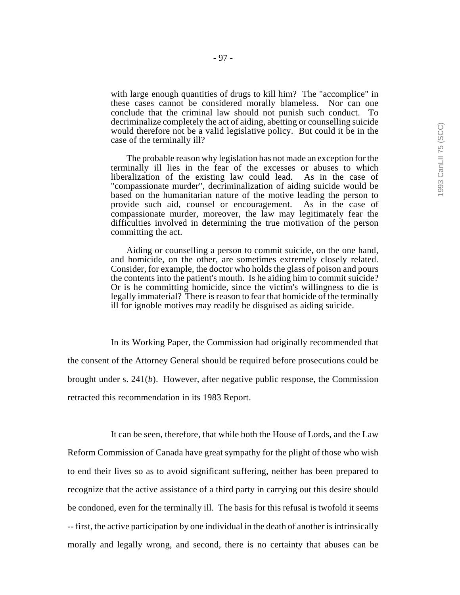with large enough quantities of drugs to kill him? The "accomplice" in

these cases cannot be considered morally blameless. Nor can one conclude that the criminal law should not punish such conduct. To decriminalize completely the act of aiding, abetting or counselling suicide would therefore not be a valid legislative policy. But could it be in the case of the terminally ill?

The probable reason why legislation has not made an exception for the terminally ill lies in the fear of the excesses or abuses to which liberalization of the existing law could lead. As in the case of "compassionate murder", decriminalization of aiding suicide would be based on the humanitarian nature of the motive leading the person to provide such aid, counsel or encouragement. As in the case of compassionate murder, moreover, the law may legitimately fear the difficulties involved in determining the true motivation of the person committing the act.

Aiding or counselling a person to commit suicide, on the one hand, and homicide, on the other, are sometimes extremely closely related. Consider, for example, the doctor who holds the glass of poison and pours the contents into the patient's mouth. Is he aiding him to commit suicide? Or is he committing homicide, since the victim's willingness to die is legally immaterial? There is reason to fear that homicide of the terminally ill for ignoble motives may readily be disguised as aiding suicide.

In its Working Paper, the Commission had originally recommended that the consent of the Attorney General should be required before prosecutions could be brought under s. 241(*b*). However, after negative public response, the Commission retracted this recommendation in its 1983 Report.

It can be seen, therefore, that while both the House of Lords, and the Law Reform Commission of Canada have great sympathy for the plight of those who wish to end their lives so as to avoid significant suffering, neither has been prepared to recognize that the active assistance of a third party in carrying out this desire should be condoned, even for the terminally ill. The basis for this refusal is twofold it seems -- first, the active participation by one individual in the death of another is intrinsically morally and legally wrong, and second, there is no certainty that abuses can be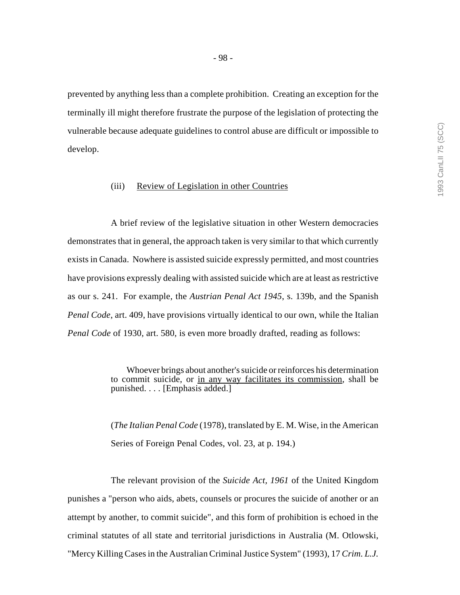prevented by anything less than a complete prohibition. Creating an exception for the terminally ill might therefore frustrate the purpose of the legislation of protecting the vulnerable because adequate guidelines to control abuse are difficult or impossible to develop.

#### (iii) Review of Legislation in other Countries

A brief review of the legislative situation in other Western democracies demonstrates that in general, the approach taken is very similar to that which currently exists in Canada. Nowhere is assisted suicide expressly permitted, and most countries have provisions expressly dealing with assisted suicide which are at least as restrictive as our s. 241. For example, the *Austrian Penal Act 1945*, s. 139b, and the Spanish *Penal Code*, art. 409, have provisions virtually identical to our own, while the Italian *Penal Code* of 1930, art. 580, is even more broadly drafted, reading as follows:

> Whoever brings about another's suicide or reinforces his determination to commit suicide, or in any way facilitates its commission, shall be punished. . . . [Emphasis added.]

> (*The Italian Penal Code* (1978), translated by E. M. Wise, in the American Series of Foreign Penal Codes, vol. 23, at p. 194.)

The relevant provision of the *Suicide Act, 1961* of the United Kingdom punishes a "person who aids, abets, counsels or procures the suicide of another or an attempt by another, to commit suicide", and this form of prohibition is echoed in the criminal statutes of all state and territorial jurisdictions in Australia (M. Otlowski, "Mercy Killing Cases in the Australian Criminal Justice System" (1993), 17 *Crim. L.J.*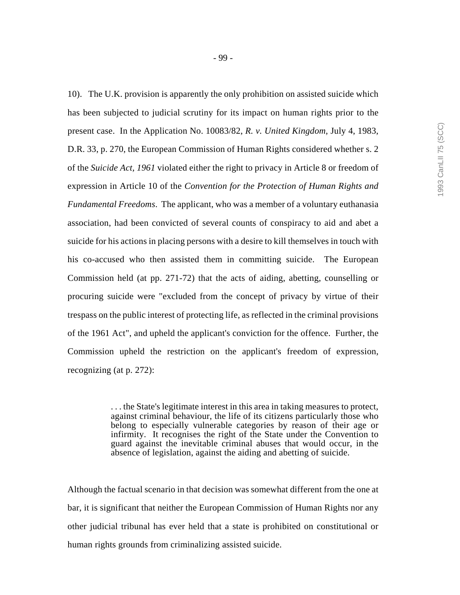10). The U.K. provision is apparently the only prohibition on assisted suicide which has been subjected to judicial scrutiny for its impact on human rights prior to the present case. In the Application No. 10083/82, *R. v. United Kingdom*, July 4, 1983, D.R. 33, p. 270, the European Commission of Human Rights considered whether s. 2 of the *Suicide Act, 1961* violated either the right to privacy in Article 8 or freedom of expression in Article 10 of the *Convention for the Protection of Human Rights and Fundamental Freedoms*. The applicant, who was a member of a voluntary euthanasia association, had been convicted of several counts of conspiracy to aid and abet a suicide for his actions in placing persons with a desire to kill themselves in touch with his co-accused who then assisted them in committing suicide. The European Commission held (at pp. 271-72) that the acts of aiding, abetting, counselling or procuring suicide were "excluded from the concept of privacy by virtue of their trespass on the public interest of protecting life, as reflected in the criminal provisions of the 1961 Act", and upheld the applicant's conviction for the offence. Further, the Commission upheld the restriction on the applicant's freedom of expression, recognizing (at p. 272):

> . . . the State's legitimate interest in this area in taking measures to protect, against criminal behaviour, the life of its citizens particularly those who belong to especially vulnerable categories by reason of their age or infirmity. It recognises the right of the State under the Convention to guard against the inevitable criminal abuses that would occur, in the absence of legislation, against the aiding and abetting of suicide.

Although the factual scenario in that decision was somewhat different from the one at bar, it is significant that neither the European Commission of Human Rights nor any other judicial tribunal has ever held that a state is prohibited on constitutional or human rights grounds from criminalizing assisted suicide.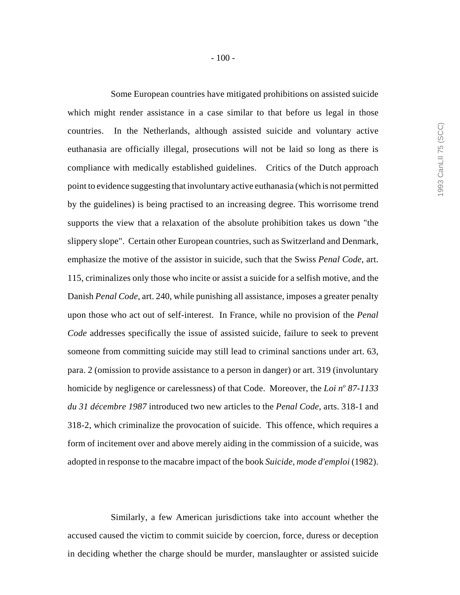- 100 -

Some European countries have mitigated prohibitions on assisted suicide which might render assistance in a case similar to that before us legal in those countries. In the Netherlands, although assisted suicide and voluntary active euthanasia are officially illegal, prosecutions will not be laid so long as there is compliance with medically established guidelines. Critics of the Dutch approach point to evidence suggesting that involuntary active euthanasia (which is not permitted by the guidelines) is being practised to an increasing degree. This worrisome trend supports the view that a relaxation of the absolute prohibition takes us down "the slippery slope". Certain other European countries, such as Switzerland and Denmark, emphasize the motive of the assistor in suicide, such that the Swiss *Penal Code*, art. 115, criminalizes only those who incite or assist a suicide for a selfish motive, and the Danish *Penal Code*, art. 240, while punishing all assistance, imposes a greater penalty upon those who act out of self-interest. In France, while no provision of the *Penal Code* addresses specifically the issue of assisted suicide, failure to seek to prevent someone from committing suicide may still lead to criminal sanctions under art. 63, para. 2 (omission to provide assistance to a person in danger) or art. 319 (involuntary homicide by negligence or carelessness) of that Code. Moreover, the *Loi* n° 87-1133 *du 31 décembre 1987* introduced two new articles to the *Penal Code*, arts. 318-1 and 318-2, which criminalize the provocation of suicide. This offence, which requires a form of incitement over and above merely aiding in the commission of a suicide, was adopted in response to the macabre impact of the book *Suicide, mode d'emploi* (1982).

Similarly, a few American jurisdictions take into account whether the accused caused the victim to commit suicide by coercion, force, duress or deception in deciding whether the charge should be murder, manslaughter or assisted suicide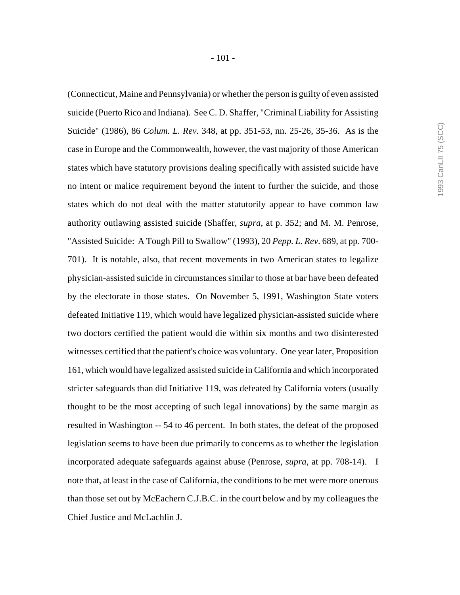(Connecticut, Maine and Pennsylvania) or whether the person is guilty of even assisted suicide (Puerto Rico and Indiana). See C. D. Shaffer, "Criminal Liability for Assisting Suicide" (1986), 86 *Colum. L. Rev.* 348, at pp. 351-53, nn. 25-26, 35-36. As is the case in Europe and the Commonwealth, however, the vast majority of those American states which have statutory provisions dealing specifically with assisted suicide have no intent or malice requirement beyond the intent to further the suicide, and those states which do not deal with the matter statutorily appear to have common law authority outlawing assisted suicide (Shaffer, *supra*, at p. 352; and M. M. Penrose, "Assisted Suicide: A Tough Pill to Swallow" (1993), 20 *Pepp. L. Rev.* 689, at pp. 700- 701). It is notable, also, that recent movements in two American states to legalize physician-assisted suicide in circumstances similar to those at bar have been defeated by the electorate in those states. On November 5, 1991, Washington State voters defeated Initiative 119, which would have legalized physician-assisted suicide where two doctors certified the patient would die within six months and two disinterested witnesses certified that the patient's choice was voluntary. One year later, Proposition 161, which would have legalized assisted suicide in California and which incorporated stricter safeguards than did Initiative 119, was defeated by California voters (usually thought to be the most accepting of such legal innovations) by the same margin as resulted in Washington -- 54 to 46 percent. In both states, the defeat of the proposed legislation seems to have been due primarily to concerns as to whether the legislation incorporated adequate safeguards against abuse (Penrose, *supra*, at pp. 708-14). I note that, at least in the case of California, the conditions to be met were more onerous than those set out by McEachern C.J.B.C. in the court below and by my colleagues the Chief Justice and McLachlin J.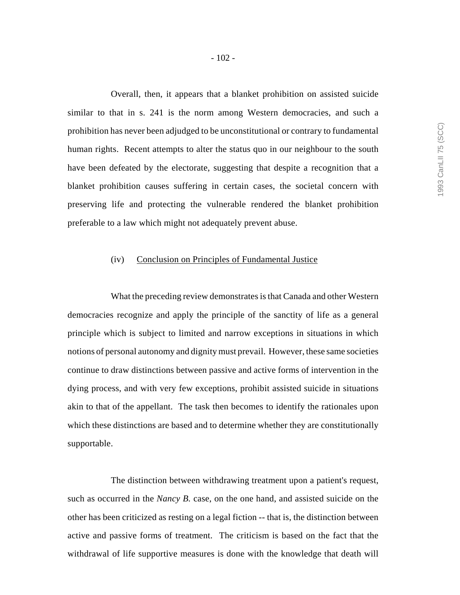Overall, then, it appears that a blanket prohibition on assisted suicide similar to that in s. 241 is the norm among Western democracies, and such a prohibition has never been adjudged to be unconstitutional or contrary to fundamental human rights. Recent attempts to alter the status quo in our neighbour to the south have been defeated by the electorate, suggesting that despite a recognition that a blanket prohibition causes suffering in certain cases, the societal concern with preserving life and protecting the vulnerable rendered the blanket prohibition preferable to a law which might not adequately prevent abuse.

#### (iv) Conclusion on Principles of Fundamental Justice

What the preceding review demonstrates is that Canada and other Western democracies recognize and apply the principle of the sanctity of life as a general principle which is subject to limited and narrow exceptions in situations in which notions of personal autonomy and dignity must prevail. However, these same societies continue to draw distinctions between passive and active forms of intervention in the dying process, and with very few exceptions, prohibit assisted suicide in situations akin to that of the appellant. The task then becomes to identify the rationales upon which these distinctions are based and to determine whether they are constitutionally supportable.

The distinction between withdrawing treatment upon a patient's request, such as occurred in the *Nancy B.* case, on the one hand, and assisted suicide on the other has been criticized as resting on a legal fiction -- that is, the distinction between active and passive forms of treatment. The criticism is based on the fact that the withdrawal of life supportive measures is done with the knowledge that death will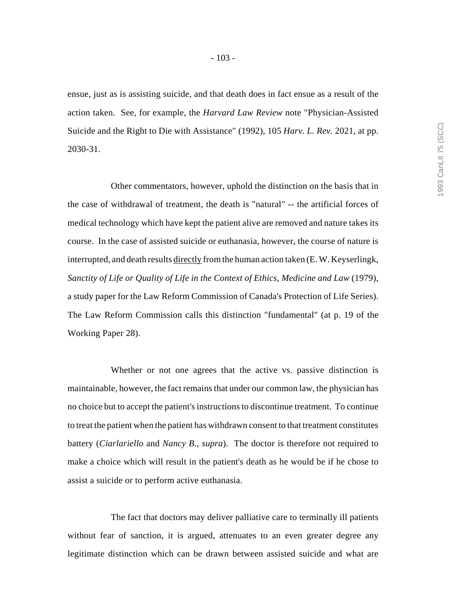ensue, just as is assisting suicide, and that death does in fact ensue as a result of the action taken. See, for example, the *Harvard Law Review* note "Physician-Assisted Suicide and the Right to Die with Assistance" (1992), 105 *Harv. L. Rev.* 2021, at pp. 2030-31.

Other commentators, however, uphold the distinction on the basis that in the case of withdrawal of treatment, the death is "natural" -- the artificial forces of medical technology which have kept the patient alive are removed and nature takes its course. In the case of assisted suicide or euthanasia, however, the course of nature is interrupted, and death results directly from the human action taken (E.W. Keyserlingk, *Sanctity of Life or Quality of Life in the Context of Ethics, Medicine and Law* (1979), a study paper for the Law Reform Commission of Canada's Protection of Life Series). The Law Reform Commission calls this distinction "fundamental" (at p. 19 of the Working Paper 28).

Whether or not one agrees that the active vs. passive distinction is maintainable, however, the fact remains that under our common law, the physician has no choice but to accept the patient's instructions to discontinue treatment. To continue to treat the patient when the patient has withdrawn consent to that treatment constitutes battery (*Ciarlariello* and *Nancy B.*, *supra*). The doctor is therefore not required to make a choice which will result in the patient's death as he would be if he chose to assist a suicide or to perform active euthanasia.

The fact that doctors may deliver palliative care to terminally ill patients without fear of sanction, it is argued, attenuates to an even greater degree any legitimate distinction which can be drawn between assisted suicide and what are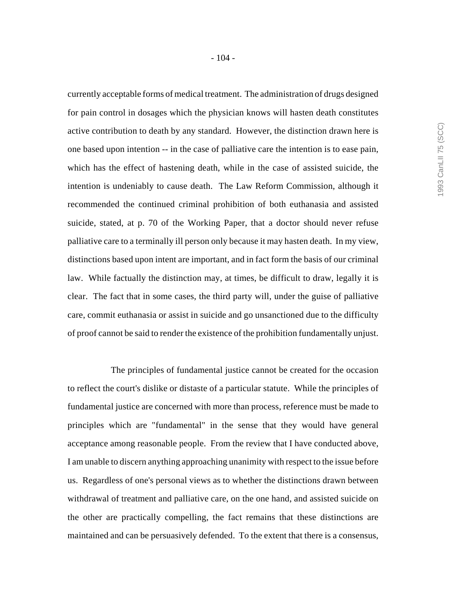- 104 -

currently acceptable forms of medical treatment. The administration of drugs designed for pain control in dosages which the physician knows will hasten death constitutes active contribution to death by any standard. However, the distinction drawn here is one based upon intention -- in the case of palliative care the intention is to ease pain, which has the effect of hastening death, while in the case of assisted suicide, the intention is undeniably to cause death. The Law Reform Commission, although it recommended the continued criminal prohibition of both euthanasia and assisted suicide, stated, at p. 70 of the Working Paper, that a doctor should never refuse palliative care to a terminally ill person only because it may hasten death. In my view, distinctions based upon intent are important, and in fact form the basis of our criminal law. While factually the distinction may, at times, be difficult to draw, legally it is clear. The fact that in some cases, the third party will, under the guise of palliative care, commit euthanasia or assist in suicide and go unsanctioned due to the difficulty of proof cannot be said to render the existence of the prohibition fundamentally unjust.

The principles of fundamental justice cannot be created for the occasion to reflect the court's dislike or distaste of a particular statute. While the principles of fundamental justice are concerned with more than process, reference must be made to principles which are "fundamental" in the sense that they would have general acceptance among reasonable people. From the review that I have conducted above, I am unable to discern anything approaching unanimity with respect to the issue before us. Regardless of one's personal views as to whether the distinctions drawn between withdrawal of treatment and palliative care, on the one hand, and assisted suicide on the other are practically compelling, the fact remains that these distinctions are maintained and can be persuasively defended. To the extent that there is a consensus,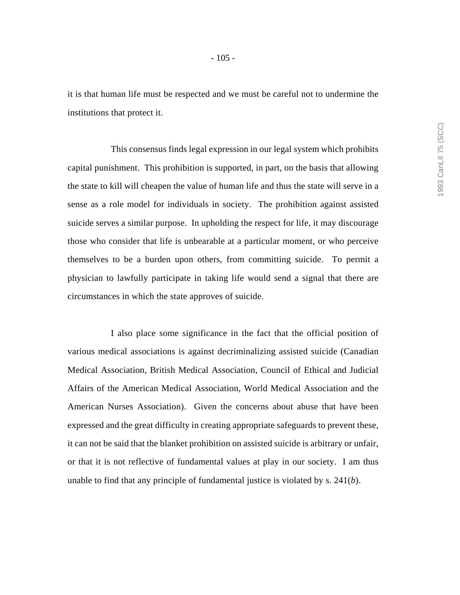it is that human life must be respected and we must be careful not to undermine the institutions that protect it.

This consensus finds legal expression in our legal system which prohibits capital punishment. This prohibition is supported, in part, on the basis that allowing the state to kill will cheapen the value of human life and thus the state will serve in a sense as a role model for individuals in society. The prohibition against assisted suicide serves a similar purpose. In upholding the respect for life, it may discourage those who consider that life is unbearable at a particular moment, or who perceive themselves to be a burden upon others, from committing suicide. To permit a physician to lawfully participate in taking life would send a signal that there are circumstances in which the state approves of suicide.

I also place some significance in the fact that the official position of various medical associations is against decriminalizing assisted suicide (Canadian Medical Association, British Medical Association, Council of Ethical and Judicial Affairs of the American Medical Association, World Medical Association and the American Nurses Association). Given the concerns about abuse that have been expressed and the great difficulty in creating appropriate safeguards to prevent these, it can not be said that the blanket prohibition on assisted suicide is arbitrary or unfair, or that it is not reflective of fundamental values at play in our society. I am thus unable to find that any principle of fundamental justice is violated by s. 241(*b*).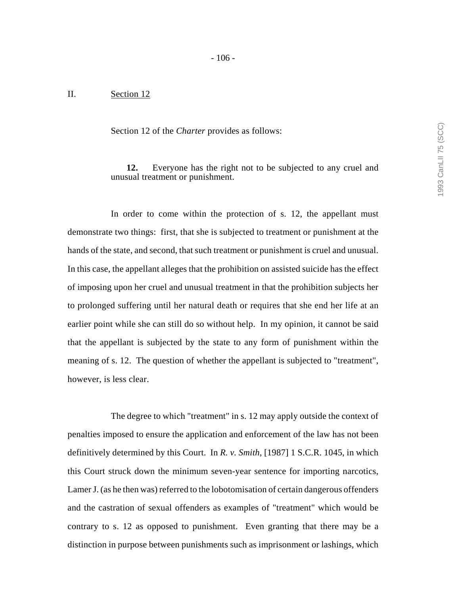### II. Section 12

#### Section 12 of the *Charter* provides as follows:

**12.** Everyone has the right not to be subjected to any cruel and unusual treatment or punishment.

In order to come within the protection of s. 12, the appellant must demonstrate two things: first, that she is subjected to treatment or punishment at the hands of the state, and second, that such treatment or punishment is cruel and unusual. In this case, the appellant alleges that the prohibition on assisted suicide has the effect of imposing upon her cruel and unusual treatment in that the prohibition subjects her to prolonged suffering until her natural death or requires that she end her life at an earlier point while she can still do so without help. In my opinion, it cannot be said that the appellant is subjected by the state to any form of punishment within the meaning of s. 12. The question of whether the appellant is subjected to "treatment", however, is less clear.

The degree to which "treatment" in s. 12 may apply outside the context of penalties imposed to ensure the application and enforcement of the law has not been definitively determined by this Court. In *R. v. Smith*, [1987] 1 S.C.R. 1045, in which this Court struck down the minimum seven-year sentence for importing narcotics, Lamer J. (as he then was) referred to the lobotomisation of certain dangerous offenders and the castration of sexual offenders as examples of "treatment" which would be contrary to s. 12 as opposed to punishment. Even granting that there may be a distinction in purpose between punishments such as imprisonment or lashings, which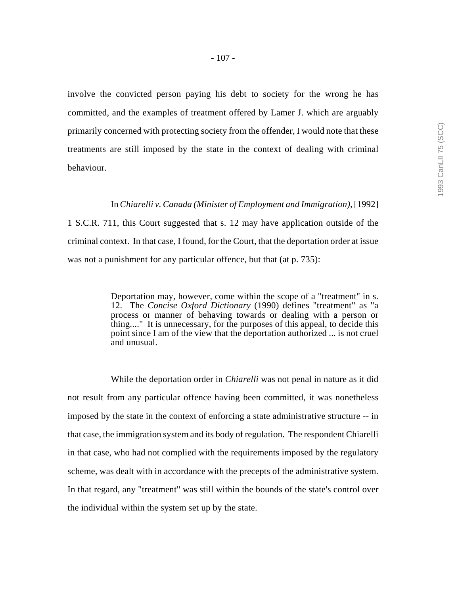involve the convicted person paying his debt to society for the wrong he has committed, and the examples of treatment offered by Lamer J. which are arguably primarily concerned with protecting society from the offender, I would note that these treatments are still imposed by the state in the context of dealing with criminal behaviour.

In *Chiarelli v. Canada (Minister of Employment and Immigration)*, [1992] 1 S.C.R. 711, this Court suggested that s. 12 may have application outside of the criminal context. In that case, I found, for the Court, that the deportation order at issue was not a punishment for any particular offence, but that (at p. 735):

> Deportation may, however, come within the scope of a "treatment" in s. 12. The *Concise Oxford Dictionary* (1990) defines "treatment" as "a process or manner of behaving towards or dealing with a person or thing...." It is unnecessary, for the purposes of this appeal, to decide this point since I am of the view that the deportation authorized ... is not cruel and unusual.

While the deportation order in *Chiarelli* was not penal in nature as it did not result from any particular offence having been committed, it was nonetheless imposed by the state in the context of enforcing a state administrative structure -- in that case, the immigration system and its body of regulation. The respondent Chiarelli in that case, who had not complied with the requirements imposed by the regulatory scheme, was dealt with in accordance with the precepts of the administrative system. In that regard, any "treatment" was still within the bounds of the state's control over the individual within the system set up by the state.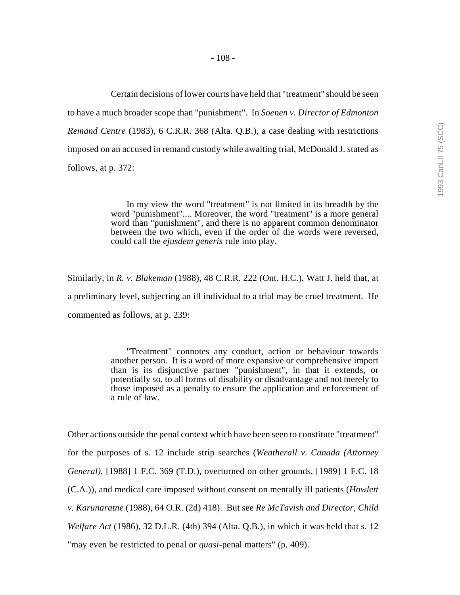Certain decisions of lower courts have held that "treatment" should be seen to have a much broader scope than "punishment". In *Soenen v. Director of Edmonton Remand Centre* (1983), 6 C.R.R. 368 (Alta. Q.B.), a case dealing with restrictions imposed on an accused in remand custody while awaiting trial, McDonald J. stated as follows, at p. 372:

> In my view the word "treatment" is not limited in its breadth by the word "punishment".... Moreover, the word "treatment" is a more general word than "punishment", and there is no apparent common denominator between the two which, even if the order of the words were reversed, could call the *ejusdem generis* rule into play.

Similarly, in *R. v. Blakeman* (1988), 48 C.R.R. 222 (Ont. H.C.), Watt J. held that, at a preliminary level, subjecting an ill individual to a trial may be cruel treatment. He commented as follows, at p. 239:

> "Treatment" connotes any conduct, action or behaviour towards another person. It is a word of more expansive or comprehensive import than is its disjunctive partner "punishment", in that it extends, or potentially so, to all forms of disability or disadvantage and not merely to those imposed as a penalty to ensure the application and enforcement of a rule of law.

Other actions outside the penal context which have been seen to constitute "treatment" for the purposes of s. 12 include strip searches (*Weatherall v. Canada (Attorney General)*, [1988] 1 F.C. 369 (T.D.), overturned on other grounds, [1989] 1 F.C. 18 (C.A.)), and medical care imposed without consent on mentally ill patients (*Howlett v. Karunaratne* (1988), 64 O.R. (2d) 418). But see *Re McTavish and Director, Child Welfare Act* (1986), 32 D.L.R. (4th) 394 (Alta. Q.B.), in which it was held that s. 12 "may even be restricted to penal or *quasi*-penal matters" (p. 409).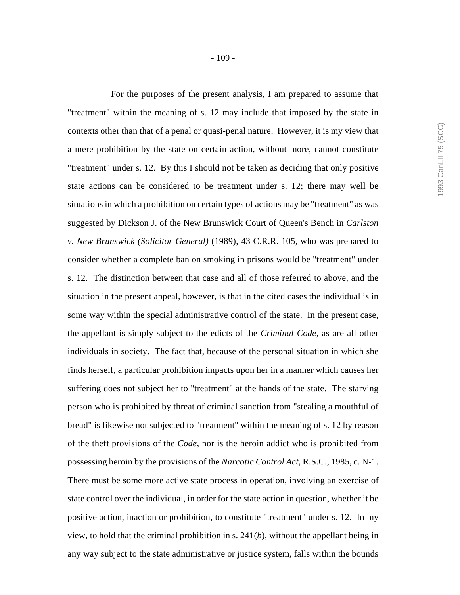For the purposes of the present analysis, I am prepared to assume that "treatment" within the meaning of s. 12 may include that imposed by the state in contexts other than that of a penal or quasi-penal nature. However, it is my view that a mere prohibition by the state on certain action, without more, cannot constitute "treatment" under s. 12. By this I should not be taken as deciding that only positive state actions can be considered to be treatment under s. 12; there may well be situations in which a prohibition on certain types of actions may be "treatment" as was suggested by Dickson J. of the New Brunswick Court of Queen's Bench in *Carlston v. New Brunswick (Solicitor General)* (1989), 43 C.R.R. 105, who was prepared to consider whether a complete ban on smoking in prisons would be "treatment" under s. 12. The distinction between that case and all of those referred to above, and the situation in the present appeal, however, is that in the cited cases the individual is in some way within the special administrative control of the state. In the present case, the appellant is simply subject to the edicts of the *Criminal Code*, as are all other individuals in society. The fact that, because of the personal situation in which she finds herself, a particular prohibition impacts upon her in a manner which causes her suffering does not subject her to "treatment" at the hands of the state. The starving person who is prohibited by threat of criminal sanction from "stealing a mouthful of bread" is likewise not subjected to "treatment" within the meaning of s. 12 by reason of the theft provisions of the *Code*, nor is the heroin addict who is prohibited from possessing heroin by the provisions of the *Narcotic Control Act*, R.S.C., 1985, c. N-1. There must be some more active state process in operation, involving an exercise of state control over the individual, in order for the state action in question, whether it be positive action, inaction or prohibition, to constitute "treatment" under s. 12. In my view, to hold that the criminal prohibition in s. 241(*b*), without the appellant being in any way subject to the state administrative or justice system, falls within the bounds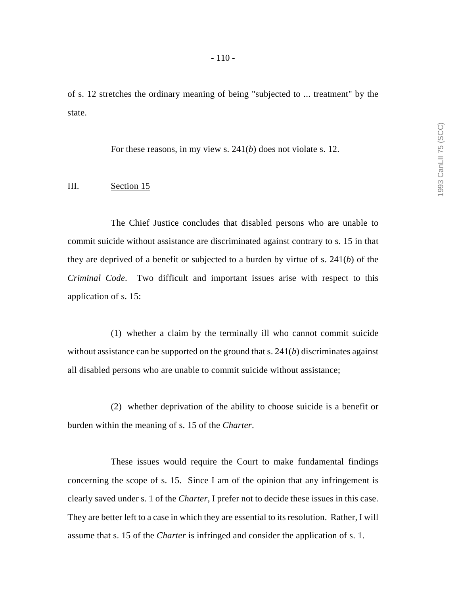of s. 12 stretches the ordinary meaning of being "subjected to ... treatment" by the state.

For these reasons, in my view s. 241(*b*) does not violate s. 12.

# III. Section 15

The Chief Justice concludes that disabled persons who are unable to commit suicide without assistance are discriminated against contrary to s. 15 in that they are deprived of a benefit or subjected to a burden by virtue of s. 241(*b*) of the *Criminal Code*. Two difficult and important issues arise with respect to this application of s. 15:

(1) whether a claim by the terminally ill who cannot commit suicide without assistance can be supported on the ground that s. 241(*b*) discriminates against all disabled persons who are unable to commit suicide without assistance;

(2) whether deprivation of the ability to choose suicide is a benefit or burden within the meaning of s. 15 of the *Charter*.

These issues would require the Court to make fundamental findings concerning the scope of s. 15. Since I am of the opinion that any infringement is clearly saved under s. 1 of the *Charter*, I prefer not to decide these issues in this case. They are better left to a case in which they are essential to its resolution. Rather, I will assume that s. 15 of the *Charter* is infringed and consider the application of s. 1.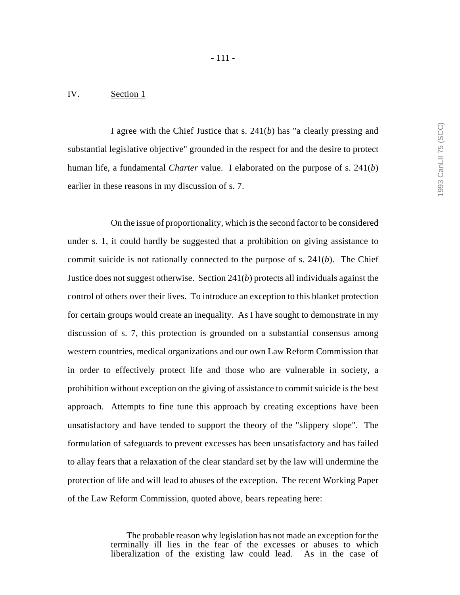# IV. Section 1

I agree with the Chief Justice that s. 241(*b*) has "a clearly pressing and substantial legislative objective" grounded in the respect for and the desire to protect human life, a fundamental *Charter* value. I elaborated on the purpose of s. 241(*b*) earlier in these reasons in my discussion of s. 7.

On the issue of proportionality, which is the second factor to be considered under s. 1, it could hardly be suggested that a prohibition on giving assistance to commit suicide is not rationally connected to the purpose of s. 241(*b*). The Chief Justice does not suggest otherwise. Section 241(*b*) protects all individuals against the control of others over their lives. To introduce an exception to this blanket protection for certain groups would create an inequality. As I have sought to demonstrate in my discussion of s. 7, this protection is grounded on a substantial consensus among western countries, medical organizations and our own Law Reform Commission that in order to effectively protect life and those who are vulnerable in society, a prohibition without exception on the giving of assistance to commit suicide is the best approach. Attempts to fine tune this approach by creating exceptions have been unsatisfactory and have tended to support the theory of the "slippery slope". The formulation of safeguards to prevent excesses has been unsatisfactory and has failed to allay fears that a relaxation of the clear standard set by the law will undermine the protection of life and will lead to abuses of the exception. The recent Working Paper of the Law Reform Commission, quoted above, bears repeating here:

> The probable reason why legislation has not made an exception for the terminally ill lies in the fear of the excesses or abuses to which liberalization of the existing law could lead. As in the case of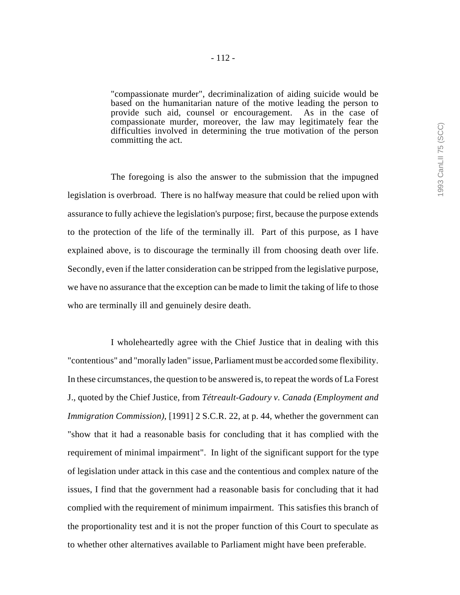"compassionate murder", decriminalization of aiding suicide would be based on the humanitarian nature of the motive leading the person to provide such aid, counsel or encouragement. As in the case of compassionate murder, moreover, the law may legitimately fear the difficulties involved in determining the true motivation of the person committing the act.

The foregoing is also the answer to the submission that the impugned legislation is overbroad. There is no halfway measure that could be relied upon with assurance to fully achieve the legislation's purpose; first, because the purpose extends to the protection of the life of the terminally ill. Part of this purpose, as I have explained above, is to discourage the terminally ill from choosing death over life. Secondly, even if the latter consideration can be stripped from the legislative purpose, we have no assurance that the exception can be made to limit the taking of life to those who are terminally ill and genuinely desire death.

I wholeheartedly agree with the Chief Justice that in dealing with this "contentious" and "morally laden" issue, Parliament must be accorded some flexibility. In these circumstances, the question to be answered is, to repeat the words of La Forest J., quoted by the Chief Justice, from *Tétreault-Gadoury v. Canada (Employment and Immigration Commission)*, [1991] 2 S.C.R. 22, at p. 44, whether the government can "show that it had a reasonable basis for concluding that it has complied with the requirement of minimal impairment". In light of the significant support for the type of legislation under attack in this case and the contentious and complex nature of the issues, I find that the government had a reasonable basis for concluding that it had complied with the requirement of minimum impairment. This satisfies this branch of the proportionality test and it is not the proper function of this Court to speculate as to whether other alternatives available to Parliament might have been preferable.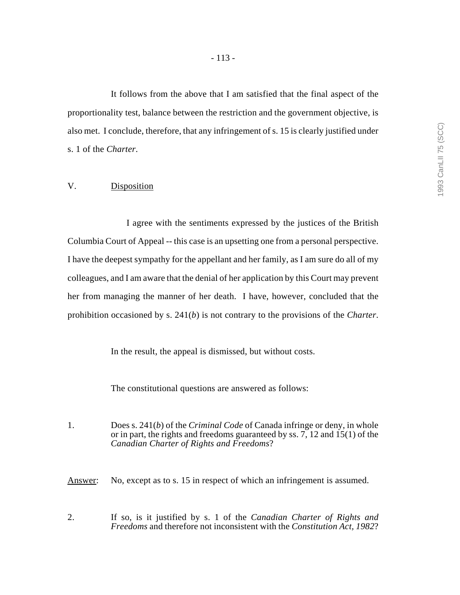It follows from the above that I am satisfied that the final aspect of the proportionality test, balance between the restriction and the government objective, is also met. I conclude, therefore, that any infringement of s. 15 is clearly justified under s. 1 of the *Charter*.

## V. Disposition

I agree with the sentiments expressed by the justices of the British Columbia Court of Appeal -- this case is an upsetting one from a personal perspective. I have the deepest sympathy for the appellant and her family, as I am sure do all of my colleagues, and I am aware that the denial of her application by this Court may prevent her from managing the manner of her death. I have, however, concluded that the prohibition occasioned by s. 241(*b*) is not contrary to the provisions of the *Charter*.

In the result, the appeal is dismissed, but without costs.

The constitutional questions are answered as follows:

1. Does s. 241(*b*) of the *Criminal Code* of Canada infringe or deny, in whole or in part, the rights and freedoms guaranteed by ss.  $7, 12$  and  $15(1)$  of the *Canadian Charter of Rights and Freedoms*?

Answer: No, except as to s. 15 in respect of which an infringement is assumed.

2. If so, is it justified by s. 1 of the *Canadian Charter of Rights and Freedoms* and therefore not inconsistent with the *Constitution Act, 1982*?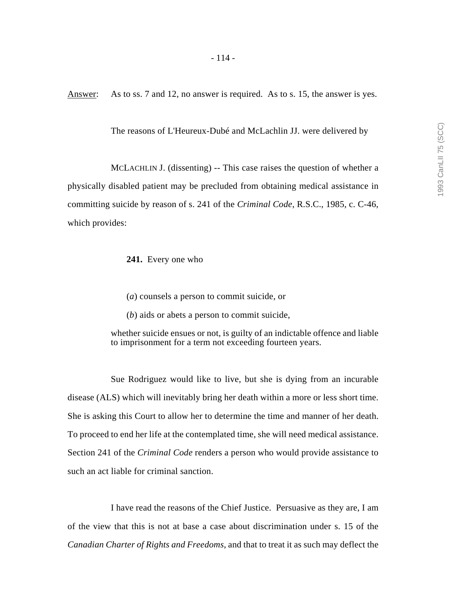Answer: As to ss. 7 and 12, no answer is required. As to s. 15, the answer is yes.

The reasons of L'Heureux-Dubé and McLachlin JJ. were delivered by

MCLACHLIN J. (dissenting) -- This case raises the question of whether a physically disabled patient may be precluded from obtaining medical assistance in committing suicide by reason of s. 241 of the *Criminal Code*, R.S.C., 1985, c. C-46, which provides:

**241.** Every one who

(*a*) counsels a person to commit suicide, or

(*b*) aids or abets a person to commit suicide,

whether suicide ensues or not, is guilty of an indictable offence and liable to imprisonment for a term not exceeding fourteen years.

Sue Rodriguez would like to live, but she is dying from an incurable disease (ALS) which will inevitably bring her death within a more or less short time. She is asking this Court to allow her to determine the time and manner of her death. To proceed to end her life at the contemplated time, she will need medical assistance. Section 241 of the *Criminal Code* renders a person who would provide assistance to such an act liable for criminal sanction.

I have read the reasons of the Chief Justice. Persuasive as they are, I am of the view that this is not at base a case about discrimination under s. 15 of the *Canadian Charter of Rights and Freedoms*, and that to treat it as such may deflect the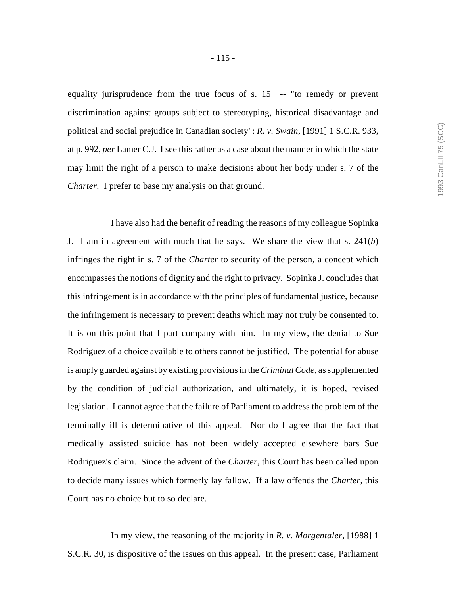equality jurisprudence from the true focus of s. 15 -- "to remedy or prevent discrimination against groups subject to stereotyping, historical disadvantage and political and social prejudice in Canadian society": *R. v. Swain*, [1991] 1 S.C.R. 933, at p. 992, *per* Lamer C.J. I see this rather as a case about the manner in which the state may limit the right of a person to make decisions about her body under s. 7 of the *Charter*. I prefer to base my analysis on that ground.

I have also had the benefit of reading the reasons of my colleague Sopinka J. I am in agreement with much that he says. We share the view that s. 241(*b*) infringes the right in s. 7 of the *Charter* to security of the person, a concept which encompasses the notions of dignity and the right to privacy. Sopinka J. concludes that this infringement is in accordance with the principles of fundamental justice, because the infringement is necessary to prevent deaths which may not truly be consented to. It is on this point that I part company with him. In my view, the denial to Sue Rodriguez of a choice available to others cannot be justified. The potential for abuse is amply guarded against by existing provisions in the *Criminal Code*, as supplemented by the condition of judicial authorization, and ultimately, it is hoped, revised legislation. I cannot agree that the failure of Parliament to address the problem of the terminally ill is determinative of this appeal. Nor do I agree that the fact that medically assisted suicide has not been widely accepted elsewhere bars Sue Rodriguez's claim. Since the advent of the *Charter*, this Court has been called upon to decide many issues which formerly lay fallow. If a law offends the *Charter*, this Court has no choice but to so declare.

In my view, the reasoning of the majority in *R. v. Morgentaler*, [1988] 1 S.C.R. 30, is dispositive of the issues on this appeal. In the present case, Parliament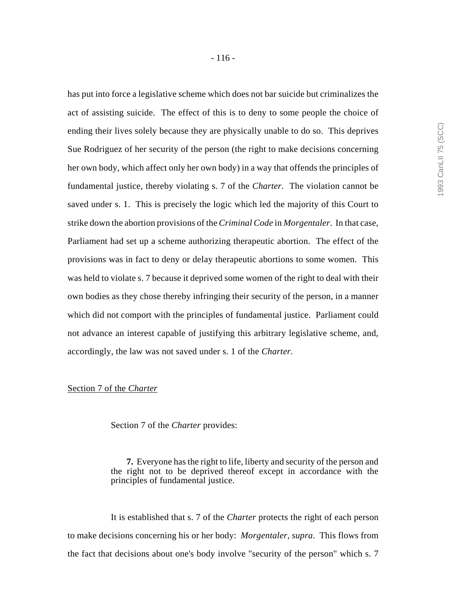has put into force a legislative scheme which does not bar suicide but criminalizes the act of assisting suicide. The effect of this is to deny to some people the choice of ending their lives solely because they are physically unable to do so. This deprives Sue Rodriguez of her security of the person (the right to make decisions concerning her own body, which affect only her own body) in a way that offends the principles of fundamental justice, thereby violating s. 7 of the *Charter.* The violation cannot be saved under s. 1. This is precisely the logic which led the majority of this Court to strike down the abortion provisions of the *Criminal Code* in *Morgentaler*. In that case, Parliament had set up a scheme authorizing therapeutic abortion. The effect of the provisions was in fact to deny or delay therapeutic abortions to some women. This was held to violate s. 7 because it deprived some women of the right to deal with their own bodies as they chose thereby infringing their security of the person, in a manner which did not comport with the principles of fundamental justice. Parliament could not advance an interest capable of justifying this arbitrary legislative scheme, and, accordingly, the law was not saved under s. 1 of the *Charter.*

#### Section 7 of the *Charter*

Section 7 of the *Charter* provides:

**7.** Everyone has the right to life, liberty and security of the person and the right not to be deprived thereof except in accordance with the principles of fundamental justice.

It is established that s. 7 of the *Charter* protects the right of each person to make decisions concerning his or her body: *Morgentaler*, *supra*. This flows from the fact that decisions about one's body involve "security of the person" which s. 7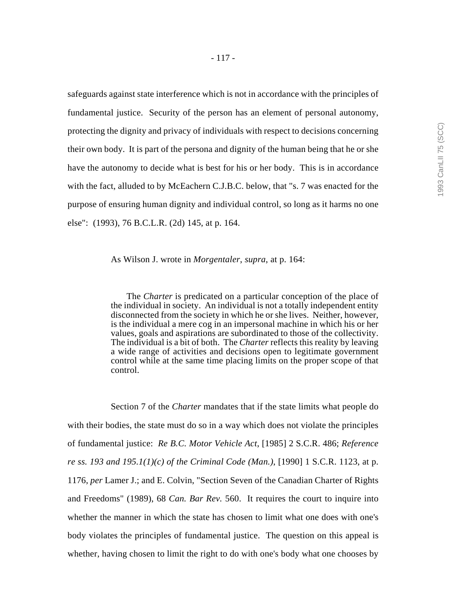safeguards against state interference which is not in accordance with the principles of fundamental justice. Security of the person has an element of personal autonomy, protecting the dignity and privacy of individuals with respect to decisions concerning their own body. It is part of the persona and dignity of the human being that he or she have the autonomy to decide what is best for his or her body. This is in accordance with the fact, alluded to by McEachern C.J.B.C. below, that "s. 7 was enacted for the purpose of ensuring human dignity and individual control, so long as it harms no one else": (1993), 76 B.C.L.R. (2d) 145, at p. 164.

#### As Wilson J. wrote in *Morgentaler*, *supra*, at p. 164:

The *Charter* is predicated on a particular conception of the place of the individual in society. An individual is not a totally independent entity disconnected from the society in which he or she lives. Neither, however, is the individual a mere cog in an impersonal machine in which his or her values, goals and aspirations are subordinated to those of the collectivity. The individual is a bit of both. The *Charter* reflects this reality by leaving a wide range of activities and decisions open to legitimate government control while at the same time placing limits on the proper scope of that control.

Section 7 of the *Charter* mandates that if the state limits what people do with their bodies, the state must do so in a way which does not violate the principles of fundamental justice: *Re B.C. Motor Vehicle Act*, [1985] 2 S.C.R. 486; *Reference re ss. 193 and 195.1(1)(c) of the Criminal Code (Man.)*, [1990] 1 S.C.R. 1123, at p. 1176, *per* Lamer J.; and E. Colvin, "Section Seven of the Canadian Charter of Rights and Freedoms" (1989), 68 *Can. Bar Rev.* 560. It requires the court to inquire into whether the manner in which the state has chosen to limit what one does with one's body violates the principles of fundamental justice. The question on this appeal is whether, having chosen to limit the right to do with one's body what one chooses by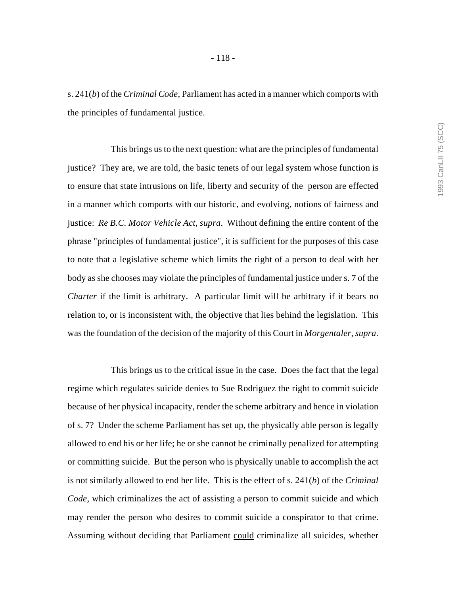s. 241(*b*) of the *Criminal Code*, Parliament has acted in a manner which comports with the principles of fundamental justice.

This brings us to the next question: what are the principles of fundamental justice? They are, we are told, the basic tenets of our legal system whose function is to ensure that state intrusions on life, liberty and security of the person are effected in a manner which comports with our historic, and evolving, notions of fairness and justice: *Re B.C. Motor Vehicle Act*, *supra*. Without defining the entire content of the phrase "principles of fundamental justice", it is sufficient for the purposes of this case to note that a legislative scheme which limits the right of a person to deal with her body as she chooses may violate the principles of fundamental justice under s. 7 of the *Charter* if the limit is arbitrary. A particular limit will be arbitrary if it bears no relation to, or is inconsistent with, the objective that lies behind the legislation. This was the foundation of the decision of the majority of this Court in *Morgentaler*, *supra*.

This brings us to the critical issue in the case. Does the fact that the legal regime which regulates suicide denies to Sue Rodriguez the right to commit suicide because of her physical incapacity, render the scheme arbitrary and hence in violation of s. 7? Under the scheme Parliament has set up, the physically able person is legally allowed to end his or her life; he or she cannot be criminally penalized for attempting or committing suicide. But the person who is physically unable to accomplish the act is not similarly allowed to end her life. This is the effect of s. 241(*b*) of the *Criminal Code*, which criminalizes the act of assisting a person to commit suicide and which may render the person who desires to commit suicide a conspirator to that crime. Assuming without deciding that Parliament **could** criminalize all suicides, whether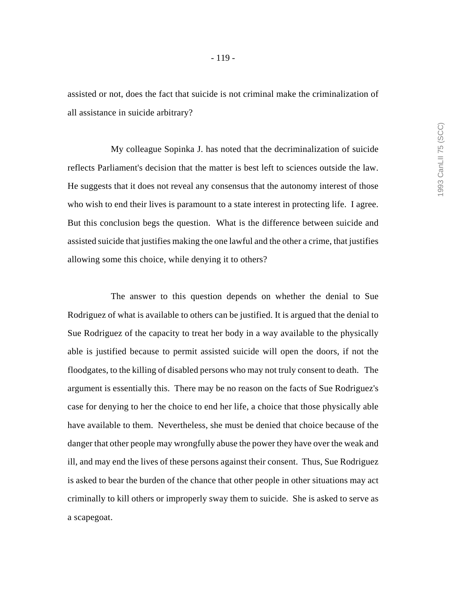assisted or not, does the fact that suicide is not criminal make the criminalization of all assistance in suicide arbitrary?

My colleague Sopinka J. has noted that the decriminalization of suicide reflects Parliament's decision that the matter is best left to sciences outside the law. He suggests that it does not reveal any consensus that the autonomy interest of those who wish to end their lives is paramount to a state interest in protecting life. I agree. But this conclusion begs the question. What is the difference between suicide and assisted suicide that justifies making the one lawful and the other a crime, that justifies allowing some this choice, while denying it to others?

The answer to this question depends on whether the denial to Sue Rodriguez of what is available to others can be justified. It is argued that the denial to Sue Rodriguez of the capacity to treat her body in a way available to the physically able is justified because to permit assisted suicide will open the doors, if not the floodgates, to the killing of disabled persons who may not truly consent to death. The argument is essentially this. There may be no reason on the facts of Sue Rodriguez's case for denying to her the choice to end her life, a choice that those physically able have available to them. Nevertheless, she must be denied that choice because of the danger that other people may wrongfully abuse the power they have over the weak and ill, and may end the lives of these persons against their consent. Thus, Sue Rodriguez is asked to bear the burden of the chance that other people in other situations may act criminally to kill others or improperly sway them to suicide. She is asked to serve as a scapegoat.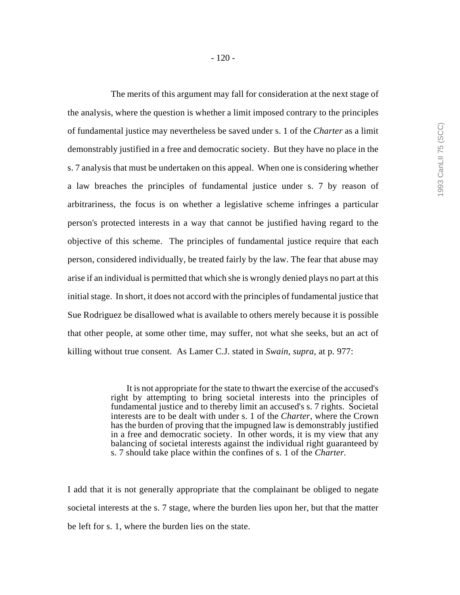The merits of this argument may fall for consideration at the next stage of the analysis, where the question is whether a limit imposed contrary to the principles of fundamental justice may nevertheless be saved under s. 1 of the *Charter* as a limit demonstrably justified in a free and democratic society. But they have no place in the s. 7 analysis that must be undertaken on this appeal. When one is considering whether a law breaches the principles of fundamental justice under s. 7 by reason of arbitrariness, the focus is on whether a legislative scheme infringes a particular person's protected interests in a way that cannot be justified having regard to the objective of this scheme. The principles of fundamental justice require that each person, considered individually, be treated fairly by the law. The fear that abuse may arise if an individual is permitted that which she is wrongly denied plays no part at this initial stage. In short, it does not accord with the principles of fundamental justice that Sue Rodriguez be disallowed what is available to others merely because it is possible that other people, at some other time, may suffer, not what she seeks, but an act of killing without true consent. As Lamer C.J. stated in *Swain*, *supra*, at p. 977:

> It is not appropriate for the state to thwart the exercise of the accused's right by attempting to bring societal interests into the principles of fundamental justice and to thereby limit an accused's s. 7 rights. Societal interests are to be dealt with under s. 1 of the *Charter*, where the Crown has the burden of proving that the impugned law is demonstrably justified in a free and democratic society. In other words, it is my view that any balancing of societal interests against the individual right guaranteed by s. 7 should take place within the confines of s. 1 of the *Charter.*

I add that it is not generally appropriate that the complainant be obliged to negate societal interests at the s. 7 stage, where the burden lies upon her, but that the matter be left for s. 1, where the burden lies on the state.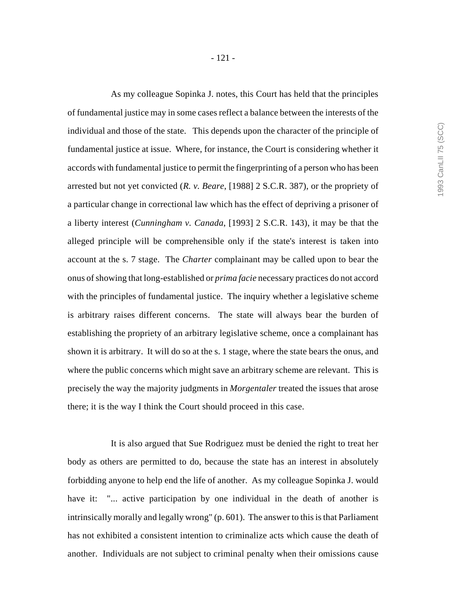As my colleague Sopinka J. notes, this Court has held that the principles of fundamental justice may in some cases reflect a balance between the interests of the individual and those of the state. This depends upon the character of the principle of fundamental justice at issue. Where, for instance, the Court is considering whether it accords with fundamental justice to permit the fingerprinting of a person who has been arrested but not yet convicted (*R. v. Beare*, [1988] 2 S.C.R. 387), or the propriety of a particular change in correctional law which has the effect of depriving a prisoner of a liberty interest (*Cunningham v. Canada*, [1993] 2 S.C.R. 143), it may be that the alleged principle will be comprehensible only if the state's interest is taken into account at the s. 7 stage. The *Charter* complainant may be called upon to bear the onus of showing that long-established or *prima facie* necessary practices do not accord with the principles of fundamental justice. The inquiry whether a legislative scheme is arbitrary raises different concerns. The state will always bear the burden of establishing the propriety of an arbitrary legislative scheme, once a complainant has shown it is arbitrary. It will do so at the s. 1 stage, where the state bears the onus, and where the public concerns which might save an arbitrary scheme are relevant. This is precisely the way the majority judgments in *Morgentaler* treated the issues that arose there; it is the way I think the Court should proceed in this case.

It is also argued that Sue Rodriguez must be denied the right to treat her body as others are permitted to do, because the state has an interest in absolutely forbidding anyone to help end the life of another. As my colleague Sopinka J. would have it: "... active participation by one individual in the death of another is intrinsically morally and legally wrong" (p. 601). The answer to this is that Parliament has not exhibited a consistent intention to criminalize acts which cause the death of another. Individuals are not subject to criminal penalty when their omissions cause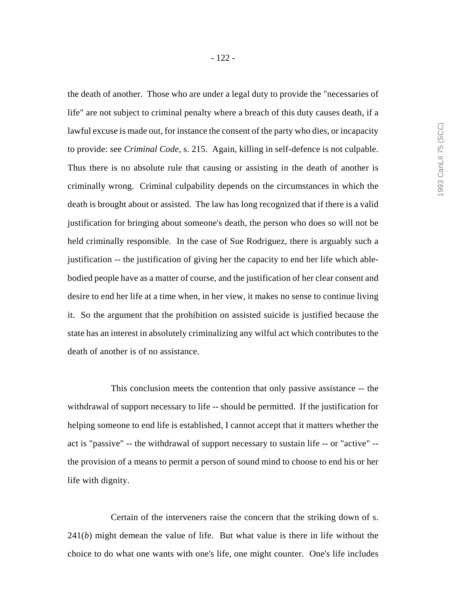the death of another. Those who are under a legal duty to provide the "necessaries of life" are not subject to criminal penalty where a breach of this duty causes death, if a lawful excuse is made out, for instance the consent of the party who dies, or incapacity to provide: see *Criminal Code*, s. 215. Again, killing in self-defence is not culpable. Thus there is no absolute rule that causing or assisting in the death of another is criminally wrong. Criminal culpability depends on the circumstances in which the death is brought about or assisted. The law has long recognized that if there is a valid justification for bringing about someone's death, the person who does so will not be held criminally responsible. In the case of Sue Rodriguez, there is arguably such a justification -- the justification of giving her the capacity to end her life which ablebodied people have as a matter of course, and the justification of her clear consent and desire to end her life at a time when, in her view, it makes no sense to continue living it. So the argument that the prohibition on assisted suicide is justified because the state has an interest in absolutely criminalizing any wilful act which contributes to the death of another is of no assistance.

This conclusion meets the contention that only passive assistance -- the withdrawal of support necessary to life -- should be permitted. If the justification for helping someone to end life is established, I cannot accept that it matters whether the act is "passive" -- the withdrawal of support necessary to sustain life -- or "active" - the provision of a means to permit a person of sound mind to choose to end his or her life with dignity.

Certain of the interveners raise the concern that the striking down of s. 241(*b*) might demean the value of life. But what value is there in life without the choice to do what one wants with one's life, one might counter. One's life includes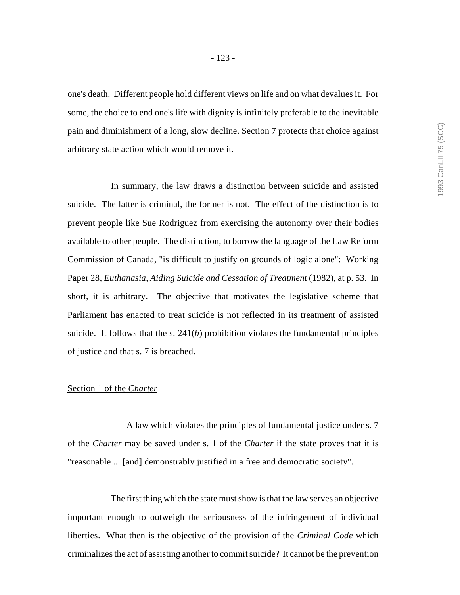one's death. Different people hold different views on life and on what devalues it. For some, the choice to end one's life with dignity is infinitely preferable to the inevitable pain and diminishment of a long, slow decline. Section 7 protects that choice against arbitrary state action which would remove it.

In summary, the law draws a distinction between suicide and assisted suicide. The latter is criminal, the former is not. The effect of the distinction is to prevent people like Sue Rodriguez from exercising the autonomy over their bodies available to other people. The distinction, to borrow the language of the Law Reform Commission of Canada, "is difficult to justify on grounds of logic alone": Working Paper 28, *Euthanasia, Aiding Suicide and Cessation of Treatment* (1982), at p. 53. In short, it is arbitrary. The objective that motivates the legislative scheme that Parliament has enacted to treat suicide is not reflected in its treatment of assisted suicide. It follows that the s.  $241(b)$  prohibition violates the fundamental principles of justice and that s. 7 is breached.

#### Section 1 of the *Charter*

A law which violates the principles of fundamental justice under s. 7 of the *Charter* may be saved under s. 1 of the *Charter* if the state proves that it is "reasonable ... [and] demonstrably justified in a free and democratic society".

The first thing which the state must show is that the law serves an objective important enough to outweigh the seriousness of the infringement of individual liberties. What then is the objective of the provision of the *Criminal Code* which criminalizes the act of assisting another to commit suicide? It cannot be the prevention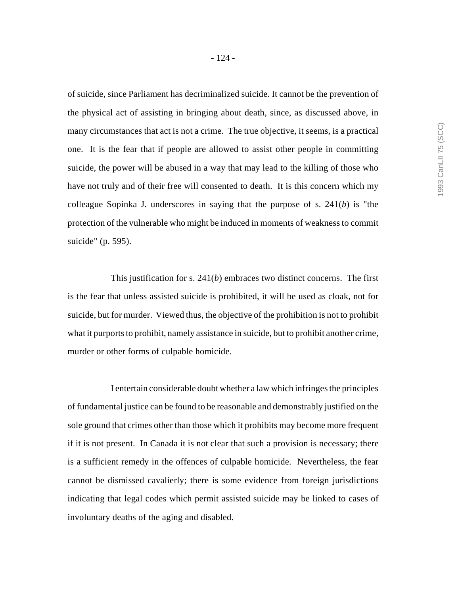of suicide, since Parliament has decriminalized suicide. It cannot be the prevention of the physical act of assisting in bringing about death, since, as discussed above, in many circumstances that act is not a crime. The true objective, it seems, is a practical one. It is the fear that if people are allowed to assist other people in committing suicide, the power will be abused in a way that may lead to the killing of those who have not truly and of their free will consented to death. It is this concern which my colleague Sopinka J. underscores in saying that the purpose of s. 241(*b*) is "the protection of the vulnerable who might be induced in moments of weakness to commit suicide" (p. 595).

This justification for s. 241(*b*) embraces two distinct concerns. The first is the fear that unless assisted suicide is prohibited, it will be used as cloak, not for suicide, but for murder. Viewed thus, the objective of the prohibition is not to prohibit what it purports to prohibit, namely assistance in suicide, but to prohibit another crime, murder or other forms of culpable homicide.

I entertain considerable doubt whether a law which infringes the principles of fundamental justice can be found to be reasonable and demonstrably justified on the sole ground that crimes other than those which it prohibits may become more frequent if it is not present. In Canada it is not clear that such a provision is necessary; there is a sufficient remedy in the offences of culpable homicide. Nevertheless, the fear cannot be dismissed cavalierly; there is some evidence from foreign jurisdictions indicating that legal codes which permit assisted suicide may be linked to cases of involuntary deaths of the aging and disabled.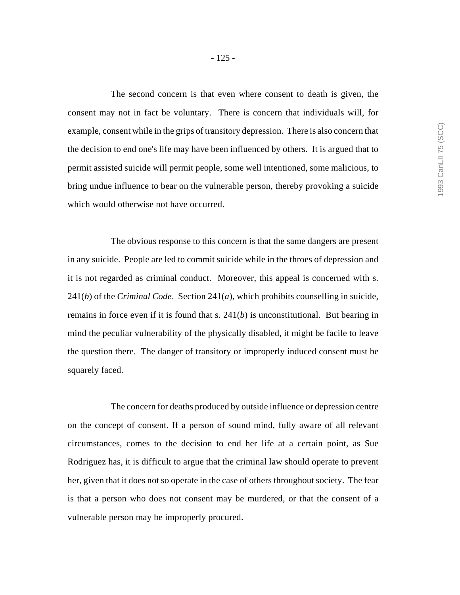The second concern is that even where consent to death is given, the consent may not in fact be voluntary. There is concern that individuals will, for example, consent while in the grips of transitory depression. There is also concern that the decision to end one's life may have been influenced by others. It is argued that to permit assisted suicide will permit people, some well intentioned, some malicious, to bring undue influence to bear on the vulnerable person, thereby provoking a suicide which would otherwise not have occurred.

The obvious response to this concern is that the same dangers are present in any suicide. People are led to commit suicide while in the throes of depression and it is not regarded as criminal conduct. Moreover, this appeal is concerned with s. 241(*b*) of the *Criminal Code*. Section 241(*a*), which prohibits counselling in suicide, remains in force even if it is found that s. 241(*b*) is unconstitutional. But bearing in mind the peculiar vulnerability of the physically disabled, it might be facile to leave the question there. The danger of transitory or improperly induced consent must be squarely faced.

The concern for deaths produced by outside influence or depression centre on the concept of consent. If a person of sound mind, fully aware of all relevant circumstances, comes to the decision to end her life at a certain point, as Sue Rodriguez has, it is difficult to argue that the criminal law should operate to prevent her, given that it does not so operate in the case of others throughout society. The fear is that a person who does not consent may be murdered, or that the consent of a vulnerable person may be improperly procured.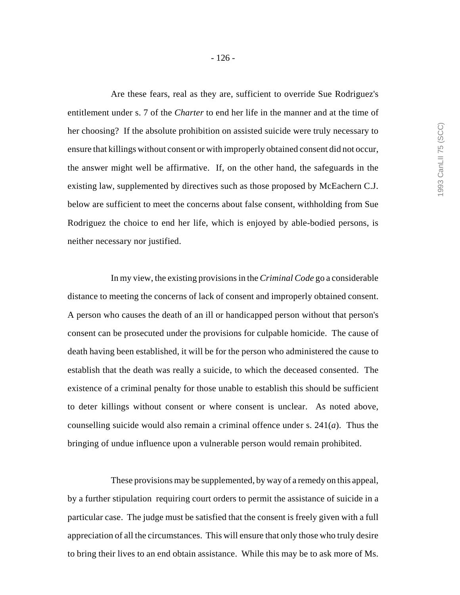Are these fears, real as they are, sufficient to override Sue Rodriguez's entitlement under s. 7 of the *Charter* to end her life in the manner and at the time of her choosing? If the absolute prohibition on assisted suicide were truly necessary to ensure that killings without consent or with improperly obtained consent did not occur, the answer might well be affirmative. If, on the other hand, the safeguards in the existing law, supplemented by directives such as those proposed by McEachern C.J. below are sufficient to meet the concerns about false consent, withholding from Sue Rodriguez the choice to end her life, which is enjoyed by able-bodied persons, is neither necessary nor justified.

In my view, the existing provisions in the *Criminal Code* go a considerable distance to meeting the concerns of lack of consent and improperly obtained consent. A person who causes the death of an ill or handicapped person without that person's consent can be prosecuted under the provisions for culpable homicide. The cause of death having been established, it will be for the person who administered the cause to establish that the death was really a suicide, to which the deceased consented. The existence of a criminal penalty for those unable to establish this should be sufficient to deter killings without consent or where consent is unclear. As noted above, counselling suicide would also remain a criminal offence under s. 241(*a*). Thus the bringing of undue influence upon a vulnerable person would remain prohibited.

These provisions may be supplemented, by way of a remedy on this appeal, by a further stipulation requiring court orders to permit the assistance of suicide in a particular case. The judge must be satisfied that the consent is freely given with a full appreciation of all the circumstances. This will ensure that only those who truly desire to bring their lives to an end obtain assistance. While this may be to ask more of Ms.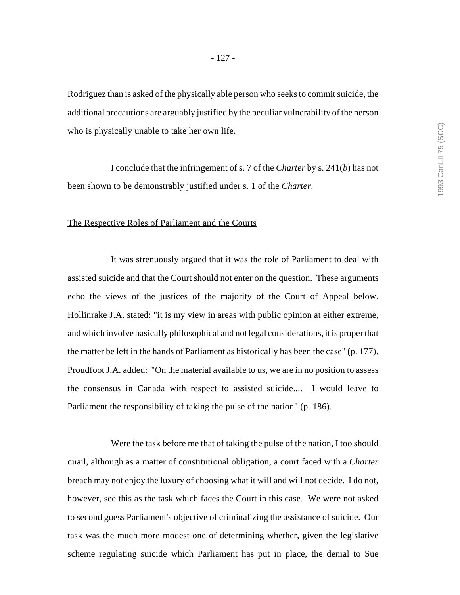Rodriguez than is asked of the physically able person who seeks to commit suicide, the additional precautions are arguably justified by the peculiar vulnerability of the person who is physically unable to take her own life.

I conclude that the infringement of s. 7 of the *Charter* by s. 241(*b*) has not been shown to be demonstrably justified under s. 1 of the *Charter*.

### The Respective Roles of Parliament and the Courts

It was strenuously argued that it was the role of Parliament to deal with assisted suicide and that the Court should not enter on the question. These arguments echo the views of the justices of the majority of the Court of Appeal below. Hollinrake J.A. stated: "it is my view in areas with public opinion at either extreme, and which involve basically philosophical and not legal considerations, it is proper that the matter be left in the hands of Parliament as historically has been the case" (p. 177). Proudfoot J.A. added: "On the material available to us, we are in no position to assess the consensus in Canada with respect to assisted suicide.... I would leave to Parliament the responsibility of taking the pulse of the nation" (p. 186).

Were the task before me that of taking the pulse of the nation, I too should quail, although as a matter of constitutional obligation, a court faced with a *Charter* breach may not enjoy the luxury of choosing what it will and will not decide. I do not, however, see this as the task which faces the Court in this case. We were not asked to second guess Parliament's objective of criminalizing the assistance of suicide. Our task was the much more modest one of determining whether, given the legislative scheme regulating suicide which Parliament has put in place, the denial to Sue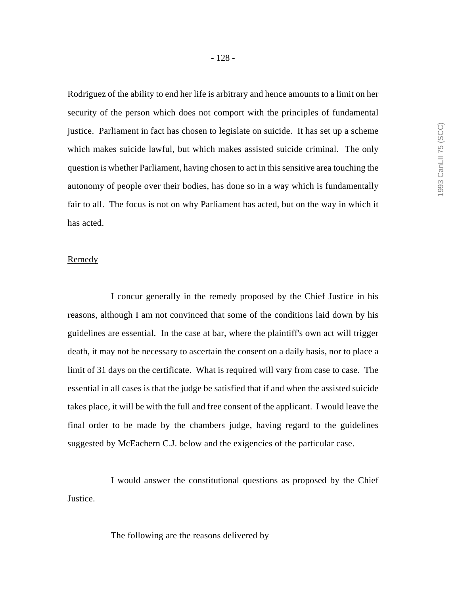Rodriguez of the ability to end her life is arbitrary and hence amounts to a limit on her security of the person which does not comport with the principles of fundamental justice. Parliament in fact has chosen to legislate on suicide. It has set up a scheme which makes suicide lawful, but which makes assisted suicide criminal. The only question is whether Parliament, having chosen to act in this sensitive area touching the autonomy of people over their bodies, has done so in a way which is fundamentally fair to all. The focus is not on why Parliament has acted, but on the way in which it has acted.

### Remedy

I concur generally in the remedy proposed by the Chief Justice in his reasons, although I am not convinced that some of the conditions laid down by his guidelines are essential. In the case at bar, where the plaintiff's own act will trigger death, it may not be necessary to ascertain the consent on a daily basis, nor to place a limit of 31 days on the certificate. What is required will vary from case to case. The essential in all cases is that the judge be satisfied that if and when the assisted suicide takes place, it will be with the full and free consent of the applicant. I would leave the final order to be made by the chambers judge, having regard to the guidelines suggested by McEachern C.J. below and the exigencies of the particular case.

I would answer the constitutional questions as proposed by the Chief Justice.

The following are the reasons delivered by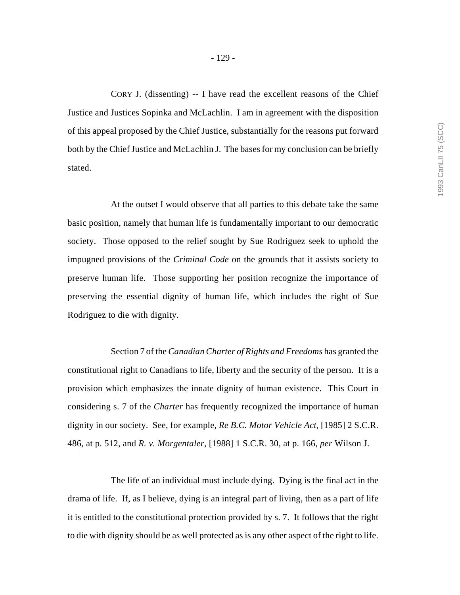CORY J. (dissenting) -- I have read the excellent reasons of the Chief Justice and Justices Sopinka and McLachlin. I am in agreement with the disposition of this appeal proposed by the Chief Justice, substantially for the reasons put forward both by the Chief Justice and McLachlin J. The bases for my conclusion can be briefly stated.

At the outset I would observe that all parties to this debate take the same basic position, namely that human life is fundamentally important to our democratic society. Those opposed to the relief sought by Sue Rodriguez seek to uphold the impugned provisions of the *Criminal Code* on the grounds that it assists society to preserve human life. Those supporting her position recognize the importance of preserving the essential dignity of human life, which includes the right of Sue Rodriguez to die with dignity.

Section 7 of the *Canadian Charter of Rights and Freedoms* has granted the constitutional right to Canadians to life, liberty and the security of the person. It is a provision which emphasizes the innate dignity of human existence. This Court in considering s. 7 of the *Charter* has frequently recognized the importance of human dignity in our society. See, for example, *Re B.C. Motor Vehicle Act*, [1985] 2 S.C.R. 486, at p. 512, and *R. v. Morgentaler*, [1988] 1 S.C.R. 30, at p. 166, *per* Wilson J.

The life of an individual must include dying. Dying is the final act in the drama of life. If, as I believe, dying is an integral part of living, then as a part of life it is entitled to the constitutional protection provided by s. 7. It follows that the right to die with dignity should be as well protected as is any other aspect of the right to life.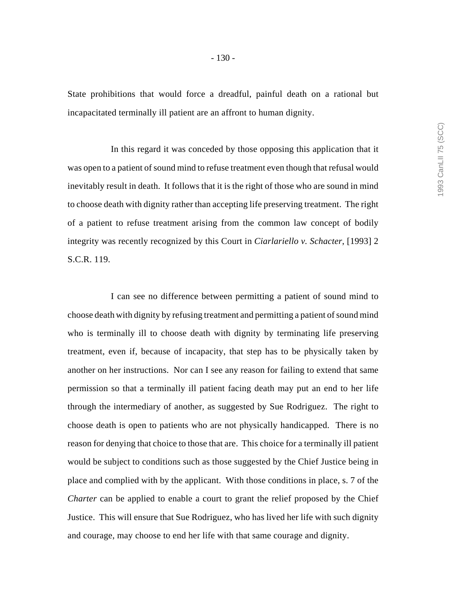State prohibitions that would force a dreadful, painful death on a rational but incapacitated terminally ill patient are an affront to human dignity.

In this regard it was conceded by those opposing this application that it was open to a patient of sound mind to refuse treatment even though that refusal would inevitably result in death. It follows that it is the right of those who are sound in mind to choose death with dignity rather than accepting life preserving treatment. The right of a patient to refuse treatment arising from the common law concept of bodily integrity was recently recognized by this Court in *Ciarlariello v. Schacter*, [1993] 2 S.C.R. 119.

I can see no difference between permitting a patient of sound mind to choose death with dignity by refusing treatment and permitting a patient of sound mind who is terminally ill to choose death with dignity by terminating life preserving treatment, even if, because of incapacity, that step has to be physically taken by another on her instructions. Nor can I see any reason for failing to extend that same permission so that a terminally ill patient facing death may put an end to her life through the intermediary of another, as suggested by Sue Rodriguez. The right to choose death is open to patients who are not physically handicapped. There is no reason for denying that choice to those that are. This choice for a terminally ill patient would be subject to conditions such as those suggested by the Chief Justice being in place and complied with by the applicant. With those conditions in place, s. 7 of the *Charter* can be applied to enable a court to grant the relief proposed by the Chief Justice. This will ensure that Sue Rodriguez, who has lived her life with such dignity and courage, may choose to end her life with that same courage and dignity.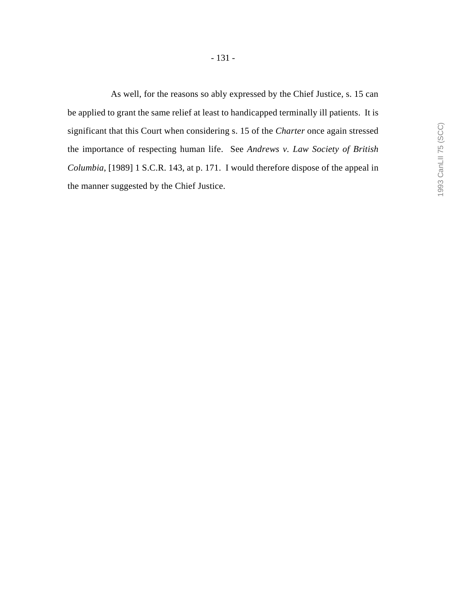As well, for the reasons so ably expressed by the Chief Justice, s. 15 can be applied to grant the same relief at least to handicapped terminally ill patients. It is significant that this Court when considering s. 15 of the *Charter* once again stressed the importance of respecting human life. See *Andrews v. Law Society of British Columbia*, [1989] 1 S.C.R. 143, at p. 171. I would therefore dispose of the appeal in the manner suggested by the Chief Justice.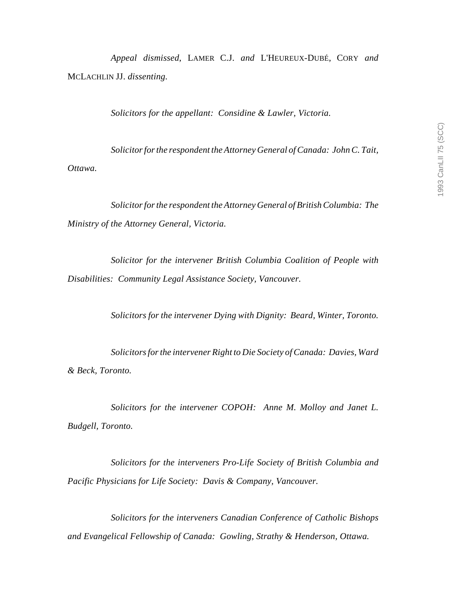*Solicitors for the appellant: Considine & Lawler, Victoria.*

*Solicitor for the respondent the Attorney General of Canada: John C. Tait, Ottawa.*

*Solicitor for the respondent the Attorney General of British Columbia: The Ministry of the Attorney General, Victoria.*

*Solicitor for the intervener British Columbia Coalition of People with Disabilities: Community Legal Assistance Society, Vancouver.*

*Solicitors for the intervener Dying with Dignity: Beard, Winter, Toronto.*

*Solicitors for the intervener Right to Die Society of Canada: Davies, Ward & Beck, Toronto.*

*Solicitors for the intervener COPOH: Anne M. Molloy and Janet L. Budgell, Toronto.*

*Solicitors for the interveners Pro-Life Society of British Columbia and Pacific Physicians for Life Society: Davis & Company, Vancouver.*

*Solicitors for the interveners Canadian Conference of Catholic Bishops and Evangelical Fellowship of Canada: Gowling, Strathy & Henderson, Ottawa.*